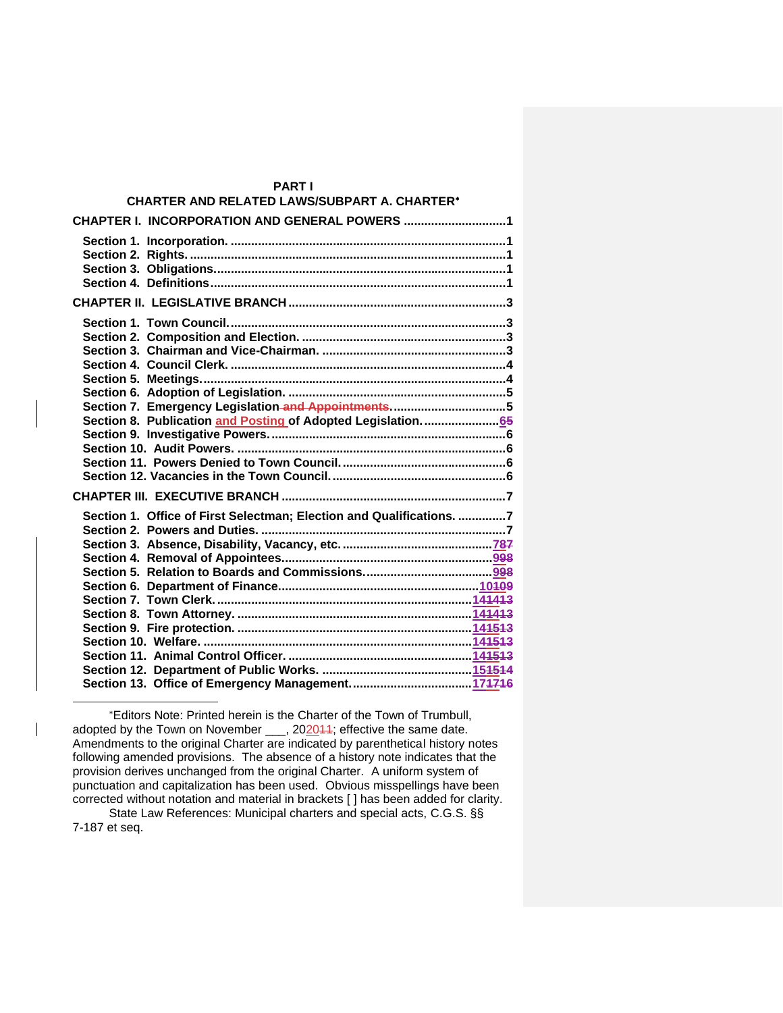| <b>PARTI</b>                                                         |  |
|----------------------------------------------------------------------|--|
| <b>CHARTER AND RELATED LAWS/SUBPART A. CHARTER*</b>                  |  |
| CHAPTER I. INCORPORATION AND GENERAL POWERS 1                        |  |
|                                                                      |  |
|                                                                      |  |
|                                                                      |  |
|                                                                      |  |
|                                                                      |  |
|                                                                      |  |
|                                                                      |  |
|                                                                      |  |
|                                                                      |  |
|                                                                      |  |
|                                                                      |  |
| Section 7. Emergency Legislation and Appointments5                   |  |
| Section 8. Publication and Posting of Adopted Legislation65          |  |
|                                                                      |  |
|                                                                      |  |
|                                                                      |  |
|                                                                      |  |
|                                                                      |  |
| Section 1. Office of First Selectman; Election and Qualifications. 7 |  |
|                                                                      |  |
|                                                                      |  |
|                                                                      |  |
|                                                                      |  |
|                                                                      |  |
|                                                                      |  |
|                                                                      |  |
|                                                                      |  |
|                                                                      |  |
|                                                                      |  |
|                                                                      |  |
|                                                                      |  |

Editors Note: Printed herein is the Charter of the Town of Trumbull, adopted by the Town on November \_\_, 202044; effective the same date. Amendments to the original Charter are indicated by parenthetical history notes following amended provisions. The absence of a history note indicates that the provision derives unchanged from the original Charter. A uniform system of punctuation and capitalization has been used. Obvious misspellings have been corrected without notation and material in brackets [ ] has been added for clarity.

State Law References: Municipal charters and special acts, C.G.S. §§ 7-187 et seq.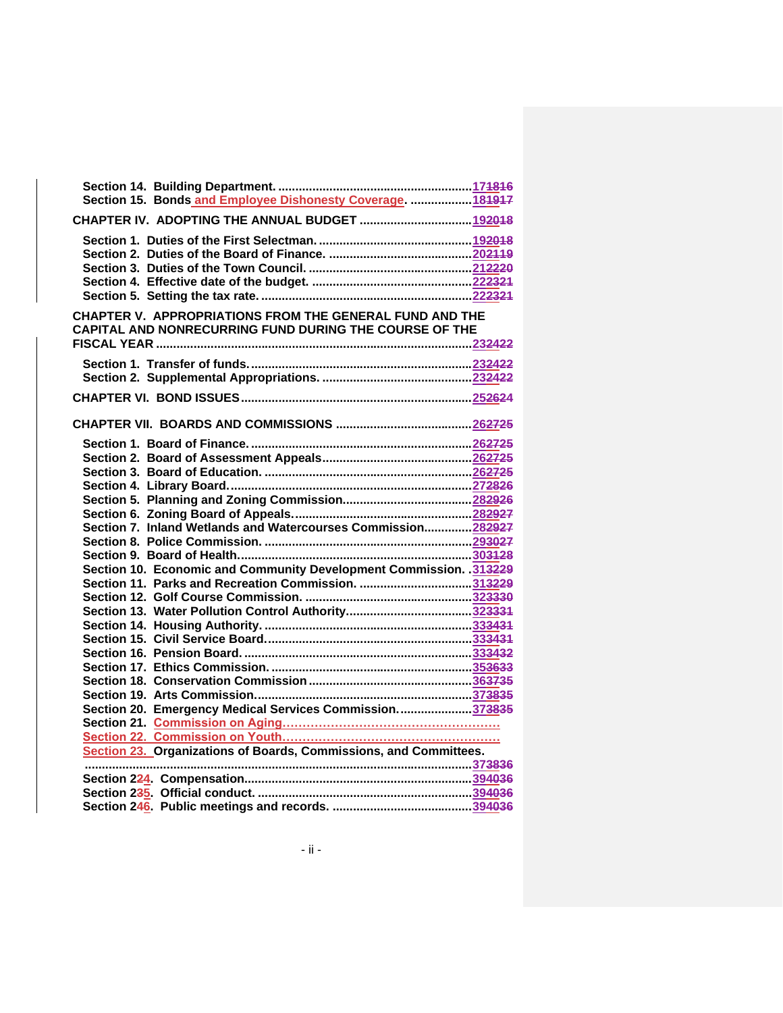| Section 15. Bonds and Employee Dishonesty Coverage.  181917                                                       |  |
|-------------------------------------------------------------------------------------------------------------------|--|
| CHAPTER IV. ADOPTING THE ANNUAL BUDGET  192018                                                                    |  |
|                                                                                                                   |  |
| CHAPTER V. APPROPRIATIONS FROM THE GENERAL FUND AND THE<br>CAPITAL AND NONRECURRING FUND DURING THE COURSE OF THE |  |
|                                                                                                                   |  |
|                                                                                                                   |  |
|                                                                                                                   |  |
|                                                                                                                   |  |
|                                                                                                                   |  |
|                                                                                                                   |  |
|                                                                                                                   |  |
|                                                                                                                   |  |
| Section 7. Inland Wetlands and Watercourses Commission 282927                                                     |  |
|                                                                                                                   |  |
|                                                                                                                   |  |
| Section 10. Economic and Community Development Commission. 313229                                                 |  |
| Section 11. Parks and Recreation Commission. 313229                                                               |  |
|                                                                                                                   |  |
|                                                                                                                   |  |
|                                                                                                                   |  |
|                                                                                                                   |  |
|                                                                                                                   |  |
|                                                                                                                   |  |
|                                                                                                                   |  |
|                                                                                                                   |  |
| Section 20. Emergency Medical Services Commission373835                                                           |  |
|                                                                                                                   |  |
|                                                                                                                   |  |
| Section 23. Organizations of Boards, Commissions, and Committees.                                                 |  |
|                                                                                                                   |  |
|                                                                                                                   |  |
|                                                                                                                   |  |
|                                                                                                                   |  |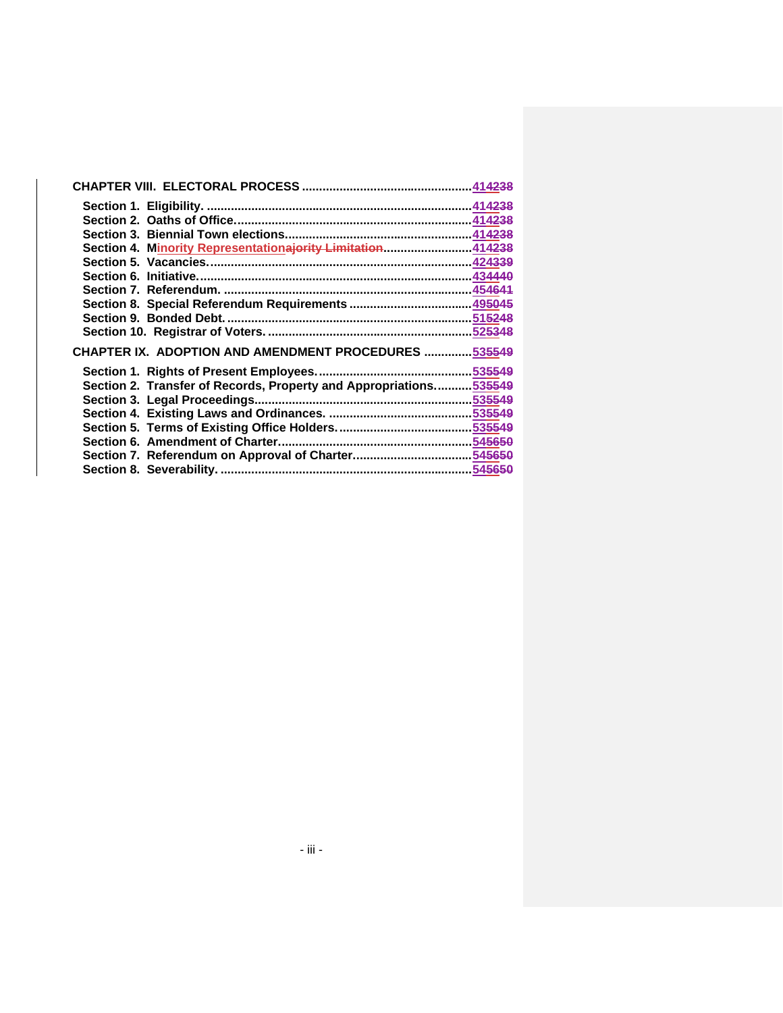| Section 4. Minority Representationajority Limitation414238        |  |
|-------------------------------------------------------------------|--|
|                                                                   |  |
|                                                                   |  |
|                                                                   |  |
|                                                                   |  |
|                                                                   |  |
|                                                                   |  |
| CHAPTER IX. ADOPTION AND AMENDMENT PROCEDURES  535549             |  |
|                                                                   |  |
|                                                                   |  |
| Section 2. Transfer of Records, Property and Appropriations535549 |  |
|                                                                   |  |
|                                                                   |  |
|                                                                   |  |
|                                                                   |  |
|                                                                   |  |
|                                                                   |  |
|                                                                   |  |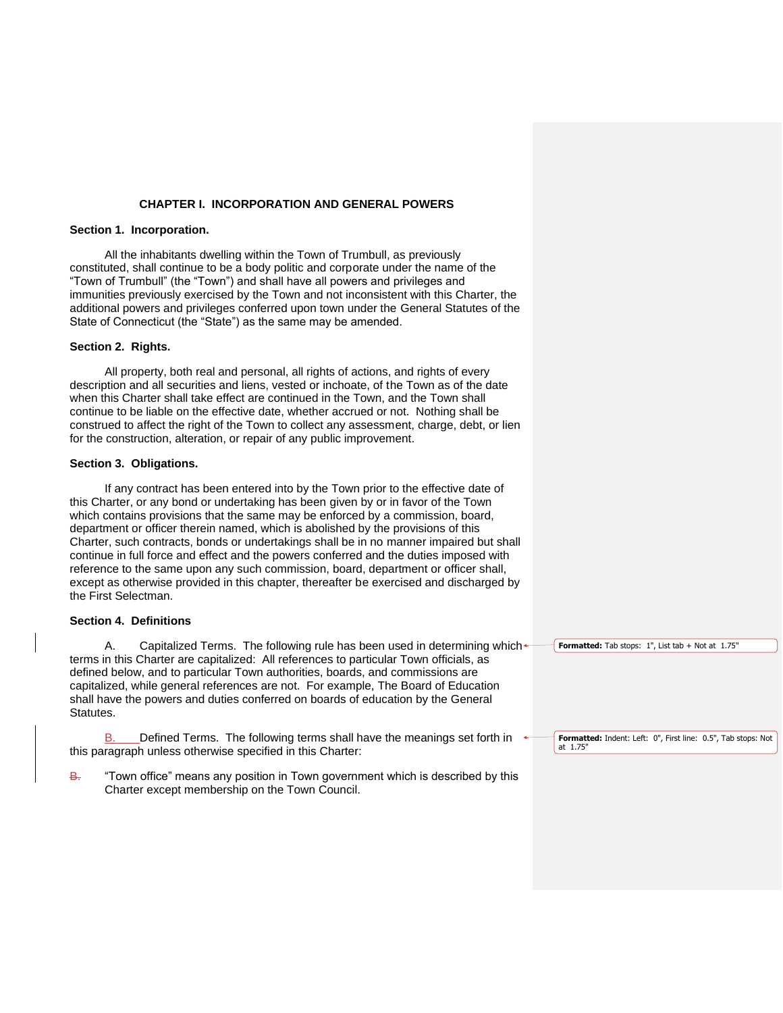## **CHAPTER I. INCORPORATION AND GENERAL POWERS**

## **Section 1. Incorporation.**

All the inhabitants dwelling within the Town of Trumbull, as previously constituted, shall continue to be a body politic and corporate under the name of the "Town of Trumbull" (the "Town") and shall have all powers and privileges and immunities previously exercised by the Town and not inconsistent with this Charter, the additional powers and privileges conferred upon town under the General Statutes of the State of Connecticut (the "State") as the same may be amended.

### **Section 2. Rights.**

All property, both real and personal, all rights of actions, and rights of every description and all securities and liens, vested or inchoate, of the Town as of the date when this Charter shall take effect are continued in the Town, and the Town shall continue to be liable on the effective date, whether accrued or not. Nothing shall be construed to affect the right of the Town to collect any assessment, charge, debt, or lien for the construction, alteration, or repair of any public improvement.

### **Section 3. Obligations.**

If any contract has been entered into by the Town prior to the effective date of this Charter, or any bond or undertaking has been given by or in favor of the Town which contains provisions that the same may be enforced by a commission, board, department or officer therein named, which is abolished by the provisions of this Charter, such contracts, bonds or undertakings shall be in no manner impaired but shall continue in full force and effect and the powers conferred and the duties imposed with reference to the same upon any such commission, board, department or officer shall, except as otherwise provided in this chapter, thereafter be exercised and discharged by the First Selectman.

## **Section 4. Definitions**

A. Capitalized Terms. The following rule has been used in determining which $\triangleleft$ terms in this Charter are capitalized: All references to particular Town officials, as defined below, and to particular Town authorities, boards, and commissions are capitalized, while general references are not. For example, The Board of Education shall have the powers and duties conferred on boards of education by the General Statutes.

B. Defined Terms. The following terms shall have the meanings set forth in  $\triangleleft$ this paragraph unless otherwise specified in this Charter:

B. "Town office" means any position in Town government which is described by this Charter except membership on the Town Council.

**Formatted:** Tab stops: 1", List tab + Not at 1.75"

**Formatted:** Indent: Left: 0", First line: 0.5", Tab stops: Not at 1.75"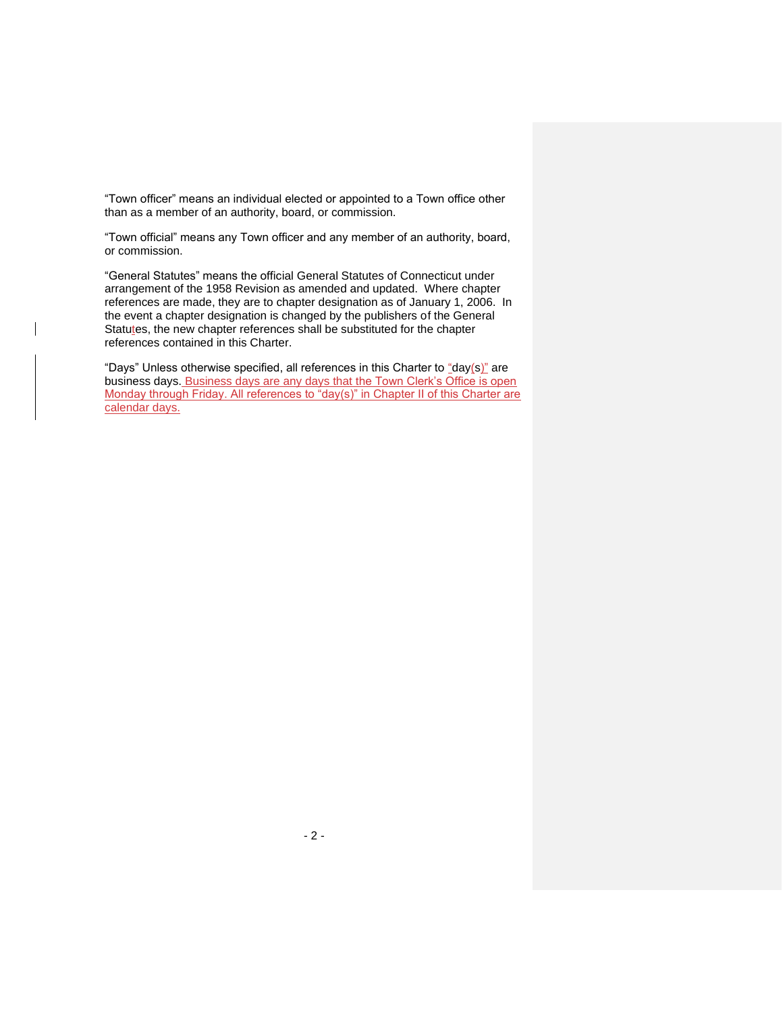"Town officer" means an individual elected or appointed to a Town office other than as a member of an authority, board, or commission.

"Town official" means any Town officer and any member of an authority, board, or commission.

"General Statutes" means the official General Statutes of Connecticut under arrangement of the 1958 Revision as amended and updated. Where chapter references are made, they are to chapter designation as of January 1, 2006. In the event a chapter designation is changed by the publishers of the General Statutes, the new chapter references shall be substituted for the chapter references contained in this Charter.

"Days" Unless otherwise specified, all references in this Charter to "day(s)" are business days. Business days are any days that the Town Clerk's Office is open Monday through Friday. All references to "day(s)" in Chapter II of this Charter are calendar days.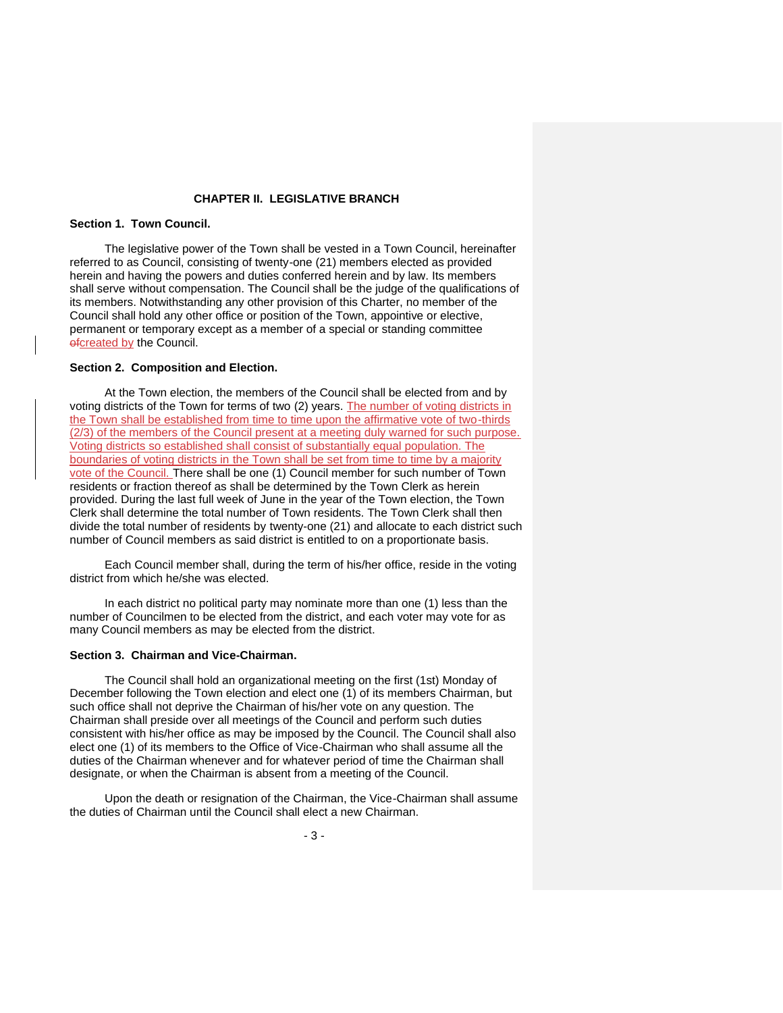## **CHAPTER II. LEGISLATIVE BRANCH**

## **Section 1. Town Council.**

The legislative power of the Town shall be vested in a Town Council, hereinafter referred to as Council, consisting of twenty-one (21) members elected as provided herein and having the powers and duties conferred herein and by law. Its members shall serve without compensation. The Council shall be the judge of the qualifications of its members. Notwithstanding any other provision of this Charter, no member of the Council shall hold any other office or position of the Town, appointive or elective, permanent or temporary except as a member of a special or standing committee ofcreated by the Council.

#### **Section 2. Composition and Election.**

At the Town election, the members of the Council shall be elected from and by voting districts of the Town for terms of two (2) years. The number of voting districts in the Town shall be established from time to time upon the affirmative vote of two-thirds (2/3) of the members of the Council present at a meeting duly warned for such purpose. Voting districts so established shall consist of substantially equal population. The boundaries of voting districts in the Town shall be set from time to time by a majority vote of the Council. There shall be one (1) Council member for such number of Town residents or fraction thereof as shall be determined by the Town Clerk as herein provided. During the last full week of June in the year of the Town election, the Town Clerk shall determine the total number of Town residents. The Town Clerk shall then divide the total number of residents by twenty-one (21) and allocate to each district such number of Council members as said district is entitled to on a proportionate basis.

Each Council member shall, during the term of his/her office, reside in the voting district from which he/she was elected.

In each district no political party may nominate more than one (1) less than the number of Councilmen to be elected from the district, and each voter may vote for as many Council members as may be elected from the district.

### **Section 3. Chairman and Vice-Chairman.**

The Council shall hold an organizational meeting on the first (1st) Monday of December following the Town election and elect one (1) of its members Chairman, but such office shall not deprive the Chairman of his/her vote on any question. The Chairman shall preside over all meetings of the Council and perform such duties consistent with his/her office as may be imposed by the Council. The Council shall also elect one (1) of its members to the Office of Vice-Chairman who shall assume all the duties of the Chairman whenever and for whatever period of time the Chairman shall designate, or when the Chairman is absent from a meeting of the Council.

Upon the death or resignation of the Chairman, the Vice-Chairman shall assume the duties of Chairman until the Council shall elect a new Chairman.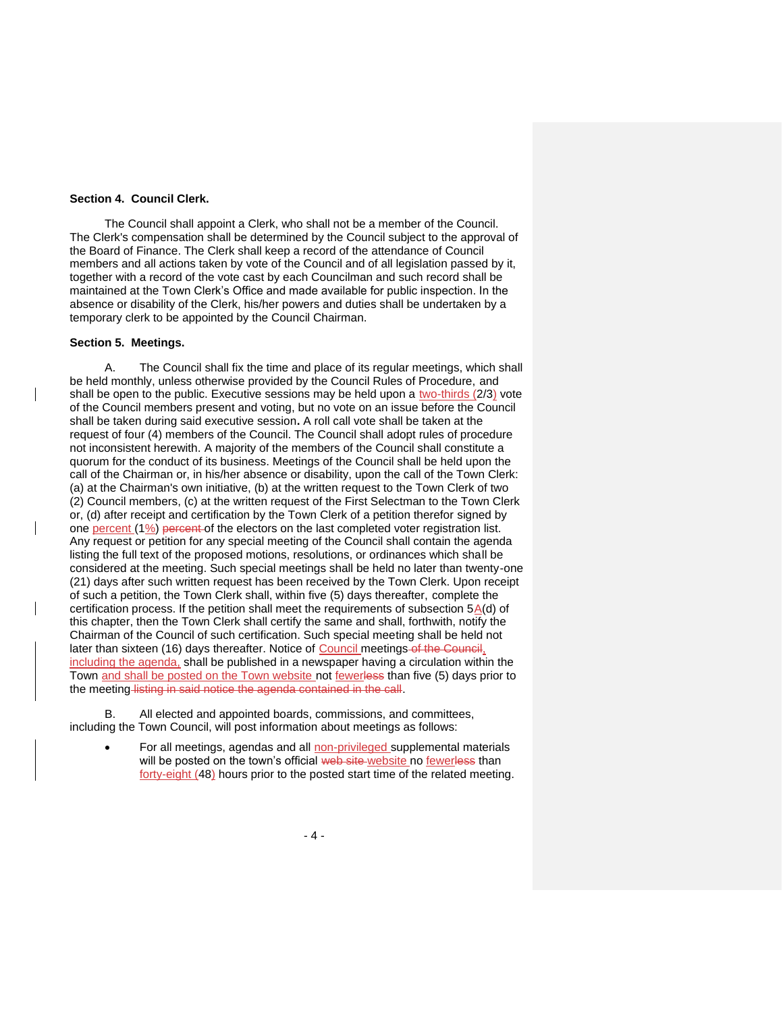## **Section 4. Council Clerk.**

The Council shall appoint a Clerk, who shall not be a member of the Council. The Clerk's compensation shall be determined by the Council subject to the approval of the Board of Finance. The Clerk shall keep a record of the attendance of Council members and all actions taken by vote of the Council and of all legislation passed by it, together with a record of the vote cast by each Councilman and such record shall be maintained at the Town Clerk's Office and made available for public inspection. In the absence or disability of the Clerk, his/her powers and duties shall be undertaken by a temporary clerk to be appointed by the Council Chairman.

### **Section 5. Meetings.**

A. The Council shall fix the time and place of its regular meetings, which shall be held monthly, unless otherwise provided by the Council Rules of Procedure, and shall be open to the public. Executive sessions may be held upon a two-thirds (2/3) vote of the Council members present and voting, but no vote on an issue before the Council shall be taken during said executive session**.** A roll call vote shall be taken at the request of four (4) members of the Council. The Council shall adopt rules of procedure not inconsistent herewith. A majority of the members of the Council shall constitute a quorum for the conduct of its business. Meetings of the Council shall be held upon the call of the Chairman or, in his/her absence or disability, upon the call of the Town Clerk: (a) at the Chairman's own initiative, (b) at the written request to the Town Clerk of two (2) Council members, (c) at the written request of the First Selectman to the Town Clerk or, (d) after receipt and certification by the Town Clerk of a petition therefor signed by one percent (1%) percent of the electors on the last completed voter registration list. Any request or petition for any special meeting of the Council shall contain the agenda listing the full text of the proposed motions, resolutions, or ordinances which shall be considered at the meeting. Such special meetings shall be held no later than twenty-one (21) days after such written request has been received by the Town Clerk. Upon receipt of such a petition, the Town Clerk shall, within five (5) days thereafter, complete the certification process. If the petition shall meet the requirements of subsection  $5A(d)$  of this chapter, then the Town Clerk shall certify the same and shall, forthwith, notify the Chairman of the Council of such certification. Such special meeting shall be held not later than sixteen (16) days thereafter. Notice of Council meetings of the Council, including the agenda, shall be published in a newspaper having a circulation within the Town and shall be posted on the Town website not fewerless than five (5) days prior to the meeting listing in said notice the agenda contained in the call.

B. All elected and appointed boards, commissions, and committees, including the Town Council, will post information about meetings as follows:

• For all meetings, agendas and all non-privileged supplemental materials will be posted on the town's official web site website no fewerless than forty-eight (48) hours prior to the posted start time of the related meeting.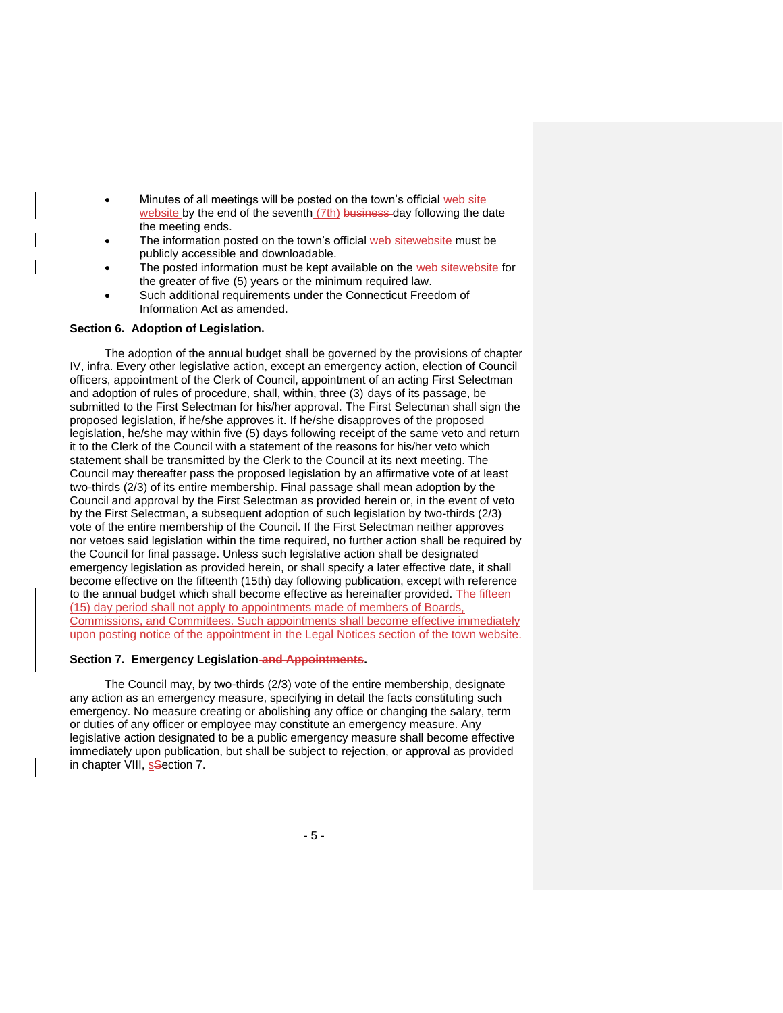- Minutes of all meetings will be posted on the town's official web site website by the end of the seventh (7th) business day following the date the meeting ends.
- The information posted on the town's official web sitewebsite must be publicly accessible and downloadable.
- The posted information must be kept available on the web sitewebsite for the greater of five (5) years or the minimum required law.
- Such additional requirements under the Connecticut Freedom of Information Act as amended.

### **Section 6. Adoption of Legislation.**

The adoption of the annual budget shall be governed by the provisions of chapter IV, infra. Every other legislative action, except an emergency action, election of Council officers, appointment of the Clerk of Council, appointment of an acting First Selectman and adoption of rules of procedure, shall, within, three (3) days of its passage, be submitted to the First Selectman for his/her approval. The First Selectman shall sign the proposed legislation, if he/she approves it. If he/she disapproves of the proposed legislation, he/she may within five (5) days following receipt of the same veto and return it to the Clerk of the Council with a statement of the reasons for his/her veto which statement shall be transmitted by the Clerk to the Council at its next meeting. The Council may thereafter pass the proposed legislation by an affirmative vote of at least two-thirds (2/3) of its entire membership. Final passage shall mean adoption by the Council and approval by the First Selectman as provided herein or, in the event of veto by the First Selectman, a subsequent adoption of such legislation by two-thirds (2/3) vote of the entire membership of the Council. If the First Selectman neither approves nor vetoes said legislation within the time required, no further action shall be required by the Council for final passage. Unless such legislative action shall be designated emergency legislation as provided herein, or shall specify a later effective date, it shall become effective on the fifteenth (15th) day following publication, except with reference to the annual budget which shall become effective as hereinafter provided. The fifteen (15) day period shall not apply to appointments made of members of Boards, Commissions, and Committees. Such appointments shall become effective immediately upon posting notice of the appointment in the Legal Notices section of the town website.

#### **Section 7. Emergency Legislation and Appointments.**

The Council may, by two-thirds (2/3) vote of the entire membership, designate any action as an emergency measure, specifying in detail the facts constituting such emergency. No measure creating or abolishing any office or changing the salary, term or duties of any officer or employee may constitute an emergency measure. Any legislative action designated to be a public emergency measure shall become effective immediately upon publication, but shall be subject to rejection, or approval as provided in chapter VIII, ssection 7.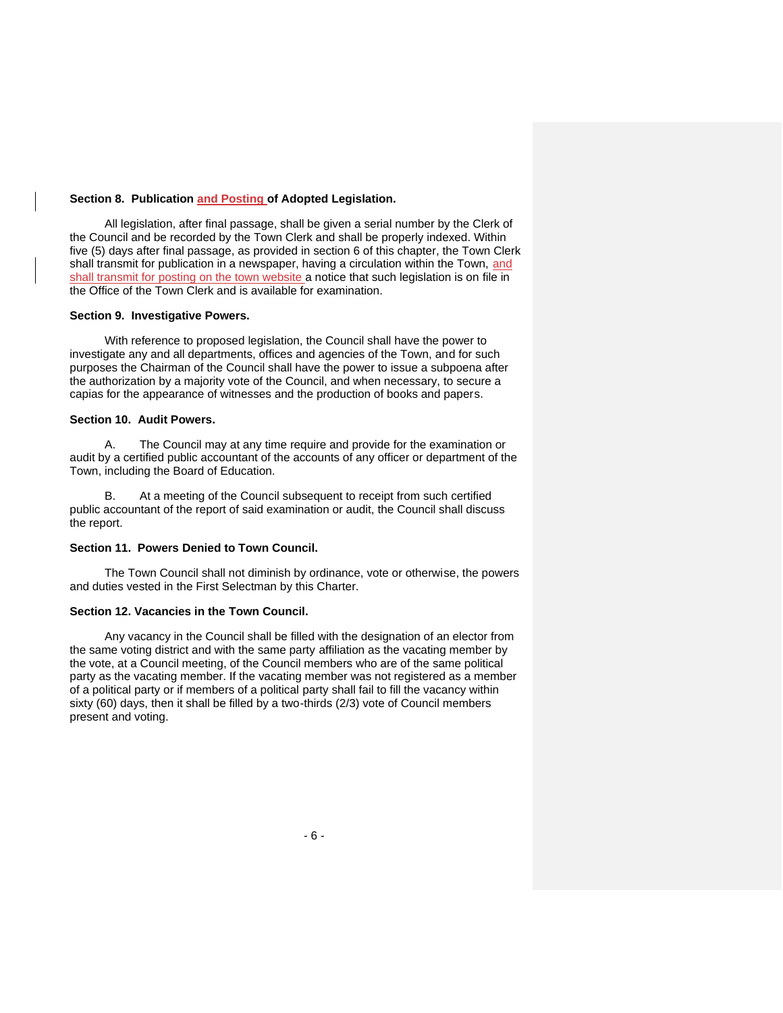## **Section 8. Publication and Posting of Adopted Legislation.**

All legislation, after final passage, shall be given a serial number by the Clerk of the Council and be recorded by the Town Clerk and shall be properly indexed. Within five (5) days after final passage, as provided in section 6 of this chapter, the Town Clerk shall transmit for publication in a newspaper, having a circulation within the Town, and shall transmit for posting on the town website a notice that such legislation is on file in the Office of the Town Clerk and is available for examination.

## **Section 9. Investigative Powers.**

With reference to proposed legislation, the Council shall have the power to investigate any and all departments, offices and agencies of the Town, and for such purposes the Chairman of the Council shall have the power to issue a subpoena after the authorization by a majority vote of the Council, and when necessary, to secure a capias for the appearance of witnesses and the production of books and papers.

## **Section 10. Audit Powers.**

A. The Council may at any time require and provide for the examination or audit by a certified public accountant of the accounts of any officer or department of the Town, including the Board of Education.

B. At a meeting of the Council subsequent to receipt from such certified public accountant of the report of said examination or audit, the Council shall discuss the report.

## **Section 11. Powers Denied to Town Council.**

The Town Council shall not diminish by ordinance, vote or otherwise, the powers and duties vested in the First Selectman by this Charter.

## **Section 12. Vacancies in the Town Council.**

Any vacancy in the Council shall be filled with the designation of an elector from the same voting district and with the same party affiliation as the vacating member by the vote, at a Council meeting, of the Council members who are of the same political party as the vacating member. If the vacating member was not registered as a member of a political party or if members of a political party shall fail to fill the vacancy within sixty (60) days, then it shall be filled by a two-thirds (2/3) vote of Council members present and voting.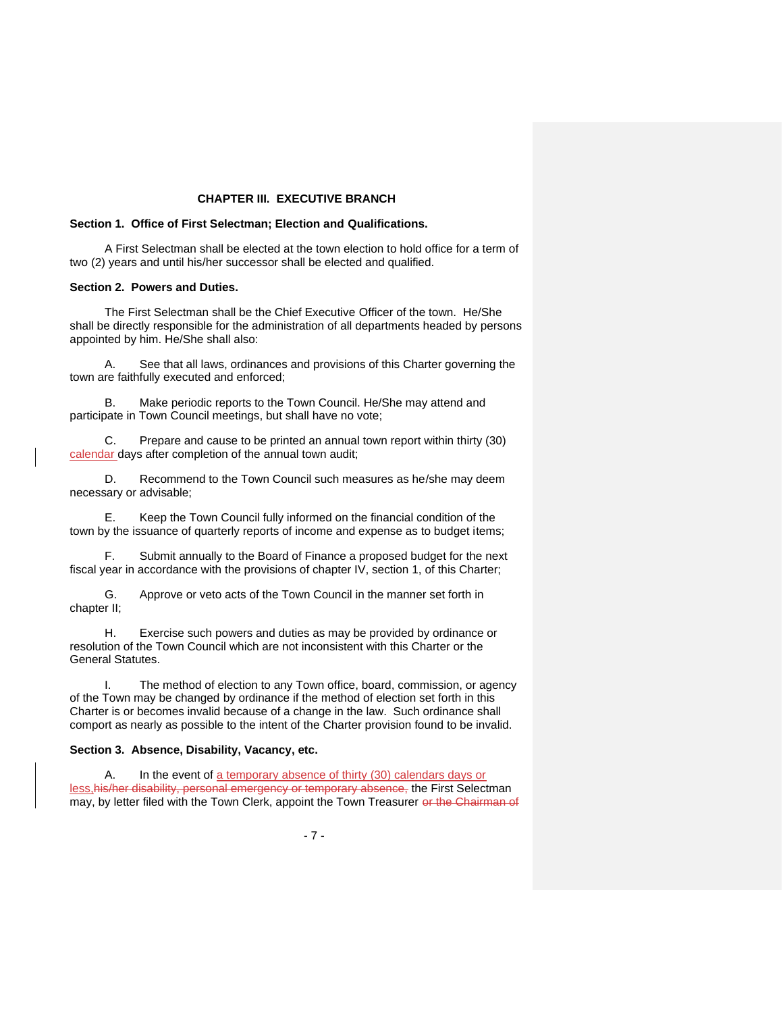# **CHAPTER III. EXECUTIVE BRANCH**

## **Section 1. Office of First Selectman; Election and Qualifications.**

A First Selectman shall be elected at the town election to hold office for a term of two (2) years and until his/her successor shall be elected and qualified.

## **Section 2. Powers and Duties.**

The First Selectman shall be the Chief Executive Officer of the town. He/She shall be directly responsible for the administration of all departments headed by persons appointed by him. He/She shall also:

A. See that all laws, ordinances and provisions of this Charter governing the town are faithfully executed and enforced;

B. Make periodic reports to the Town Council. He/She may attend and participate in Town Council meetings, but shall have no vote;

C. Prepare and cause to be printed an annual town report within thirty (30) calendar days after completion of the annual town audit;

D. Recommend to the Town Council such measures as he/she may deem necessary or advisable;

E. Keep the Town Council fully informed on the financial condition of the town by the issuance of quarterly reports of income and expense as to budget items;

F. Submit annually to the Board of Finance a proposed budget for the next fiscal year in accordance with the provisions of chapter IV, section 1, of this Charter;

G. Approve or veto acts of the Town Council in the manner set forth in chapter II;

H. Exercise such powers and duties as may be provided by ordinance or resolution of the Town Council which are not inconsistent with this Charter or the General Statutes.

I. The method of election to any Town office, board, commission, or agency of the Town may be changed by ordinance if the method of election set forth in this Charter is or becomes invalid because of a change in the law. Such ordinance shall comport as nearly as possible to the intent of the Charter provision found to be invalid.

#### **Section 3. Absence, Disability, Vacancy, etc.**

A. In the event of a temporary absence of thirty (30) calendars days or less,his/her disability, personal emergency or temporary absence, the First Selectman may, by letter filed with the Town Clerk, appoint the Town Treasurer or the Chairman of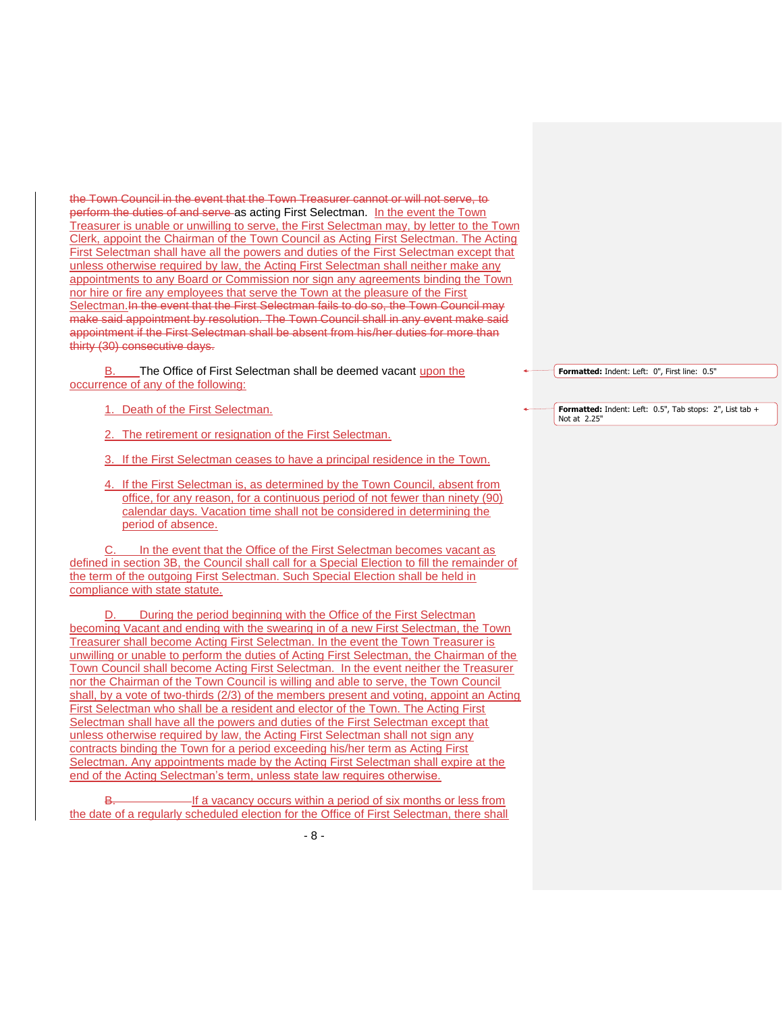the Town Council in the event that the Town Treasurer cannot or will not serve, to perform the duties of and serve as acting First Selectman. In the event the Town Treasurer is unable or unwilling to serve, the First Selectman may, by letter to the Town Clerk, appoint the Chairman of the Town Council as Acting First Selectman. The Acting First Selectman shall have all the powers and duties of the First Selectman except that unless otherwise required by law, the Acting First Selectman shall neither make any appointments to any Board or Commission nor sign any agreements binding the Town nor hire or fire any employees that serve the Town at the pleasure of the First Selectman.In the event that the First Selectman fails to do so, the Town Council may make said appointment by resolution. The Town Council shall in any event make said appointment if the First Selectman shall be absent from his/her duties for more than thirty (30) consecutive days.

The Office of First Selectman shall be deemed vacant upon the occurrence of any of the following:

1. Death of the First Selectman.

2. The retirement or resignation of the First Selectman.

3. If the First Selectman ceases to have a principal residence in the Town.

4. If the First Selectman is, as determined by the Town Council, absent from office, for any reason, for a continuous period of not fewer than ninety (90) calendar days. Vacation time shall not be considered in determining the period of absence.

C. In the event that the Office of the First Selectman becomes vacant as defined in section 3B, the Council shall call for a Special Election to fill the remainder of the term of the outgoing First Selectman. Such Special Election shall be held in compliance with state statute.

D. During the period beginning with the Office of the First Selectman becoming Vacant and ending with the swearing in of a new First Selectman, the Town Treasurer shall become Acting First Selectman. In the event the Town Treasurer is unwilling or unable to perform the duties of Acting First Selectman, the Chairman of the Town Council shall become Acting First Selectman. In the event neither the Treasurer nor the Chairman of the Town Council is willing and able to serve, the Town Council shall, by a vote of two-thirds (2/3) of the members present and voting, appoint an Acting First Selectman who shall be a resident and elector of the Town. The Acting First Selectman shall have all the powers and duties of the First Selectman except that unless otherwise required by law, the Acting First Selectman shall not sign any contracts binding the Town for a period exceeding his/her term as Acting First Selectman. Any appointments made by the Acting First Selectman shall expire at the end of the Acting Selectman's term, unless state law requires otherwise.

If a vacancy occurs within a period of six months or less from the date of a regularly scheduled election for the Office of First Selectman, there shall **Formatted:** Indent: Left: 0", First line: 0.5"

**Formatted:** Indent: Left: 0.5", Tab stops: 2", List tab + Not at 2.25"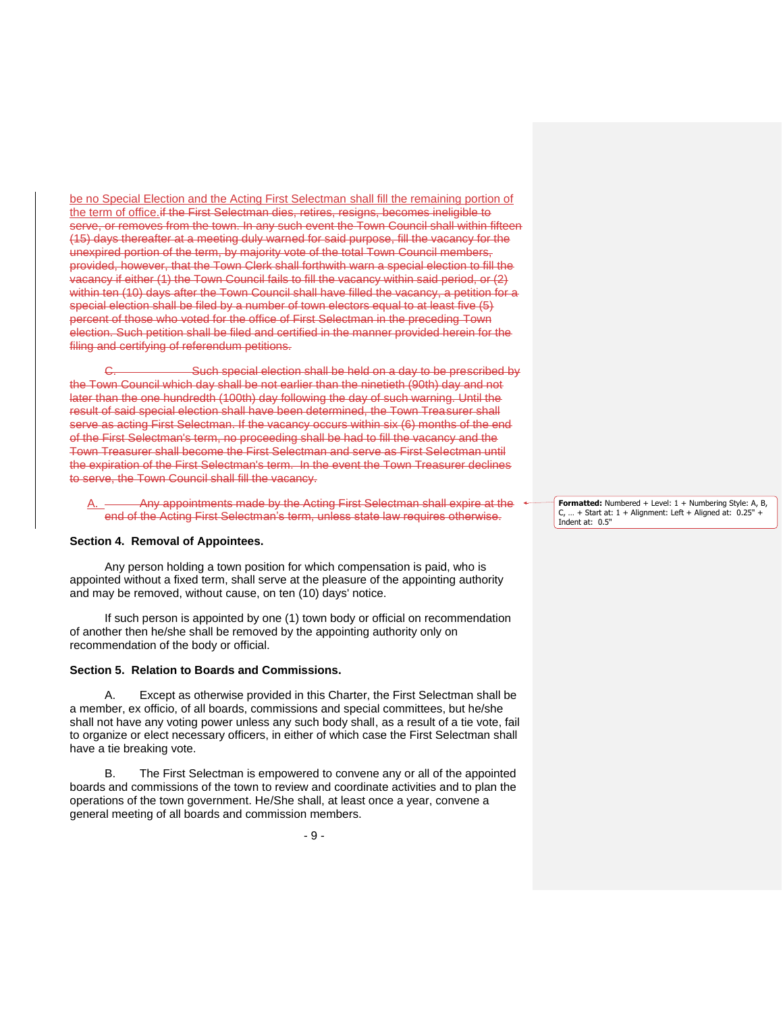be no Special Election and the Acting First Selectman shall fill the remaining portion of the term of office.if the First Selectman dies, retires, resigns, becomes ineligible to serve, or removes from the town. In any such event the Town Council shall within fifteen (15) days thereafter at a meeting duly warned for said purpose, fill the vacancy for the unexpired portion of the term, by majority vote of the total Town Council members, provided, however, that the Town Clerk shall forthwith warn a special election to fill the vacancy if either (1) the Town Council fails to fill the vacancy within said period, or (2) within ten (10) days after the Town Council shall have filled the vacancy, a petition for a special election shall be filed by a number of town electors equal to at least five (5) percent of those who voted for the office of First Selectman in the preceding Town election. Such petition shall be filed and certified in the manner provided herein for the filing and certifying of referendum petitions.

Such special election shall be held on a day to be prescribed by the Town Council which day shall be not earlier than the ninetieth (90th) day and not later than the one hundredth (100th) day following the day of such warning. Until the result of said special election shall have been determined, the Town Treasurer shall serve as acting First Selectman. If the vacancy occurs within six (6) months of the end of the First Selectman's term, no proceeding shall be had to fill the vacancy and the Town Treasurer shall become the First Selectman and serve as First Selectman until the expiration of the First Selectman's term. In the event the Town Treasurer declines to serve, the Town Council shall fill the vacancy.

Any appointments made by the Acting First Selectman shall expire at the end of the Acting First Selectman's term, unless state law requires otherwise.

#### **Section 4. Removal of Appointees.**

Any person holding a town position for which compensation is paid, who is appointed without a fixed term, shall serve at the pleasure of the appointing authority and may be removed, without cause, on ten (10) days' notice.

If such person is appointed by one (1) town body or official on recommendation of another then he/she shall be removed by the appointing authority only on recommendation of the body or official.

#### **Section 5. Relation to Boards and Commissions.**

A. Except as otherwise provided in this Charter, the First Selectman shall be a member, ex officio, of all boards, commissions and special committees, but he/she shall not have any voting power unless any such body shall, as a result of a tie vote, fail to organize or elect necessary officers, in either of which case the First Selectman shall have a tie breaking vote.

B. The First Selectman is empowered to convene any or all of the appointed boards and commissions of the town to review and coordinate activities and to plan the operations of the town government. He/She shall, at least once a year, convene a general meeting of all boards and commission members.

**Formatted:** Numbered + Level: 1 + Numbering Style: A, B,  $C, ... +$  Start at:  $1 +$  Alignment: Left + Aligned at:  $0.25$ ' Indent at: 0.5"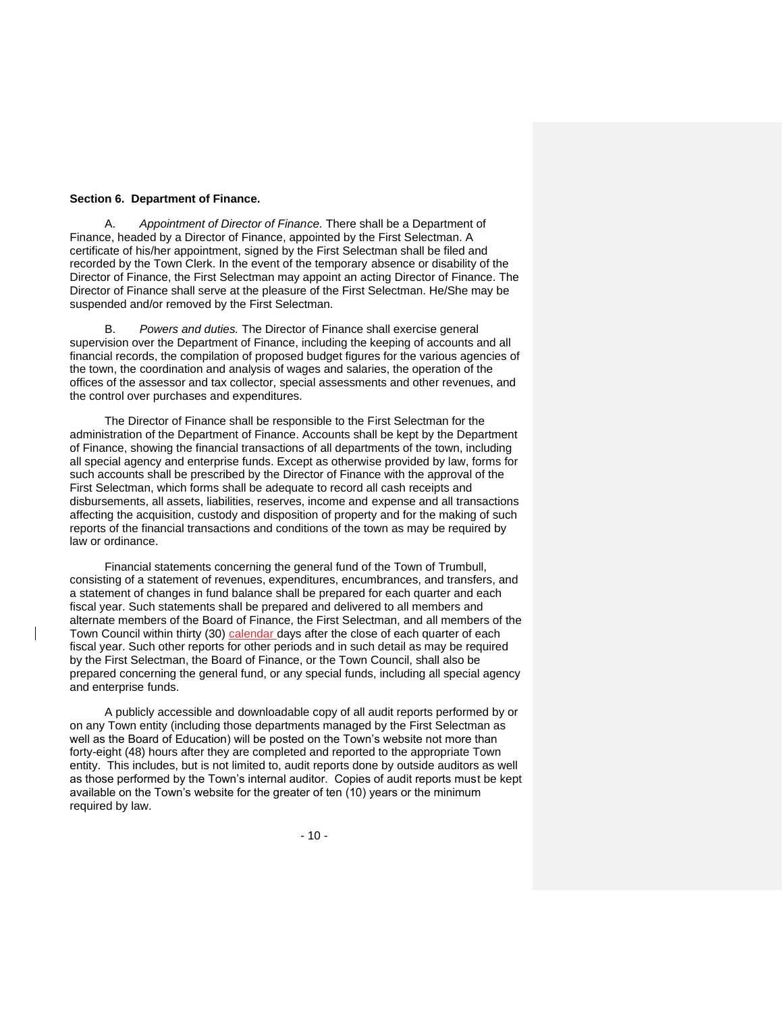# **Section 6. Department of Finance.**

A. *Appointment of Director of Finance.* There shall be a Department of Finance, headed by a Director of Finance, appointed by the First Selectman. A certificate of his/her appointment, signed by the First Selectman shall be filed and recorded by the Town Clerk. In the event of the temporary absence or disability of the Director of Finance, the First Selectman may appoint an acting Director of Finance. The Director of Finance shall serve at the pleasure of the First Selectman. He/She may be suspended and/or removed by the First Selectman.

B. *Powers and duties.* The Director of Finance shall exercise general supervision over the Department of Finance, including the keeping of accounts and all financial records, the compilation of proposed budget figures for the various agencies of the town, the coordination and analysis of wages and salaries, the operation of the offices of the assessor and tax collector, special assessments and other revenues, and the control over purchases and expenditures.

The Director of Finance shall be responsible to the First Selectman for the administration of the Department of Finance. Accounts shall be kept by the Department of Finance, showing the financial transactions of all departments of the town, including all special agency and enterprise funds. Except as otherwise provided by law, forms for such accounts shall be prescribed by the Director of Finance with the approval of the First Selectman, which forms shall be adequate to record all cash receipts and disbursements, all assets, liabilities, reserves, income and expense and all transactions affecting the acquisition, custody and disposition of property and for the making of such reports of the financial transactions and conditions of the town as may be required by law or ordinance.

Financial statements concerning the general fund of the Town of Trumbull, consisting of a statement of revenues, expenditures, encumbrances, and transfers, and a statement of changes in fund balance shall be prepared for each quarter and each fiscal year. Such statements shall be prepared and delivered to all members and alternate members of the Board of Finance, the First Selectman, and all members of the Town Council within thirty (30) calendar days after the close of each quarter of each fiscal year. Such other reports for other periods and in such detail as may be required by the First Selectman, the Board of Finance, or the Town Council, shall also be prepared concerning the general fund, or any special funds, including all special agency and enterprise funds.

A publicly accessible and downloadable copy of all audit reports performed by or on any Town entity (including those departments managed by the First Selectman as well as the Board of Education) will be posted on the Town's website not more than forty-eight (48) hours after they are completed and reported to the appropriate Town entity. This includes, but is not limited to, audit reports done by outside auditors as well as those performed by the Town's internal auditor. Copies of audit reports must be kept available on the Town's website for the greater of ten (10) years or the minimum required by law.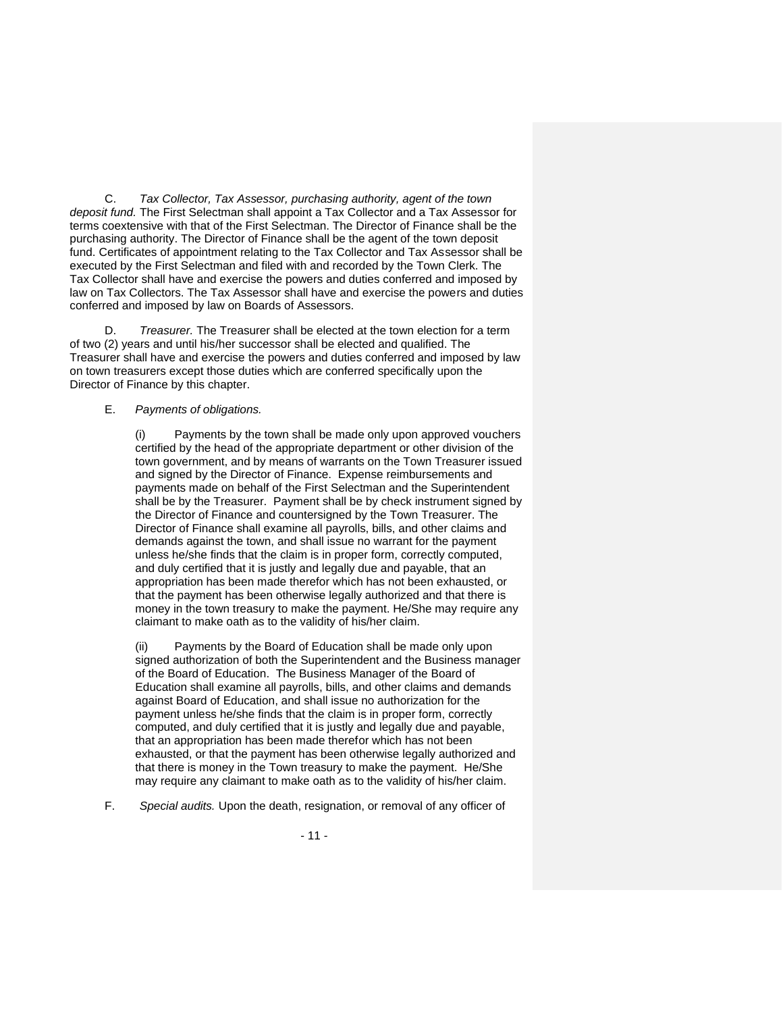C. *Tax Collector, Tax Assessor, purchasing authority, agent of the town deposit fund.* The First Selectman shall appoint a Tax Collector and a Tax Assessor for terms coextensive with that of the First Selectman. The Director of Finance shall be the purchasing authority. The Director of Finance shall be the agent of the town deposit fund. Certificates of appointment relating to the Tax Collector and Tax Assessor shall be executed by the First Selectman and filed with and recorded by the Town Clerk. The Tax Collector shall have and exercise the powers and duties conferred and imposed by law on Tax Collectors. The Tax Assessor shall have and exercise the powers and duties conferred and imposed by law on Boards of Assessors.

D. *Treasurer.* The Treasurer shall be elected at the town election for a term of two (2) years and until his/her successor shall be elected and qualified. The Treasurer shall have and exercise the powers and duties conferred and imposed by law on town treasurers except those duties which are conferred specifically upon the Director of Finance by this chapter.

## E. *Payments of obligations.*

(i) Payments by the town shall be made only upon approved vouchers certified by the head of the appropriate department or other division of the town government, and by means of warrants on the Town Treasurer issued and signed by the Director of Finance. Expense reimbursements and payments made on behalf of the First Selectman and the Superintendent shall be by the Treasurer. Payment shall be by check instrument signed by the Director of Finance and countersigned by the Town Treasurer. The Director of Finance shall examine all payrolls, bills, and other claims and demands against the town, and shall issue no warrant for the payment unless he/she finds that the claim is in proper form, correctly computed, and duly certified that it is justly and legally due and payable, that an appropriation has been made therefor which has not been exhausted, or that the payment has been otherwise legally authorized and that there is money in the town treasury to make the payment. He/She may require any claimant to make oath as to the validity of his/her claim.

Payments by the Board of Education shall be made only upon signed authorization of both the Superintendent and the Business manager of the Board of Education. The Business Manager of the Board of Education shall examine all payrolls, bills, and other claims and demands against Board of Education, and shall issue no authorization for the payment unless he/she finds that the claim is in proper form, correctly computed, and duly certified that it is justly and legally due and payable, that an appropriation has been made therefor which has not been exhausted, or that the payment has been otherwise legally authorized and that there is money in the Town treasury to make the payment. He/She may require any claimant to make oath as to the validity of his/her claim.

F. *Special audits.* Upon the death, resignation, or removal of any officer of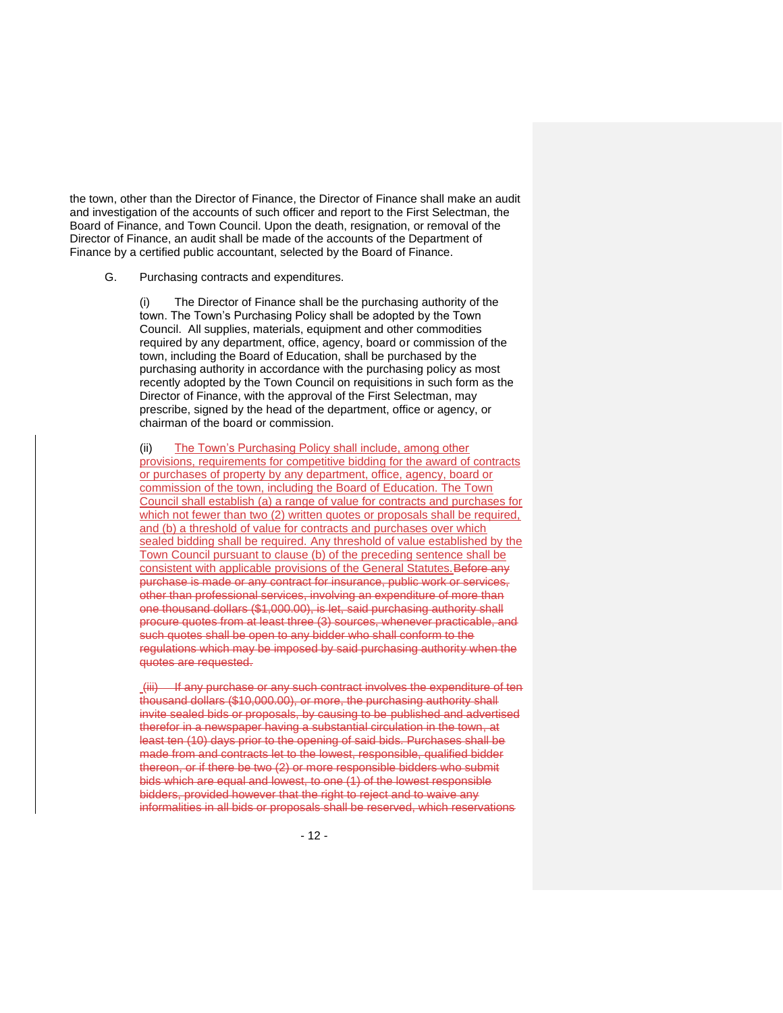the town, other than the Director of Finance, the Director of Finance shall make an audit and investigation of the accounts of such officer and report to the First Selectman, the Board of Finance, and Town Council. Upon the death, resignation, or removal of the Director of Finance, an audit shall be made of the accounts of the Department of Finance by a certified public accountant, selected by the Board of Finance.

### G. Purchasing contracts and expenditures.

(i) The Director of Finance shall be the purchasing authority of the town. The Town's Purchasing Policy shall be adopted by the Town Council. All supplies, materials, equipment and other commodities required by any department, office, agency, board or commission of the town, including the Board of Education, shall be purchased by the purchasing authority in accordance with the purchasing policy as most recently adopted by the Town Council on requisitions in such form as the Director of Finance, with the approval of the First Selectman, may prescribe, signed by the head of the department, office or agency, or chairman of the board or commission.

(ii) The Town's Purchasing Policy shall include, among other provisions, requirements for competitive bidding for the award of contracts or purchases of property by any department, office, agency, board or commission of the town, including the Board of Education. The Town Council shall establish (a) a range of value for contracts and purchases for which not fewer than two (2) written quotes or proposals shall be required, and (b) a threshold of value for contracts and purchases over which sealed bidding shall be required. Any threshold of value established by the Town Council pursuant to clause (b) of the preceding sentence shall be consistent with applicable provisions of the General Statutes. Before any purchase is made or any contract for insurance, public work or services, other than professional services, involving an expenditure of more than one thousand dollars (\$1,000.00), is let, said purchasing authority shall procure quotes from at least three (3) sources, whenever practicable, and such quotes shall be open to any bidder who shall conform to the regulations which may be imposed by said purchasing authority when the quotes are requested.

(iii) If any purchase or any such contract involves the expenditure of ten thousand dollars (\$10,000.00), or more, the purchasing authority shall invite sealed bids or proposals, by causing to be published and advertised therefor in a newspaper having a substantial circulation in the town, at least ten (10) days prior to the opening of said bids. Purchases shall be made from and contracts let to the lowest, responsible, qualified bidder thereon, or if there be two (2) or more responsible bidders who submit bids which are equal and lowest, to one (1) of the lowest responsible bidders, provided however that the right to reject and to waive any informalities in all bids or proposals shall be reserved, which reservations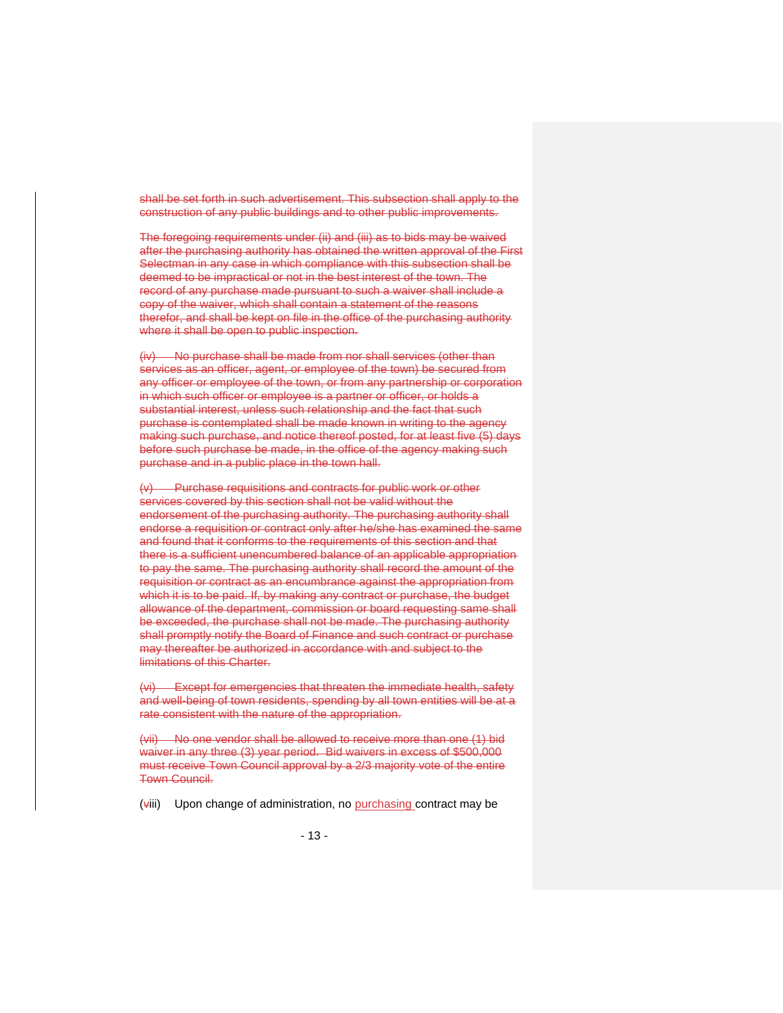shall be set forth in such advertisement. This subsection shall apply to the construction of any public buildings and to other public improvements.

The foregoing requirements under (ii) and (iii) as to bids may be waived after the purchasing authority has obtained the written approval of the First Selectman in any case in which compliance with this subsection shall be deemed to be impractical or not in the best interest of the town. The record of any purchase made pursuant to such a waiver shall include a copy of the waiver, which shall contain a statement of the reasons therefor, and shall be kept on file in the office of the purchasing authority where it shall be open to public inspection.

(iv) No purchase shall be made from nor shall services (other than services as an officer, agent, or employee of the town) be secured from any officer or employee of the town, or from any partnership or corporation in which such officer or employee is a partner or officer, or holds a substantial interest, unless such relationship and the fact that such purchase is contemplated shall be made known in writing to the agency making such purchase, and notice thereof posted, for at least five (5) days before such purchase be made, in the office of the agency making such purchase and in a public place in the town hall.

(v) Purchase requisitions and contracts for public work or other services covered by this section shall not be valid without the endorsement of the purchasing authority. The purchasing authority shall endorse a requisition or contract only after he/she has examined the same and found that it conforms to the requirements of this section and that there is a sufficient unencumbered balance of an applicable appropriation to pay the same. The purchasing authority shall record the amount of the requisition or contract as an encumbrance against the appropriation from which it is to be paid. If, by making any contract or purchase, the budget allowance of the department, commission or board requesting same shall be exceeded, the purchase shall not be made. The purchasing authority shall promptly notify the Board of Finance and such contract or purchase may thereafter be authorized in accordance with and subject to the limitations of this Charter.

(vi) Except for emergencies that threaten the immediate health, safety and well-being of town residents, spending by all town entities will be at a rate consistent with the nature of the appropriation.

(vii) No one vendor shall be allowed to receive more than one (1) bid waiver in any three (3) year period. Bid waivers in excess of \$500,000 must receive Town Council approval by a 2/3 majority vote of the entire Town Council.

(viii) Upon change of administration, no purchasing contract may be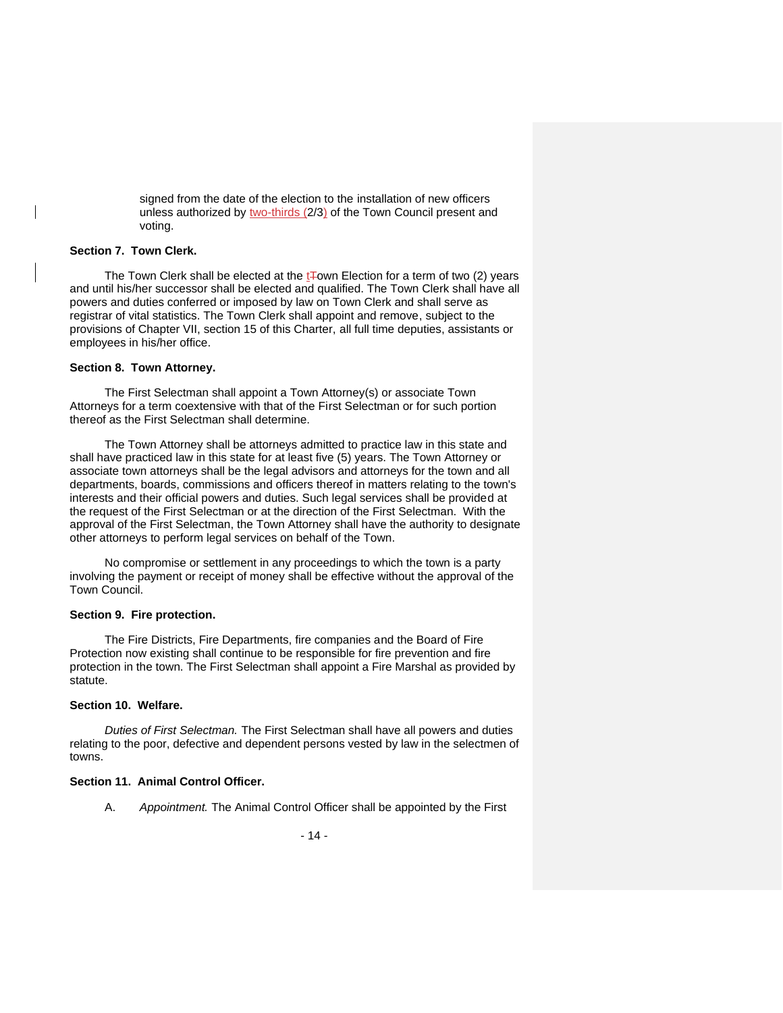signed from the date of the election to the installation of new officers unless authorized by two-thirds (2/3) of the Town Council present and voting.

## **Section 7. Town Clerk.**

The Town Clerk shall be elected at the  $t\bar{+}$ own Election for a term of two (2) years and until his/her successor shall be elected and qualified. The Town Clerk shall have all powers and duties conferred or imposed by law on Town Clerk and shall serve as registrar of vital statistics. The Town Clerk shall appoint and remove, subject to the provisions of Chapter VII, section 15 of this Charter, all full time deputies, assistants or employees in his/her office.

### **Section 8. Town Attorney.**

The First Selectman shall appoint a Town Attorney(s) or associate Town Attorneys for a term coextensive with that of the First Selectman or for such portion thereof as the First Selectman shall determine.

The Town Attorney shall be attorneys admitted to practice law in this state and shall have practiced law in this state for at least five (5) years. The Town Attorney or associate town attorneys shall be the legal advisors and attorneys for the town and all departments, boards, commissions and officers thereof in matters relating to the town's interests and their official powers and duties. Such legal services shall be provided at the request of the First Selectman or at the direction of the First Selectman. With the approval of the First Selectman, the Town Attorney shall have the authority to designate other attorneys to perform legal services on behalf of the Town.

No compromise or settlement in any proceedings to which the town is a party involving the payment or receipt of money shall be effective without the approval of the Town Council.

#### **Section 9. Fire protection.**

The Fire Districts, Fire Departments, fire companies and the Board of Fire Protection now existing shall continue to be responsible for fire prevention and fire protection in the town. The First Selectman shall appoint a Fire Marshal as provided by statute.

#### **Section 10. Welfare.**

*Duties of First Selectman.* The First Selectman shall have all powers and duties relating to the poor, defective and dependent persons vested by law in the selectmen of towns.

# **Section 11. Animal Control Officer.**

A. *Appointment.* The Animal Control Officer shall be appointed by the First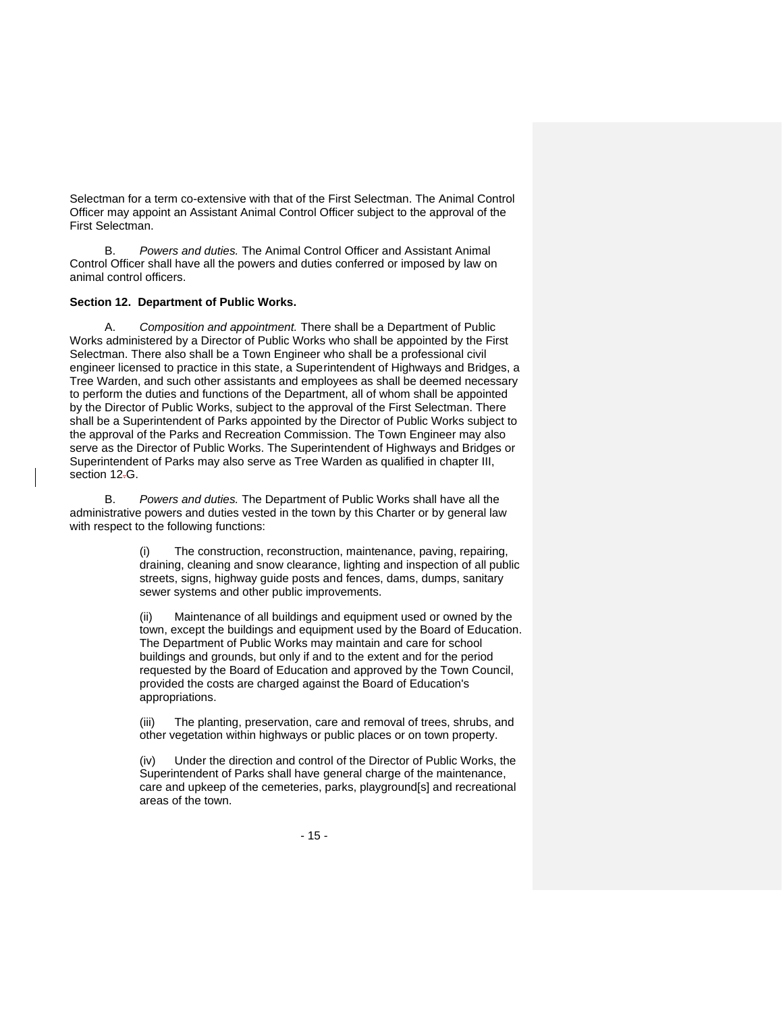Selectman for a term co-extensive with that of the First Selectman. The Animal Control Officer may appoint an Assistant Animal Control Officer subject to the approval of the First Selectman.

B. *Powers and duties.* The Animal Control Officer and Assistant Animal Control Officer shall have all the powers and duties conferred or imposed by law on animal control officers.

## **Section 12. Department of Public Works.**

A. *Composition and appointment.* There shall be a Department of Public Works administered by a Director of Public Works who shall be appointed by the First Selectman. There also shall be a Town Engineer who shall be a professional civil engineer licensed to practice in this state, a Superintendent of Highways and Bridges, a Tree Warden, and such other assistants and employees as shall be deemed necessary to perform the duties and functions of the Department, all of whom shall be appointed by the Director of Public Works, subject to the approval of the First Selectman. There shall be a Superintendent of Parks appointed by the Director of Public Works subject to the approval of the Parks and Recreation Commission. The Town Engineer may also serve as the Director of Public Works. The Superintendent of Highways and Bridges or Superintendent of Parks may also serve as Tree Warden as qualified in chapter III, section 12-G.

B. *Powers and duties.* The Department of Public Works shall have all the administrative powers and duties vested in the town by this Charter or by general law with respect to the following functions:

> The construction, reconstruction, maintenance, paving, repairing, draining, cleaning and snow clearance, lighting and inspection of all public streets, signs, highway guide posts and fences, dams, dumps, sanitary sewer systems and other public improvements.

> (ii) Maintenance of all buildings and equipment used or owned by the town, except the buildings and equipment used by the Board of Education. The Department of Public Works may maintain and care for school buildings and grounds, but only if and to the extent and for the period requested by the Board of Education and approved by the Town Council, provided the costs are charged against the Board of Education's appropriations.

(iii) The planting, preservation, care and removal of trees, shrubs, and other vegetation within highways or public places or on town property.

(iv) Under the direction and control of the Director of Public Works, the Superintendent of Parks shall have general charge of the maintenance, care and upkeep of the cemeteries, parks, playground[s] and recreational areas of the town.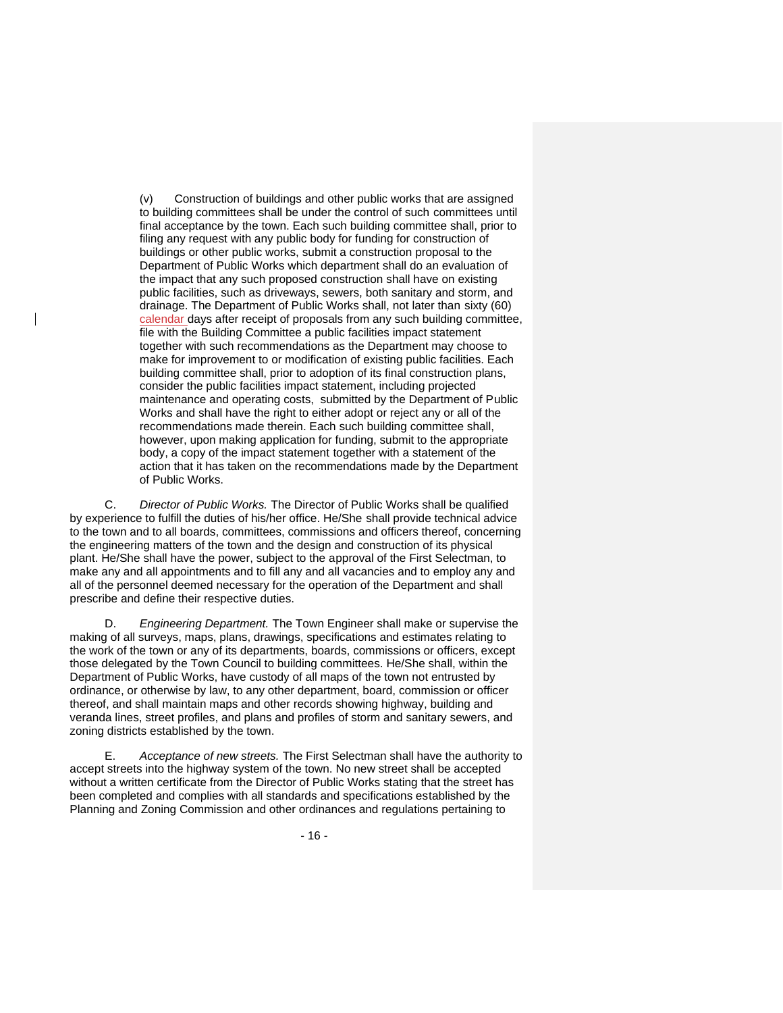(v) Construction of buildings and other public works that are assigned to building committees shall be under the control of such committees until final acceptance by the town. Each such building committee shall, prior to filing any request with any public body for funding for construction of buildings or other public works, submit a construction proposal to the Department of Public Works which department shall do an evaluation of the impact that any such proposed construction shall have on existing public facilities, such as driveways, sewers, both sanitary and storm, and drainage. The Department of Public Works shall, not later than sixty (60) calendar days after receipt of proposals from any such building committee, file with the Building Committee a public facilities impact statement together with such recommendations as the Department may choose to make for improvement to or modification of existing public facilities. Each building committee shall, prior to adoption of its final construction plans, consider the public facilities impact statement, including projected maintenance and operating costs, submitted by the Department of Public Works and shall have the right to either adopt or reject any or all of the recommendations made therein. Each such building committee shall, however, upon making application for funding, submit to the appropriate body, a copy of the impact statement together with a statement of the action that it has taken on the recommendations made by the Department of Public Works.

C. *Director of Public Works.* The Director of Public Works shall be qualified by experience to fulfill the duties of his/her office. He/She shall provide technical advice to the town and to all boards, committees, commissions and officers thereof, concerning the engineering matters of the town and the design and construction of its physical plant. He/She shall have the power, subject to the approval of the First Selectman, to make any and all appointments and to fill any and all vacancies and to employ any and all of the personnel deemed necessary for the operation of the Department and shall prescribe and define their respective duties.

D. *Engineering Department.* The Town Engineer shall make or supervise the making of all surveys, maps, plans, drawings, specifications and estimates relating to the work of the town or any of its departments, boards, commissions or officers, except those delegated by the Town Council to building committees. He/She shall, within the Department of Public Works, have custody of all maps of the town not entrusted by ordinance, or otherwise by law, to any other department, board, commission or officer thereof, and shall maintain maps and other records showing highway, building and veranda lines, street profiles, and plans and profiles of storm and sanitary sewers, and zoning districts established by the town.

E. *Acceptance of new streets.* The First Selectman shall have the authority to accept streets into the highway system of the town. No new street shall be accepted without a written certificate from the Director of Public Works stating that the street has been completed and complies with all standards and specifications established by the Planning and Zoning Commission and other ordinances and regulations pertaining to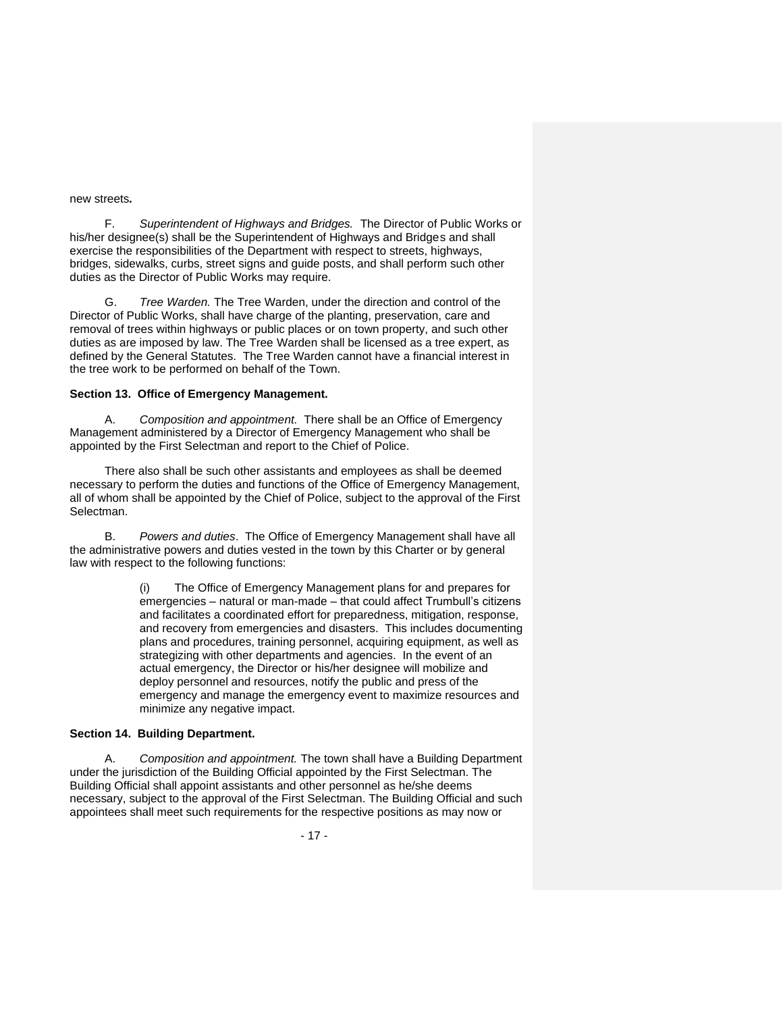#### new streets*.*

F. *Superintendent of Highways and Bridges.* The Director of Public Works or his/her designee(s) shall be the Superintendent of Highways and Bridges and shall exercise the responsibilities of the Department with respect to streets, highways, bridges, sidewalks, curbs, street signs and guide posts, and shall perform such other duties as the Director of Public Works may require.

G. *Tree Warden.* The Tree Warden, under the direction and control of the Director of Public Works, shall have charge of the planting, preservation, care and removal of trees within highways or public places or on town property, and such other duties as are imposed by law. The Tree Warden shall be licensed as a tree expert, as defined by the General Statutes. The Tree Warden cannot have a financial interest in the tree work to be performed on behalf of the Town.

### **Section 13. Office of Emergency Management.**

A. *Composition and appointment.* There shall be an Office of Emergency Management administered by a Director of Emergency Management who shall be appointed by the First Selectman and report to the Chief of Police.

There also shall be such other assistants and employees as shall be deemed necessary to perform the duties and functions of the Office of Emergency Management, all of whom shall be appointed by the Chief of Police, subject to the approval of the First Selectman.

B. *Powers and duties*. The Office of Emergency Management shall have all the administrative powers and duties vested in the town by this Charter or by general law with respect to the following functions:

> (i) The Office of Emergency Management plans for and prepares for emergencies – natural or man-made – that could affect Trumbull's citizens and facilitates a coordinated effort for preparedness, mitigation, response, and recovery from emergencies and disasters. This includes documenting plans and procedures, training personnel, acquiring equipment, as well as strategizing with other departments and agencies. In the event of an actual emergency, the Director or his/her designee will mobilize and deploy personnel and resources, notify the public and press of the emergency and manage the emergency event to maximize resources and minimize any negative impact.

## **Section 14. Building Department.**

A. *Composition and appointment.* The town shall have a Building Department under the jurisdiction of the Building Official appointed by the First Selectman. The Building Official shall appoint assistants and other personnel as he/she deems necessary, subject to the approval of the First Selectman. The Building Official and such appointees shall meet such requirements for the respective positions as may now or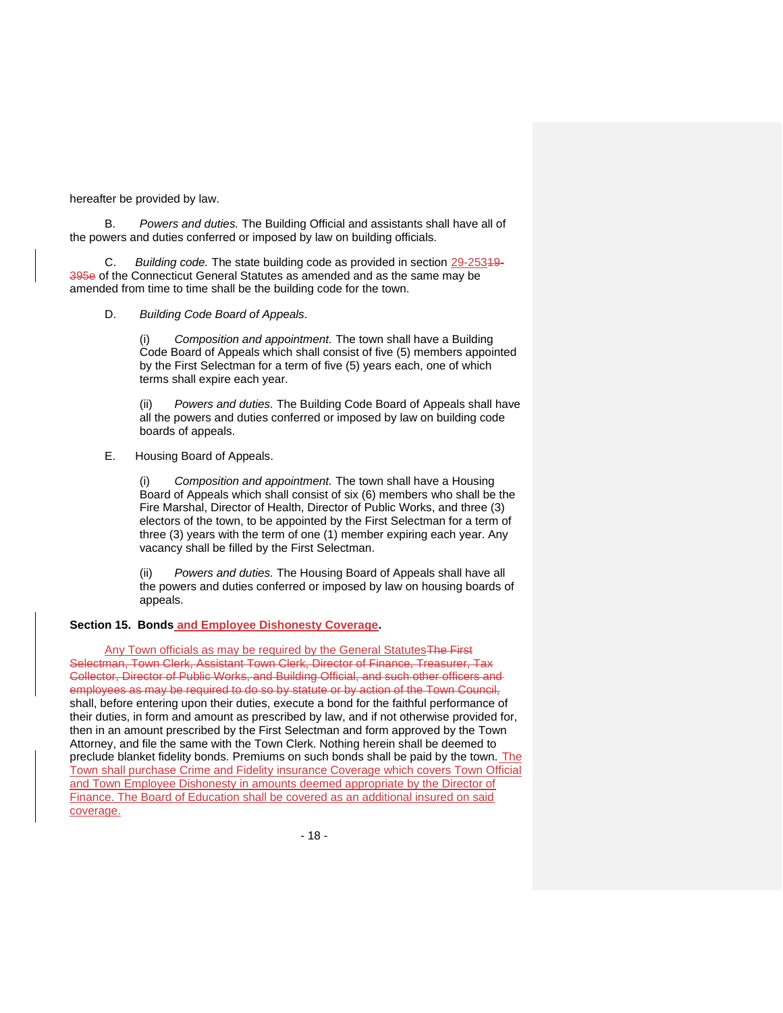hereafter be provided by law.

B. *Powers and duties.* The Building Official and assistants shall have all of the powers and duties conferred or imposed by law on building officials.

Building code. The state building code as provided in section 29-25349-395e of the Connecticut General Statutes as amended and as the same may be amended from time to time shall be the building code for the town.

D. *Building Code Board of Appeals.*

(i) *Composition and appointment.* The town shall have a Building Code Board of Appeals which shall consist of five (5) members appointed by the First Selectman for a term of five (5) years each, one of which terms shall expire each year.

Powers and duties. The Building Code Board of Appeals shall have all the powers and duties conferred or imposed by law on building code boards of appeals.

E. Housing Board of Appeals.

(i) *Composition and appointment.* The town shall have a Housing Board of Appeals which shall consist of six (6) members who shall be the Fire Marshal, Director of Health, Director of Public Works, and three (3) electors of the town, to be appointed by the First Selectman for a term of three (3) years with the term of one (1) member expiring each year. Any vacancy shall be filled by the First Selectman.

(ii) *Powers and duties.* The Housing Board of Appeals shall have all the powers and duties conferred or imposed by law on housing boards of appeals.

**Section 15. Bonds and Employee Dishonesty Coverage.** 

Any Town officials as may be required by the General Statutes The First Selectman, Town Clerk, Assistant Town Clerk, Director of Finance, Treasurer, Tax Collector, Director of Public Works, and Building Official, and such other officers and employees as may be required to do so by statute or by action of the Town Council, shall, before entering upon their duties, execute a bond for the faithful performance of their duties, in form and amount as prescribed by law, and if not otherwise provided for, then in an amount prescribed by the First Selectman and form approved by the Town Attorney, and file the same with the Town Clerk. Nothing herein shall be deemed to preclude blanket fidelity bonds. Premiums on such bonds shall be paid by the town. The Town shall purchase Crime and Fidelity insurance Coverage which covers Town Official and Town Employee Dishonesty in amounts deemed appropriate by the Director of Finance. The Board of Education shall be covered as an additional insured on said coverage.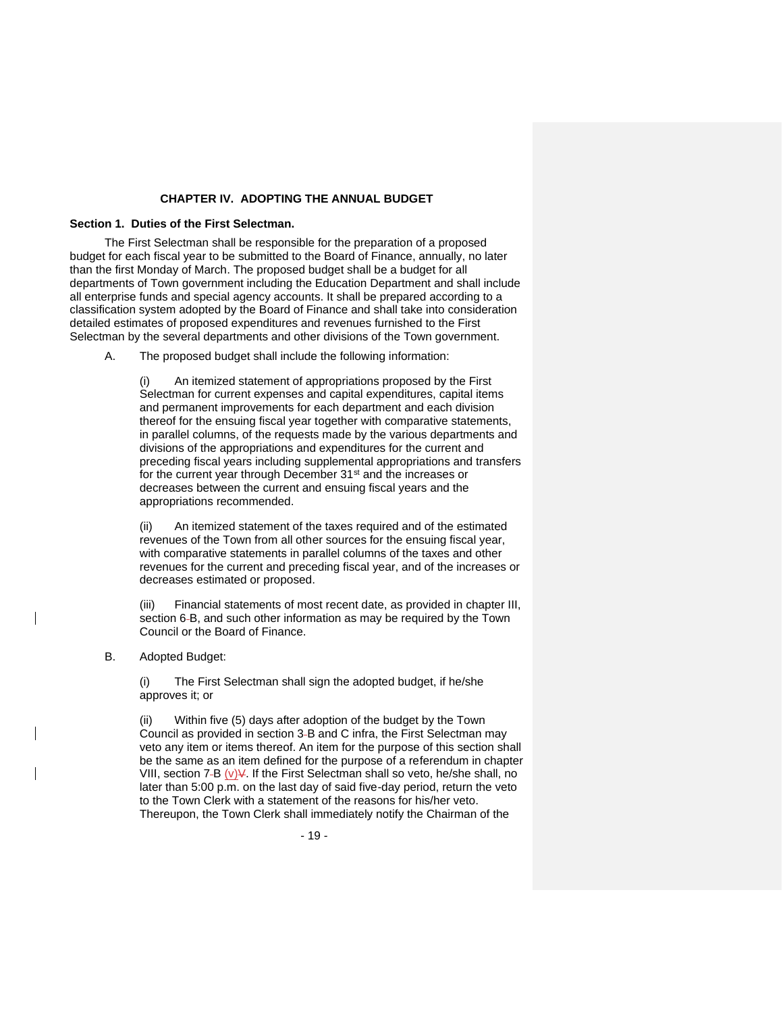## **CHAPTER IV. ADOPTING THE ANNUAL BUDGET**

## **Section 1. Duties of the First Selectman.**

The First Selectman shall be responsible for the preparation of a proposed budget for each fiscal year to be submitted to the Board of Finance, annually, no later than the first Monday of March. The proposed budget shall be a budget for all departments of Town government including the Education Department and shall include all enterprise funds and special agency accounts. It shall be prepared according to a classification system adopted by the Board of Finance and shall take into consideration detailed estimates of proposed expenditures and revenues furnished to the First Selectman by the several departments and other divisions of the Town government.

A. The proposed budget shall include the following information:

An itemized statement of appropriations proposed by the First Selectman for current expenses and capital expenditures, capital items and permanent improvements for each department and each division thereof for the ensuing fiscal year together with comparative statements, in parallel columns, of the requests made by the various departments and divisions of the appropriations and expenditures for the current and preceding fiscal years including supplemental appropriations and transfers for the current year through December 31<sup>st</sup> and the increases or decreases between the current and ensuing fiscal years and the appropriations recommended.

(ii) An itemized statement of the taxes required and of the estimated revenues of the Town from all other sources for the ensuing fiscal year, with comparative statements in parallel columns of the taxes and other revenues for the current and preceding fiscal year, and of the increases or decreases estimated or proposed.

(iii) Financial statements of most recent date, as provided in chapter III, section 6-B, and such other information as may be required by the Town Council or the Board of Finance.

B. Adopted Budget:

(i) The First Selectman shall sign the adopted budget, if he/she approves it; or

Within five (5) days after adoption of the budget by the Town Council as provided in section 3-B and C infra, the First Selectman may veto any item or items thereof. An item for the purpose of this section shall be the same as an item defined for the purpose of a referendum in chapter VIII, section 7-B  $(v)\mathcal{V}$ . If the First Selectman shall so veto, he/she shall, no later than 5:00 p.m. on the last day of said five-day period, return the veto to the Town Clerk with a statement of the reasons for his/her veto. Thereupon, the Town Clerk shall immediately notify the Chairman of the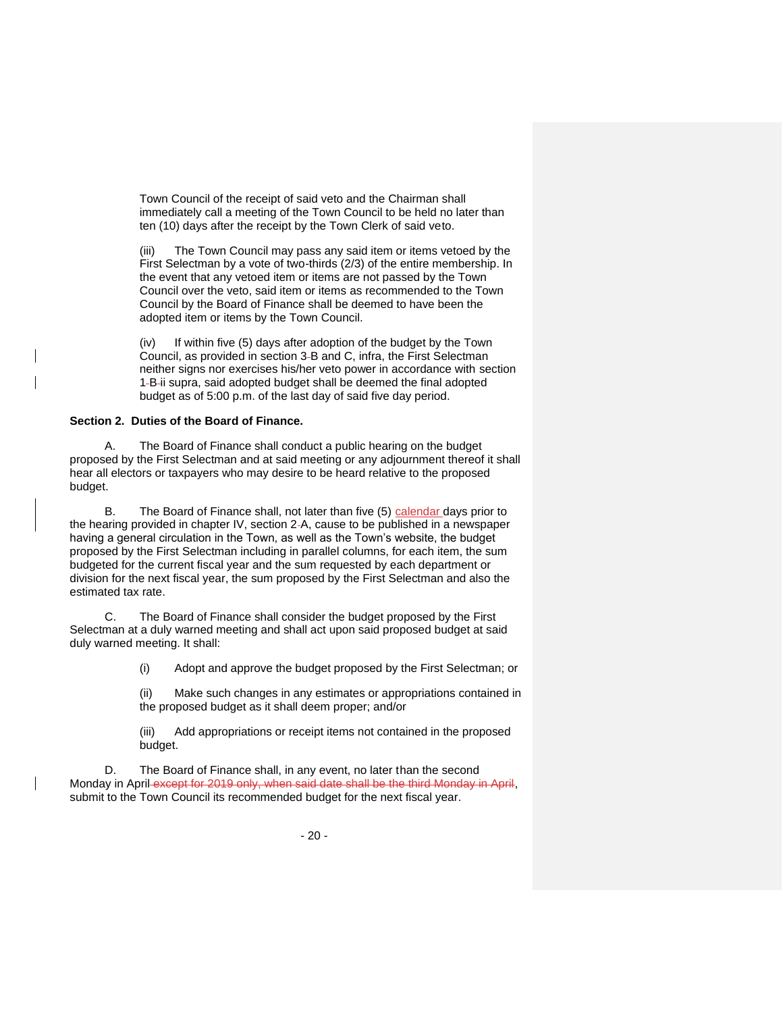Town Council of the receipt of said veto and the Chairman shall immediately call a meeting of the Town Council to be held no later than ten (10) days after the receipt by the Town Clerk of said veto.

(iii) The Town Council may pass any said item or items vetoed by the First Selectman by a vote of two-thirds (2/3) of the entire membership. In the event that any vetoed item or items are not passed by the Town Council over the veto, said item or items as recommended to the Town Council by the Board of Finance shall be deemed to have been the adopted item or items by the Town Council.

(iv) If within five (5) days after adoption of the budget by the Town Council, as provided in section 3 B and C, infra, the First Selectman neither signs nor exercises his/her veto power in accordance with section 1-B-ii supra, said adopted budget shall be deemed the final adopted budget as of 5:00 p.m. of the last day of said five day period.

#### **Section 2. Duties of the Board of Finance.**

A. The Board of Finance shall conduct a public hearing on the budget proposed by the First Selectman and at said meeting or any adjournment thereof it shall hear all electors or taxpayers who may desire to be heard relative to the proposed budget.

B. The Board of Finance shall, not later than five (5) calendar days prior to the hearing provided in chapter IV, section 2 A, cause to be published in a newspaper having a general circulation in the Town, as well as the Town's website, the budget proposed by the First Selectman including in parallel columns, for each item, the sum budgeted for the current fiscal year and the sum requested by each department or division for the next fiscal year, the sum proposed by the First Selectman and also the estimated tax rate.

C. The Board of Finance shall consider the budget proposed by the First Selectman at a duly warned meeting and shall act upon said proposed budget at said duly warned meeting. It shall:

(i) Adopt and approve the budget proposed by the First Selectman; or

(ii) Make such changes in any estimates or appropriations contained in the proposed budget as it shall deem proper; and/or

(iii) Add appropriations or receipt items not contained in the proposed budget.

D. The Board of Finance shall, in any event, no later than the second Monday in April except for 2019 only, when said date shall be the third Monday in April, submit to the Town Council its recommended budget for the next fiscal year.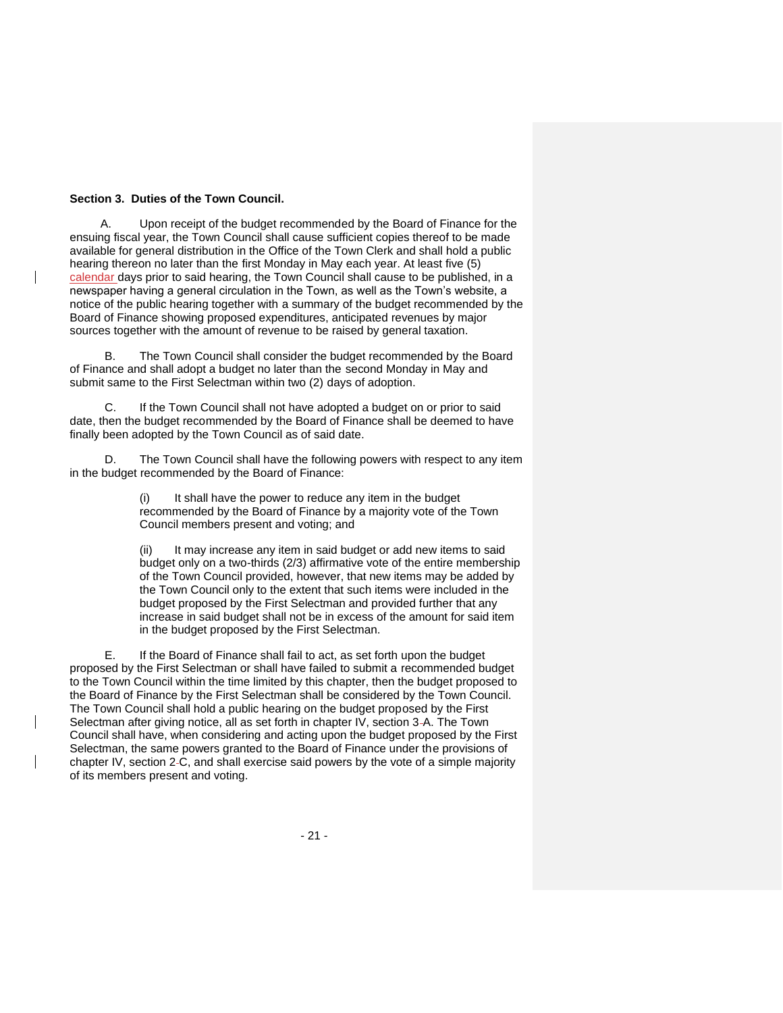## **Section 3. Duties of the Town Council.**

A. Upon receipt of the budget recommended by the Board of Finance for the ensuing fiscal year, the Town Council shall cause sufficient copies thereof to be made available for general distribution in the Office of the Town Clerk and shall hold a public hearing thereon no later than the first Monday in May each year. At least five (5) calendar days prior to said hearing, the Town Council shall cause to be published, in a newspaper having a general circulation in the Town, as well as the Town's website, a notice of the public hearing together with a summary of the budget recommended by the Board of Finance showing proposed expenditures, anticipated revenues by major sources together with the amount of revenue to be raised by general taxation.

B. The Town Council shall consider the budget recommended by the Board of Finance and shall adopt a budget no later than the second Monday in May and submit same to the First Selectman within two (2) days of adoption.

C. If the Town Council shall not have adopted a budget on or prior to said date, then the budget recommended by the Board of Finance shall be deemed to have finally been adopted by the Town Council as of said date.

The Town Council shall have the following powers with respect to any item in the budget recommended by the Board of Finance:

> $(i)$  It shall have the power to reduce any item in the budget recommended by the Board of Finance by a majority vote of the Town Council members present and voting; and

(ii) It may increase any item in said budget or add new items to said budget only on a two-thirds (2/3) affirmative vote of the entire membership of the Town Council provided, however, that new items may be added by the Town Council only to the extent that such items were included in the budget proposed by the First Selectman and provided further that any increase in said budget shall not be in excess of the amount for said item in the budget proposed by the First Selectman.

E. If the Board of Finance shall fail to act, as set forth upon the budget proposed by the First Selectman or shall have failed to submit a recommended budget to the Town Council within the time limited by this chapter, then the budget proposed to the Board of Finance by the First Selectman shall be considered by the Town Council. The Town Council shall hold a public hearing on the budget proposed by the First Selectman after giving notice, all as set forth in chapter IV, section 3-A. The Town Council shall have, when considering and acting upon the budget proposed by the First Selectman, the same powers granted to the Board of Finance under the provisions of chapter IV, section 2 C, and shall exercise said powers by the vote of a simple majority of its members present and voting.

- 21 -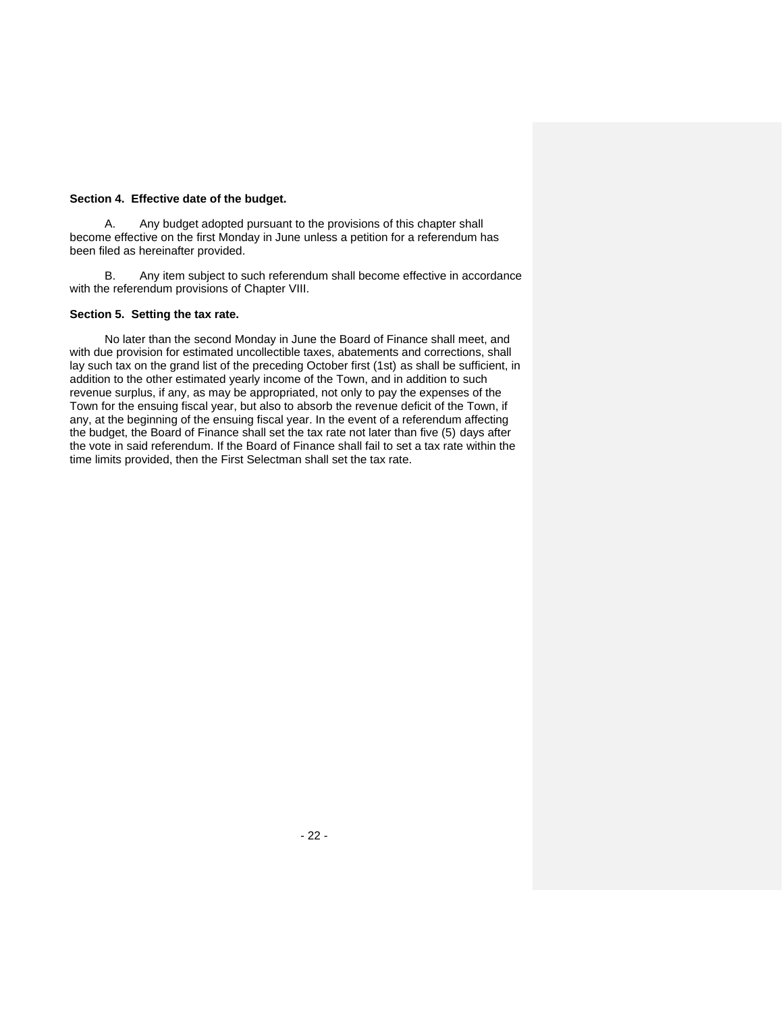## **Section 4. Effective date of the budget.**

A. Any budget adopted pursuant to the provisions of this chapter shall become effective on the first Monday in June unless a petition for a referendum has been filed as hereinafter provided.

B. Any item subject to such referendum shall become effective in accordance with the referendum provisions of Chapter VIII.

### **Section 5. Setting the tax rate.**

No later than the second Monday in June the Board of Finance shall meet, and with due provision for estimated uncollectible taxes, abatements and corrections, shall lay such tax on the grand list of the preceding October first (1st) as shall be sufficient, in addition to the other estimated yearly income of the Town, and in addition to such revenue surplus, if any, as may be appropriated, not only to pay the expenses of the Town for the ensuing fiscal year, but also to absorb the revenue deficit of the Town, if any, at the beginning of the ensuing fiscal year. In the event of a referendum affecting the budget, the Board of Finance shall set the tax rate not later than five (5) days after the vote in said referendum. If the Board of Finance shall fail to set a tax rate within the time limits provided, then the First Selectman shall set the tax rate.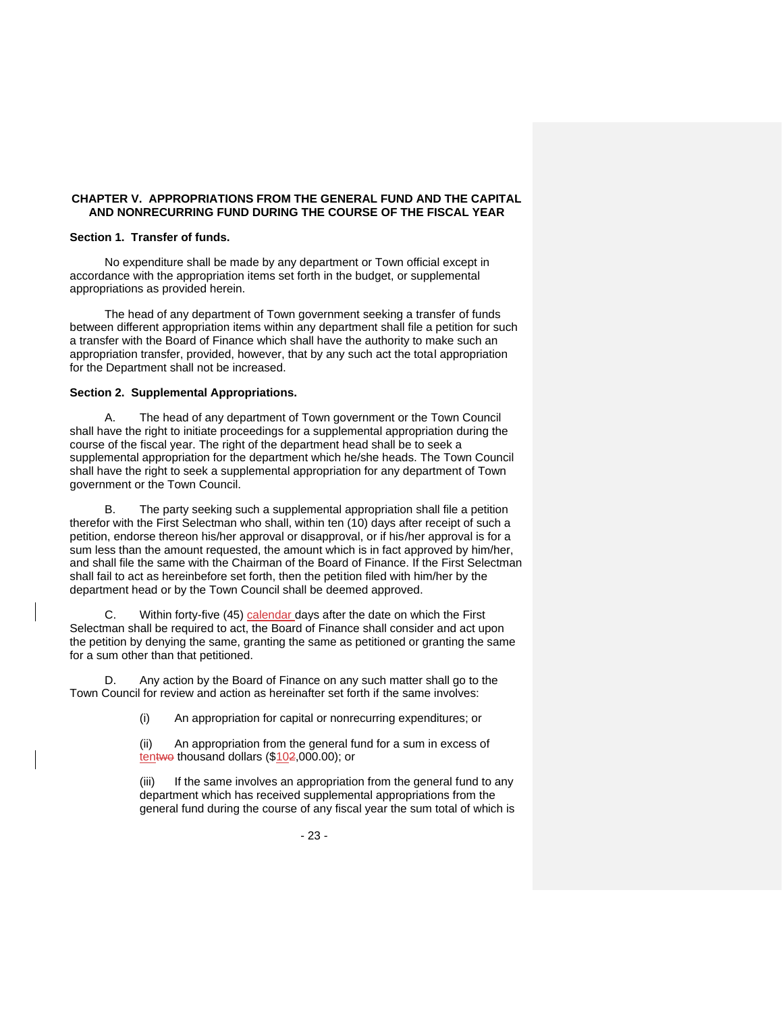## **CHAPTER V. APPROPRIATIONS FROM THE GENERAL FUND AND THE CAPITAL AND NONRECURRING FUND DURING THE COURSE OF THE FISCAL YEAR**

### **Section 1. Transfer of funds.**

No expenditure shall be made by any department or Town official except in accordance with the appropriation items set forth in the budget, or supplemental appropriations as provided herein.

The head of any department of Town government seeking a transfer of funds between different appropriation items within any department shall file a petition for such a transfer with the Board of Finance which shall have the authority to make such an appropriation transfer, provided, however, that by any such act the total appropriation for the Department shall not be increased.

### **Section 2. Supplemental Appropriations.**

A. The head of any department of Town government or the Town Council shall have the right to initiate proceedings for a supplemental appropriation during the course of the fiscal year. The right of the department head shall be to seek a supplemental appropriation for the department which he/she heads. The Town Council shall have the right to seek a supplemental appropriation for any department of Town government or the Town Council.

B. The party seeking such a supplemental appropriation shall file a petition therefor with the First Selectman who shall, within ten (10) days after receipt of such a petition, endorse thereon his/her approval or disapproval, or if his/her approval is for a sum less than the amount requested, the amount which is in fact approved by him/her, and shall file the same with the Chairman of the Board of Finance. If the First Selectman shall fail to act as hereinbefore set forth, then the petition filed with him/her by the department head or by the Town Council shall be deemed approved.

C. Within forty-five (45) calendar days after the date on which the First Selectman shall be required to act, the Board of Finance shall consider and act upon the petition by denying the same, granting the same as petitioned or granting the same for a sum other than that petitioned.

D. Any action by the Board of Finance on any such matter shall go to the Town Council for review and action as hereinafter set forth if the same involves:

(i) An appropriation for capital or nonrecurring expenditures; or

(ii) An appropriation from the general fund for a sum in excess of tentwo thousand dollars (\$102,000.00); or

(iii) If the same involves an appropriation from the general fund to any department which has received supplemental appropriations from the general fund during the course of any fiscal year the sum total of which is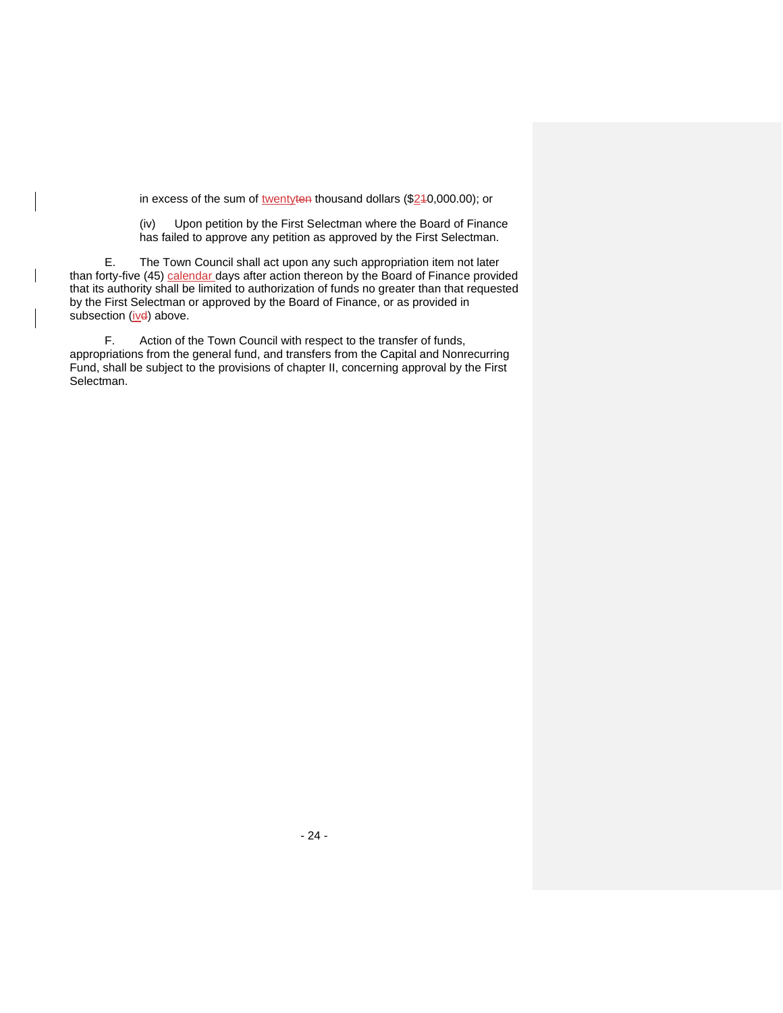in excess of the sum of twentyten thousand dollars (\$240,000.00); or

(iv) Upon petition by the First Selectman where the Board of Finance has failed to approve any petition as approved by the First Selectman.

E. The Town Council shall act upon any such appropriation item not later than forty-five (45) calendar days after action thereon by the Board of Finance provided that its authority shall be limited to authorization of funds no greater than that requested by the First Selectman or approved by the Board of Finance, or as provided in subsection  $(i\nu d)$  above.

 $\overline{\phantom{a}}$ 

F. Action of the Town Council with respect to the transfer of funds, appropriations from the general fund, and transfers from the Capital and Nonrecurring Fund, shall be subject to the provisions of chapter II, concerning approval by the First Selectman.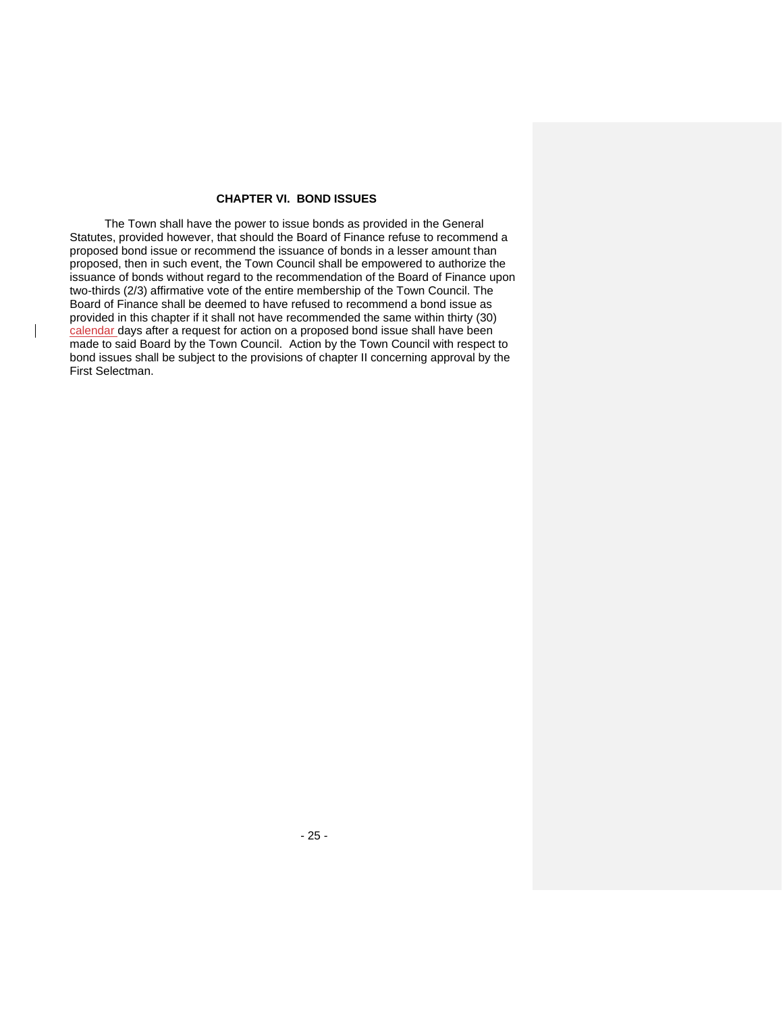# **CHAPTER VI. BOND ISSUES**

The Town shall have the power to issue bonds as provided in the General Statutes, provided however, that should the Board of Finance refuse to recommend a proposed bond issue or recommend the issuance of bonds in a lesser amount than proposed, then in such event, the Town Council shall be empowered to authorize the issuance of bonds without regard to the recommendation of the Board of Finance upon two-thirds (2/3) affirmative vote of the entire membership of the Town Council. The Board of Finance shall be deemed to have refused to recommend a bond issue as provided in this chapter if it shall not have recommended the same within thirty (30) calendar days after a request for action on a proposed bond issue shall have been made to said Board by the Town Council.Action by the Town Council with respect to bond issues shall be subject to the provisions of chapter II concerning approval by the First Selectman.

 $\overline{\phantom{a}}$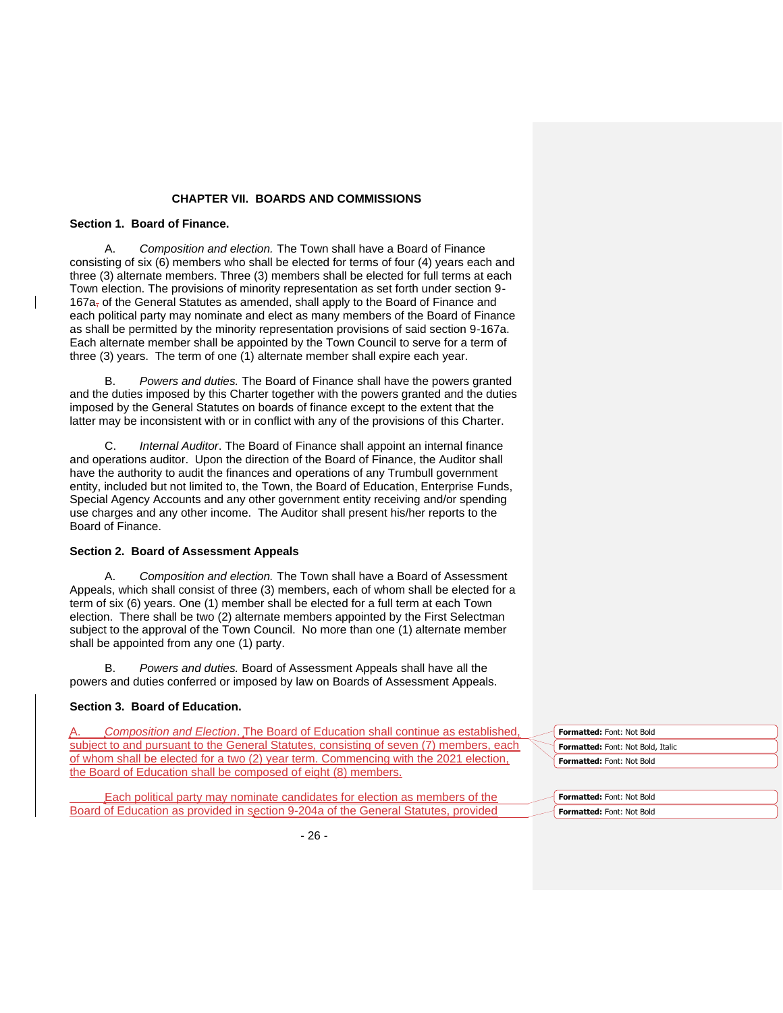## **CHAPTER VII. BOARDS AND COMMISSIONS**

## **Section 1. Board of Finance.**

A. *Composition and election.* The Town shall have a Board of Finance consisting of six (6) members who shall be elected for terms of four (4) years each and three (3) alternate members. Three (3) members shall be elected for full terms at each Town election. The provisions of minority representation as set forth under section 9- 167a<sub>r</sub> of the General Statutes as amended, shall apply to the Board of Finance and each political party may nominate and elect as many members of the Board of Finance as shall be permitted by the minority representation provisions of said section 9-167a. Each alternate member shall be appointed by the Town Council to serve for a term of three (3) years. The term of one (1) alternate member shall expire each year.

B. *Powers and duties.* The Board of Finance shall have the powers granted and the duties imposed by this Charter together with the powers granted and the duties imposed by the General Statutes on boards of finance except to the extent that the latter may be inconsistent with or in conflict with any of the provisions of this Charter.

*Internal Auditor. The Board of Finance shall appoint an internal finance* and operations auditor. Upon the direction of the Board of Finance, the Auditor shall have the authority to audit the finances and operations of any Trumbull government entity, included but not limited to, the Town, the Board of Education, Enterprise Funds, Special Agency Accounts and any other government entity receiving and/or spending use charges and any other income. The Auditor shall present his/her reports to the Board of Finance.

### **Section 2. Board of Assessment Appeals**

A. *Composition and election.* The Town shall have a Board of Assessment Appeals, which shall consist of three (3) members, each of whom shall be elected for a term of six (6) years. One (1) member shall be elected for a full term at each Town election. There shall be two (2) alternate members appointed by the First Selectman subject to the approval of the Town Council. No more than one (1) alternate member shall be appointed from any one (1) party.

Powers and duties. Board of Assessment Appeals shall have all the powers and duties conferred or imposed by law on Boards of Assessment Appeals.

## **Section 3. Board of Education.**

Composition and Election. The Board of Education shall continue as established, subject to and pursuant to the General Statutes, consisting of seven (7) members, each of whom shall be elected for a two (2) year term. Commencing with the 2021 election, the Board of Education shall be composed of eight (8) members.

Each political party may nominate candidates for election as members of the Board of Education as provided in section 9-204a of the General Statutes, provided

| Formatted: Font: Not Bold                |
|------------------------------------------|
| <b>Formatted:</b> Font: Not Bold, Italic |
| Formatted: Font: Not Bold                |
|                                          |

| Formatted: Font: Not Bold        |
|----------------------------------|
| <b>Formatted: Font: Not Bold</b> |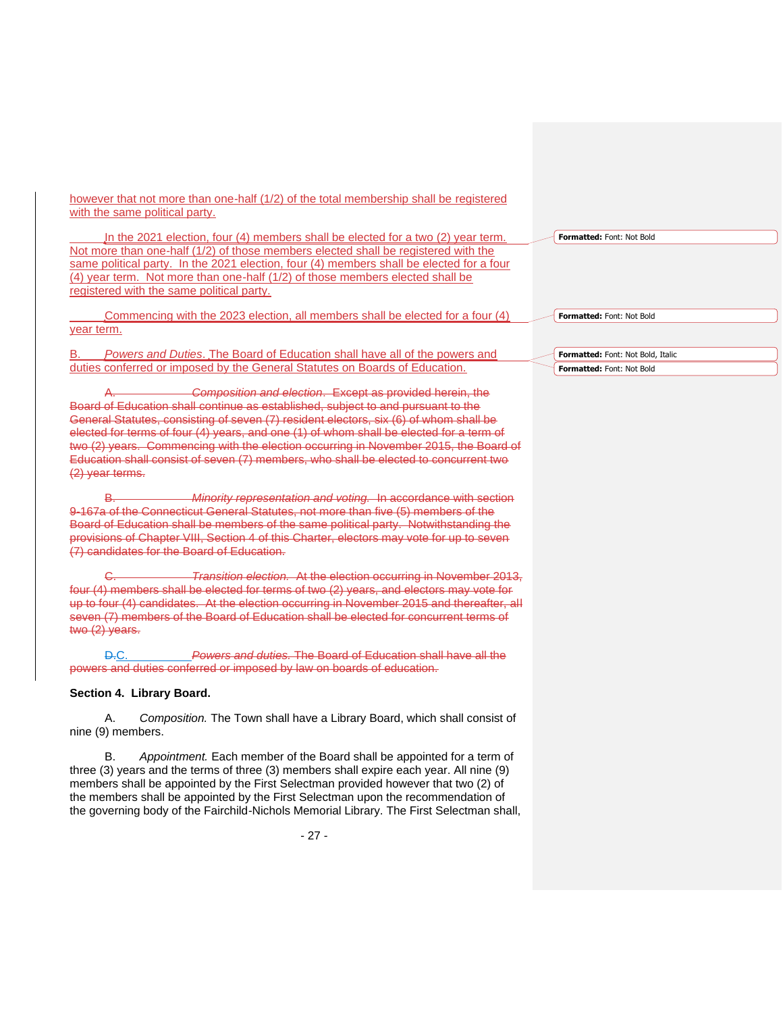however that not more than one-half (1/2) of the total membership shall be registered with the same political party.

In the 2021 election, four (4) members shall be elected for a two (2) year term. Not more than one-half (1/2) of those members elected shall be registered with the same political party. In the 2021 election, four (4) members shall be elected for a four (4) year term. Not more than one-half (1/2) of those members elected shall be registered with the same political party.

Commencing with the 2023 election, all members shall be elected for a four (4) vear term.

B. *Powers and Duties*. The Board of Education shall have all of the powers and duties conferred or imposed by the General Statutes on Boards of Education.

A. *Composition and election*. Except as provided herein, the Board of Education shall continue as established, subject to and pursuant to the General Statutes, consisting of seven (7) resident electors, six (6) of whom shall be elected for terms of four (4) years, and one (1) of whom shall be elected for a term of two (2) years. Commencing with the election occurring in November 2015, the Board of Education shall consist of seven (7) members, who shall be elected to concurrent two (2) year terms.

B. *Minority representation and voting.* In accordance with section 9-167a of the Connecticut General Statutes, not more than five (5) members of the Board of Education shall be members of the same political party. Notwithstanding the provisions of Chapter VIII, Section 4 of this Charter, electors may vote for up to seven (7) candidates for the Board of Education.

C. *Transition election.* At the election occurring in November 2013, four (4) members shall be elected for terms of two (2) years, and electors may vote for up to four (4) candidates. At the election occurring in November 2015 and thereafter, all seven (7) members of the Board of Education shall be elected for concurrent terms of two (2) years.

D.C. *Powers and duties.* The Board of Education shall have all the powers and duties conferred or imposed by law on boards of education.

#### **Section 4. Library Board.**

A. *Composition.* The Town shall have a Library Board, which shall consist of nine (9) members.

B. *Appointment.* Each member of the Board shall be appointed for a term of three (3) years and the terms of three (3) members shall expire each year. All nine (9) members shall be appointed by the First Selectman provided however that two (2) of the members shall be appointed by the First Selectman upon the recommendation of the governing body of the Fairchild-Nichols Memorial Library. The First Selectman shall,

**Formatted:** Font: Not Bold

**Formatted:** Font: Not Bold, Italic **Formatted:** Font: Not Bold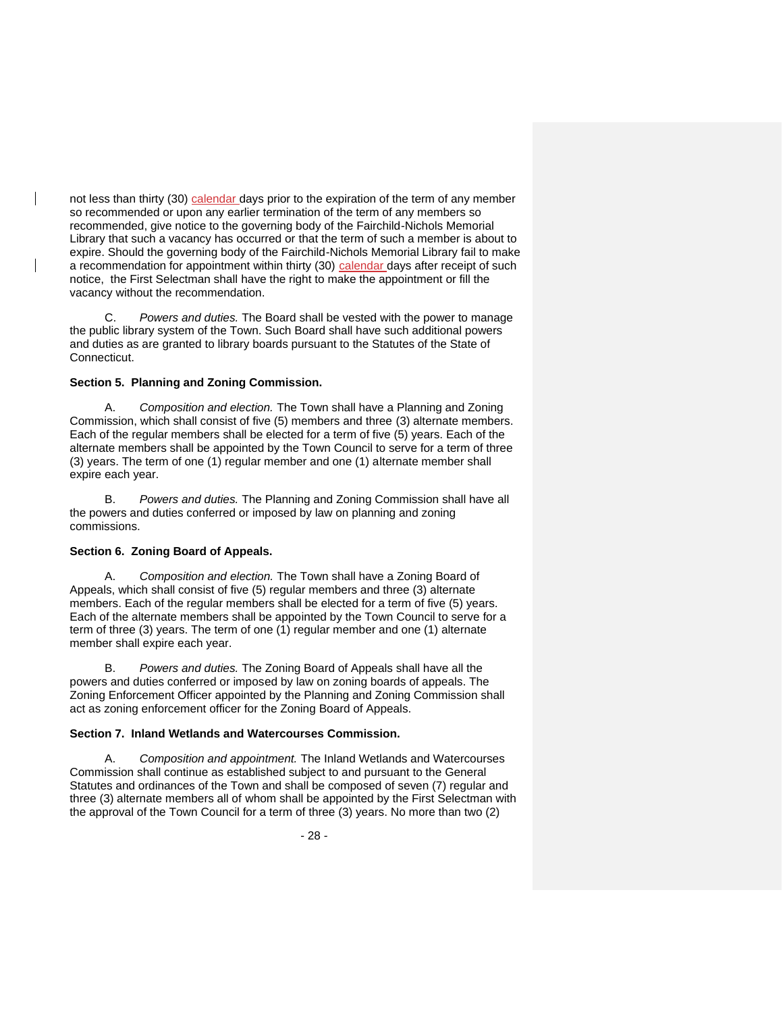not less than thirty (30) calendar days prior to the expiration of the term of any member so recommended or upon any earlier termination of the term of any members so recommended, give notice to the governing body of the Fairchild-Nichols Memorial Library that such a vacancy has occurred or that the term of such a member is about to expire. Should the governing body of the Fairchild-Nichols Memorial Library fail to make a recommendation for appointment within thirty (30) calendar days after receipt of such notice, the First Selectman shall have the right to make the appointment or fill the vacancy without the recommendation.

Powers and duties. The Board shall be vested with the power to manage the public library system of the Town. Such Board shall have such additional powers and duties as are granted to library boards pursuant to the Statutes of the State of Connecticut.

### **Section 5. Planning and Zoning Commission.**

A. *Composition and election.* The Town shall have a Planning and Zoning Commission, which shall consist of five (5) members and three (3) alternate members. Each of the regular members shall be elected for a term of five (5) years. Each of the alternate members shall be appointed by the Town Council to serve for a term of three (3) years. The term of one (1) regular member and one (1) alternate member shall expire each year.

B. *Powers and duties.* The Planning and Zoning Commission shall have all the powers and duties conferred or imposed by law on planning and zoning commissions.

## **Section 6. Zoning Board of Appeals.**

A. *Composition and election.* The Town shall have a Zoning Board of Appeals, which shall consist of five (5) regular members and three (3) alternate members. Each of the regular members shall be elected for a term of five (5) years. Each of the alternate members shall be appointed by the Town Council to serve for a term of three (3) years. The term of one (1) regular member and one (1) alternate member shall expire each year.

B. *Powers and duties.* The Zoning Board of Appeals shall have all the powers and duties conferred or imposed by law on zoning boards of appeals. The Zoning Enforcement Officer appointed by the Planning and Zoning Commission shall act as zoning enforcement officer for the Zoning Board of Appeals.

## **Section 7. Inland Wetlands and Watercourses Commission.**

A. *Composition and appointment.* The Inland Wetlands and Watercourses Commission shall continue as established subject to and pursuant to the General Statutes and ordinances of the Town and shall be composed of seven (7) regular and three (3) alternate members all of whom shall be appointed by the First Selectman with the approval of the Town Council for a term of three (3) years. No more than two (2)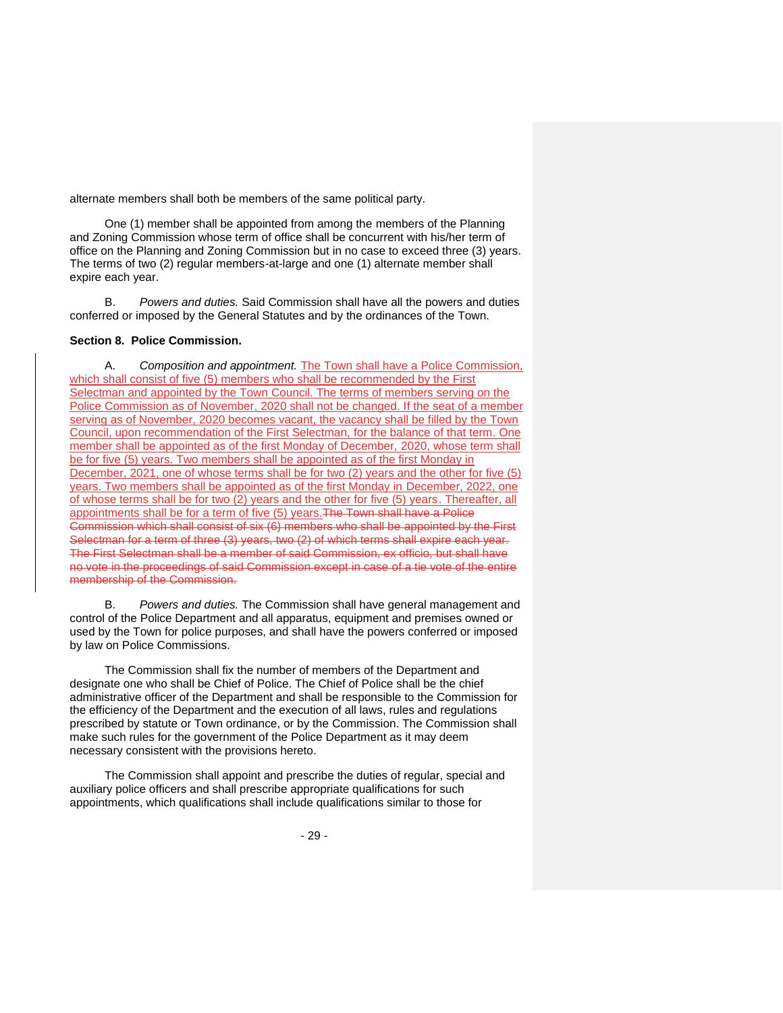alternate members shall both be members of the same political party.

One (1) member shall be appointed from among the members of the Planning and Zoning Commission whose term of office shall be concurrent with his/her term of office on the Planning and Zoning Commission but in no case to exceed three (3) years. The terms of two (2) regular members-at-large and one (1) alternate member shall expire each year.

B. *Powers and duties.* Said Commission shall have all the powers and duties conferred or imposed by the General Statutes and by the ordinances of the Town.

#### **Section 8. Police Commission.**

A. *Composition and appointment.* The Town shall have a Police Commission, which shall consist of five (5) members who shall be recommended by the First Selectman and appointed by the Town Council. The terms of members serving on the Police Commission as of November, 2020 shall not be changed. If the seat of a member serving as of November, 2020 becomes vacant, the vacancy shall be filled by the Town Council, upon recommendation of the First Selectman, for the balance of that term. One member shall be appointed as of the first Monday of December, 2020, whose term shall be for five (5) years. Two members shall be appointed as of the first Monday in December, 2021, one of whose terms shall be for two (2) years and the other for five (5) years. Two members shall be appointed as of the first Monday in December, 2022, one of whose terms shall be for two (2) years and the other for five (5) years. Thereafter, all appointments shall be for a term of five (5) years. The Town shall have a Police Commission which shall consist of six (6) members who shall be appointed by the First Selectman for a term of three (3) years, two (2) of which terms shall expire each year. The First Selectman shall be a member of said Commission, ex officio, but shall have no vote in the proceedings of said Commission except in case of a tie vote of the entire membership of the Commission.

B. *Powers and duties.* The Commission shall have general management and control of the Police Department and all apparatus, equipment and premises owned or used by the Town for police purposes, and shall have the powers conferred or imposed by law on Police Commissions.

The Commission shall fix the number of members of the Department and designate one who shall be Chief of Police. The Chief of Police shall be the chief administrative officer of the Department and shall be responsible to the Commission for the efficiency of the Department and the execution of all laws, rules and regulations prescribed by statute or Town ordinance, or by the Commission. The Commission shall make such rules for the government of the Police Department as it may deem necessary consistent with the provisions hereto.

The Commission shall appoint and prescribe the duties of regular, special and auxiliary police officers and shall prescribe appropriate qualifications for such appointments, which qualifications shall include qualifications similar to those for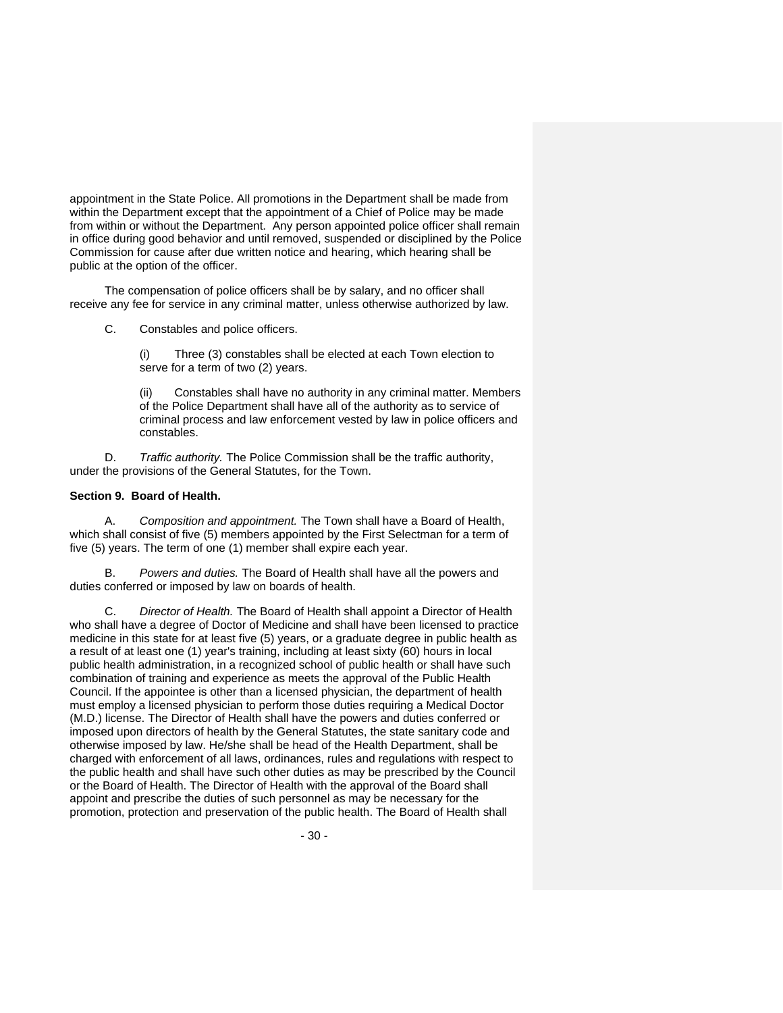appointment in the State Police. All promotions in the Department shall be made from within the Department except that the appointment of a Chief of Police may be made from within or without the Department. Any person appointed police officer shall remain in office during good behavior and until removed, suspended or disciplined by the Police Commission for cause after due written notice and hearing, which hearing shall be public at the option of the officer.

The compensation of police officers shall be by salary, and no officer shall receive any fee for service in any criminal matter, unless otherwise authorized by law.

C. Constables and police officers.

(i) Three (3) constables shall be elected at each Town election to serve for a term of two (2) years.

(ii) Constables shall have no authority in any criminal matter. Members of the Police Department shall have all of the authority as to service of criminal process and law enforcement vested by law in police officers and constables.

D. *Traffic authority.* The Police Commission shall be the traffic authority, under the provisions of the General Statutes, for the Town.

#### **Section 9. Board of Health.**

A. *Composition and appointment.* The Town shall have a Board of Health, which shall consist of five (5) members appointed by the First Selectman for a term of five (5) years. The term of one (1) member shall expire each year.

B. *Powers and duties.* The Board of Health shall have all the powers and duties conferred or imposed by law on boards of health.

C. *Director of Health.* The Board of Health shall appoint a Director of Health who shall have a degree of Doctor of Medicine and shall have been licensed to practice medicine in this state for at least five (5) years, or a graduate degree in public health as a result of at least one (1) year's training, including at least sixty (60) hours in local public health administration, in a recognized school of public health or shall have such combination of training and experience as meets the approval of the Public Health Council. If the appointee is other than a licensed physician, the department of health must employ a licensed physician to perform those duties requiring a Medical Doctor (M.D.) license. The Director of Health shall have the powers and duties conferred or imposed upon directors of health by the General Statutes, the state sanitary code and otherwise imposed by law. He/she shall be head of the Health Department, shall be charged with enforcement of all laws, ordinances, rules and regulations with respect to the public health and shall have such other duties as may be prescribed by the Council or the Board of Health. The Director of Health with the approval of the Board shall appoint and prescribe the duties of such personnel as may be necessary for the promotion, protection and preservation of the public health. The Board of Health shall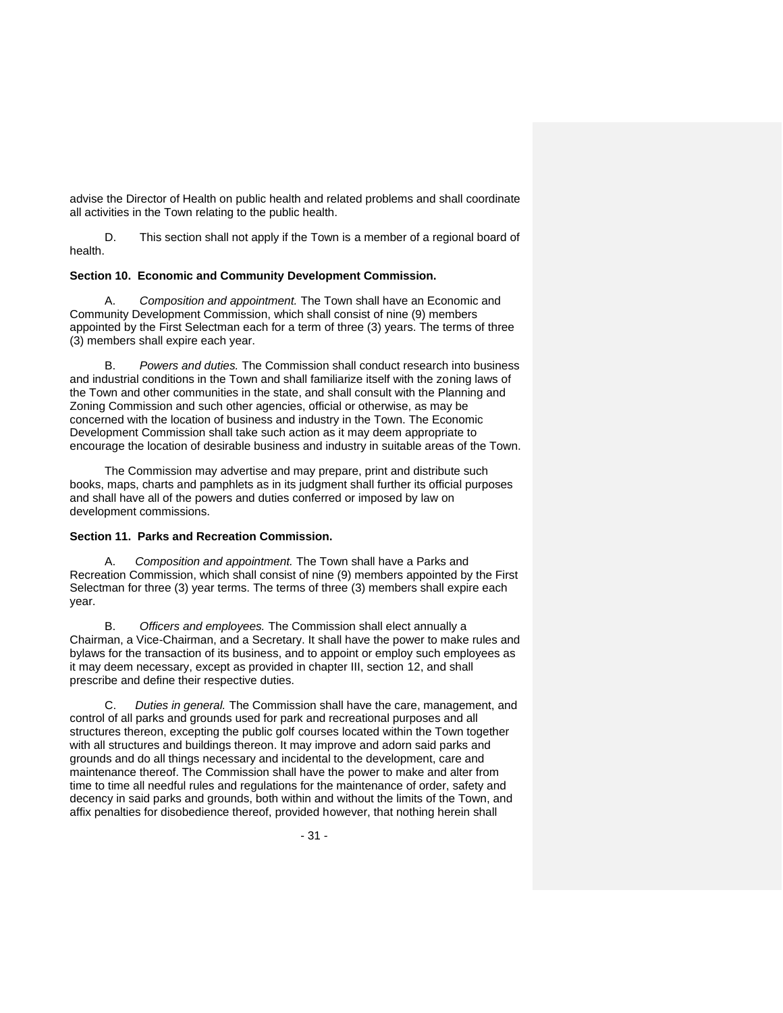advise the Director of Health on public health and related problems and shall coordinate all activities in the Town relating to the public health.

D. This section shall not apply if the Town is a member of a regional board of health.

## **Section 10. Economic and Community Development Commission.**

A. *Composition and appointment.* The Town shall have an Economic and Community Development Commission, which shall consist of nine (9) members appointed by the First Selectman each for a term of three (3) years. The terms of three (3) members shall expire each year.

B. *Powers and duties.* The Commission shall conduct research into business and industrial conditions in the Town and shall familiarize itself with the zoning laws of the Town and other communities in the state, and shall consult with the Planning and Zoning Commission and such other agencies, official or otherwise, as may be concerned with the location of business and industry in the Town. The Economic Development Commission shall take such action as it may deem appropriate to encourage the location of desirable business and industry in suitable areas of the Town.

The Commission may advertise and may prepare, print and distribute such books, maps, charts and pamphlets as in its judgment shall further its official purposes and shall have all of the powers and duties conferred or imposed by law on development commissions.

#### **Section 11. Parks and Recreation Commission.**

A. *Composition and appointment.* The Town shall have a Parks and Recreation Commission, which shall consist of nine (9) members appointed by the First Selectman for three (3) year terms. The terms of three (3) members shall expire each year.

B. *Officers and employees.* The Commission shall elect annually a Chairman, a Vice-Chairman, and a Secretary. It shall have the power to make rules and bylaws for the transaction of its business, and to appoint or employ such employees as it may deem necessary, except as provided in chapter III, section 12, and shall prescribe and define their respective duties.

C. *Duties in general.* The Commission shall have the care, management, and control of all parks and grounds used for park and recreational purposes and all structures thereon, excepting the public golf courses located within the Town together with all structures and buildings thereon. It may improve and adorn said parks and grounds and do all things necessary and incidental to the development, care and maintenance thereof. The Commission shall have the power to make and alter from time to time all needful rules and regulations for the maintenance of order, safety and decency in said parks and grounds, both within and without the limits of the Town, and affix penalties for disobedience thereof, provided however, that nothing herein shall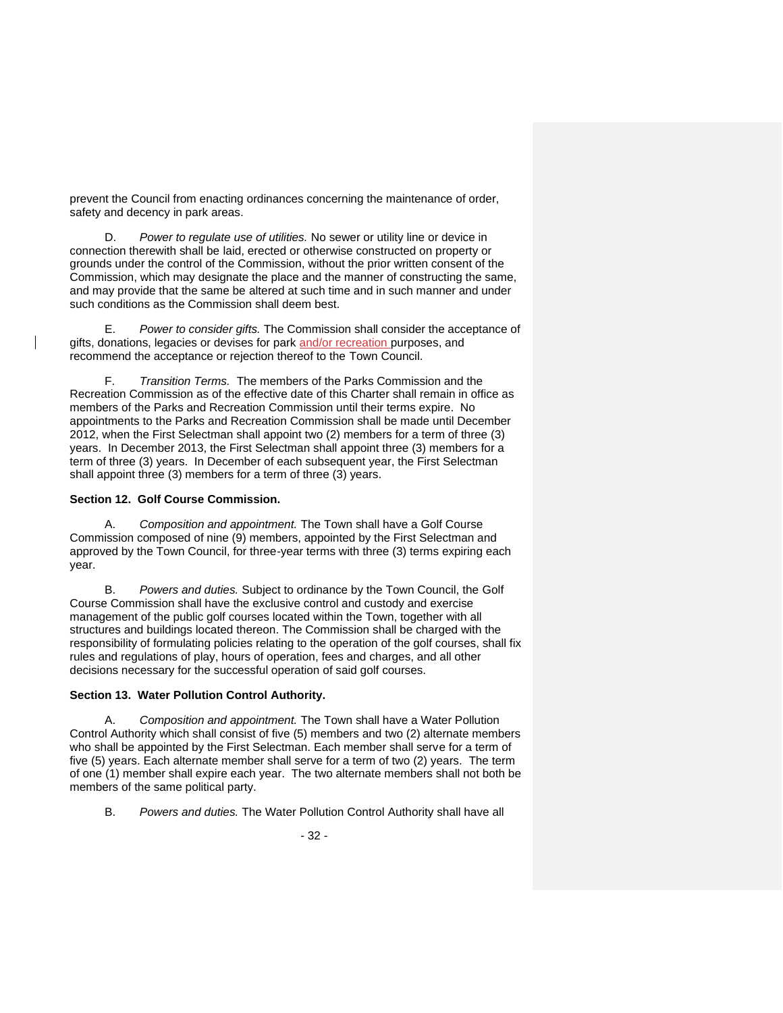prevent the Council from enacting ordinances concerning the maintenance of order, safety and decency in park areas.

D. *Power to regulate use of utilities.* No sewer or utility line or device in connection therewith shall be laid, erected or otherwise constructed on property or grounds under the control of the Commission, without the prior written consent of the Commission, which may designate the place and the manner of constructing the same, and may provide that the same be altered at such time and in such manner and under such conditions as the Commission shall deem best.

E. *Power to consider gifts.* The Commission shall consider the acceptance of gifts, donations, legacies or devises for park and/or recreation purposes, and recommend the acceptance or rejection thereof to the Town Council.

F. *Transition Terms.* The members of the Parks Commission and the Recreation Commission as of the effective date of this Charter shall remain in office as members of the Parks and Recreation Commission until their terms expire. No appointments to the Parks and Recreation Commission shall be made until December 2012, when the First Selectman shall appoint two (2) members for a term of three (3) years. In December 2013, the First Selectman shall appoint three (3) members for a term of three (3) years. In December of each subsequent year, the First Selectman shall appoint three (3) members for a term of three (3) years.

# **Section 12. Golf Course Commission.**

A. *Composition and appointment.* The Town shall have a Golf Course Commission composed of nine (9) members, appointed by the First Selectman and approved by the Town Council, for three-year terms with three (3) terms expiring each year.

B. *Powers and duties.* Subject to ordinance by the Town Council, the Golf Course Commission shall have the exclusive control and custody and exercise management of the public golf courses located within the Town, together with all structures and buildings located thereon. The Commission shall be charged with the responsibility of formulating policies relating to the operation of the golf courses, shall fix rules and regulations of play, hours of operation, fees and charges, and all other decisions necessary for the successful operation of said golf courses.

## **Section 13. Water Pollution Control Authority.**

A. *Composition and appointment.* The Town shall have a Water Pollution Control Authority which shall consist of five (5) members and two (2) alternate members who shall be appointed by the First Selectman. Each member shall serve for a term of five (5) years. Each alternate member shall serve for a term of two (2) years. The term of one (1) member shall expire each year. The two alternate members shall not both be members of the same political party.

B. *Powers and duties.* The Water Pollution Control Authority shall have all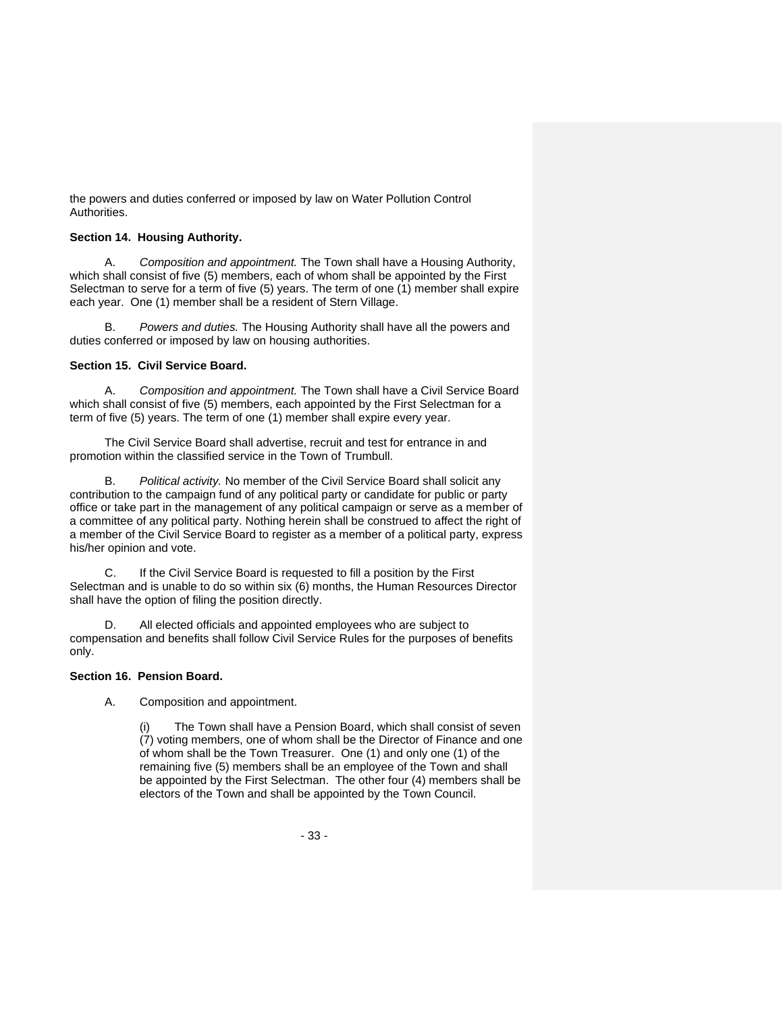the powers and duties conferred or imposed by law on Water Pollution Control Authorities.

## **Section 14. Housing Authority.**

A. *Composition and appointment.* The Town shall have a Housing Authority, which shall consist of five (5) members, each of whom shall be appointed by the First Selectman to serve for a term of five (5) years. The term of one (1) member shall expire each year. One (1) member shall be a resident of Stern Village.

B. *Powers and duties.* The Housing Authority shall have all the powers and duties conferred or imposed by law on housing authorities.

# **Section 15. Civil Service Board.**

A. *Composition and appointment.* The Town shall have a Civil Service Board which shall consist of five (5) members, each appointed by the First Selectman for a term of five (5) years. The term of one (1) member shall expire every year.

The Civil Service Board shall advertise, recruit and test for entrance in and promotion within the classified service in the Town of Trumbull.

B. *Political activity.* No member of the Civil Service Board shall solicit any contribution to the campaign fund of any political party or candidate for public or party office or take part in the management of any political campaign or serve as a member of a committee of any political party. Nothing herein shall be construed to affect the right of a member of the Civil Service Board to register as a member of a political party, express his/her opinion and vote.

C. If the Civil Service Board is requested to fill a position by the First Selectman and is unable to do so within six (6) months, the Human Resources Director shall have the option of filing the position directly.

D. All elected officials and appointed employees who are subject to compensation and benefits shall follow Civil Service Rules for the purposes of benefits only.

## **Section 16. Pension Board.**

A. Composition and appointment.

The Town shall have a Pension Board, which shall consist of seven (7) voting members, one of whom shall be the Director of Finance and one of whom shall be the Town Treasurer. One (1) and only one (1) of the remaining five (5) members shall be an employee of the Town and shall be appointed by the First Selectman. The other four (4) members shall be electors of the Town and shall be appointed by the Town Council.

- 33 -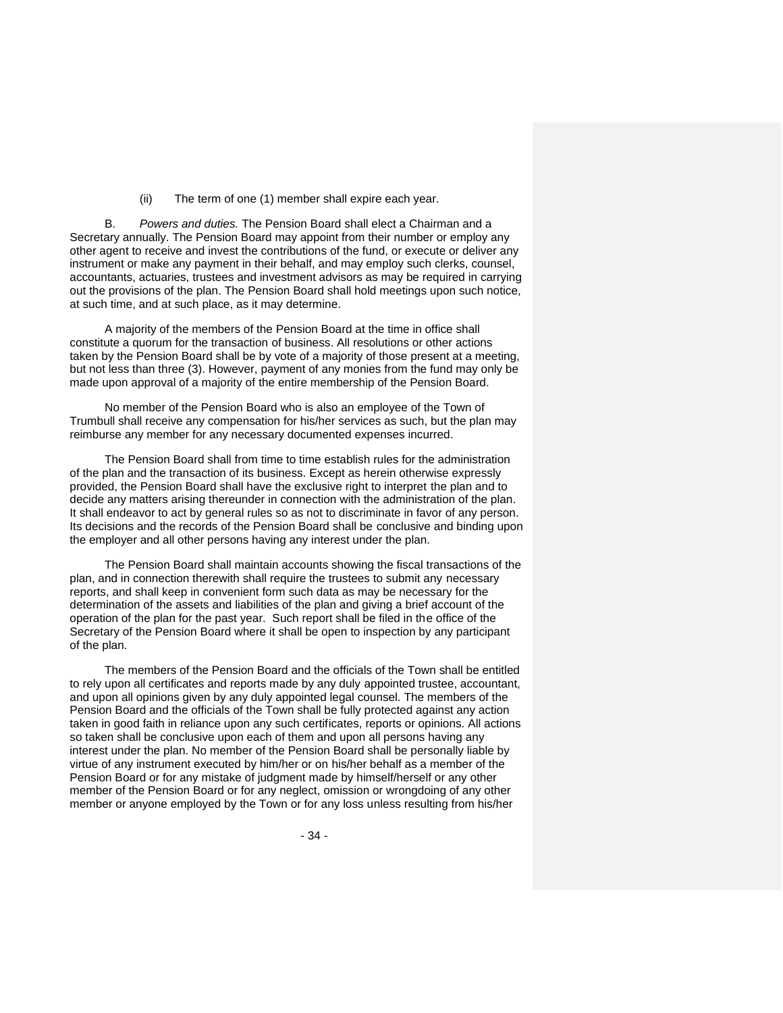(ii) The term of one (1) member shall expire each year.

B. *Powers and duties.* The Pension Board shall elect a Chairman and a Secretary annually. The Pension Board may appoint from their number or employ any other agent to receive and invest the contributions of the fund, or execute or deliver any instrument or make any payment in their behalf, and may employ such clerks, counsel, accountants, actuaries, trustees and investment advisors as may be required in carrying out the provisions of the plan. The Pension Board shall hold meetings upon such notice, at such time, and at such place, as it may determine.

A majority of the members of the Pension Board at the time in office shall constitute a quorum for the transaction of business. All resolutions or other actions taken by the Pension Board shall be by vote of a majority of those present at a meeting, but not less than three (3). However, payment of any monies from the fund may only be made upon approval of a majority of the entire membership of the Pension Board.

No member of the Pension Board who is also an employee of the Town of Trumbull shall receive any compensation for his/her services as such, but the plan may reimburse any member for any necessary documented expenses incurred.

The Pension Board shall from time to time establish rules for the administration of the plan and the transaction of its business. Except as herein otherwise expressly provided, the Pension Board shall have the exclusive right to interpret the plan and to decide any matters arising thereunder in connection with the administration of the plan. It shall endeavor to act by general rules so as not to discriminate in favor of any person. Its decisions and the records of the Pension Board shall be conclusive and binding upon the employer and all other persons having any interest under the plan.

The Pension Board shall maintain accounts showing the fiscal transactions of the plan, and in connection therewith shall require the trustees to submit any necessary reports, and shall keep in convenient form such data as may be necessary for the determination of the assets and liabilities of the plan and giving a brief account of the operation of the plan for the past year. Such report shall be filed in the office of the Secretary of the Pension Board where it shall be open to inspection by any participant of the plan.

The members of the Pension Board and the officials of the Town shall be entitled to rely upon all certificates and reports made by any duly appointed trustee, accountant, and upon all opinions given by any duly appointed legal counsel. The members of the Pension Board and the officials of the Town shall be fully protected against any action taken in good faith in reliance upon any such certificates, reports or opinions. All actions so taken shall be conclusive upon each of them and upon all persons having any interest under the plan. No member of the Pension Board shall be personally liable by virtue of any instrument executed by him/her or on his/her behalf as a member of the Pension Board or for any mistake of judgment made by himself/herself or any other member of the Pension Board or for any neglect, omission or wrongdoing of any other member or anyone employed by the Town or for any loss unless resulting from his/her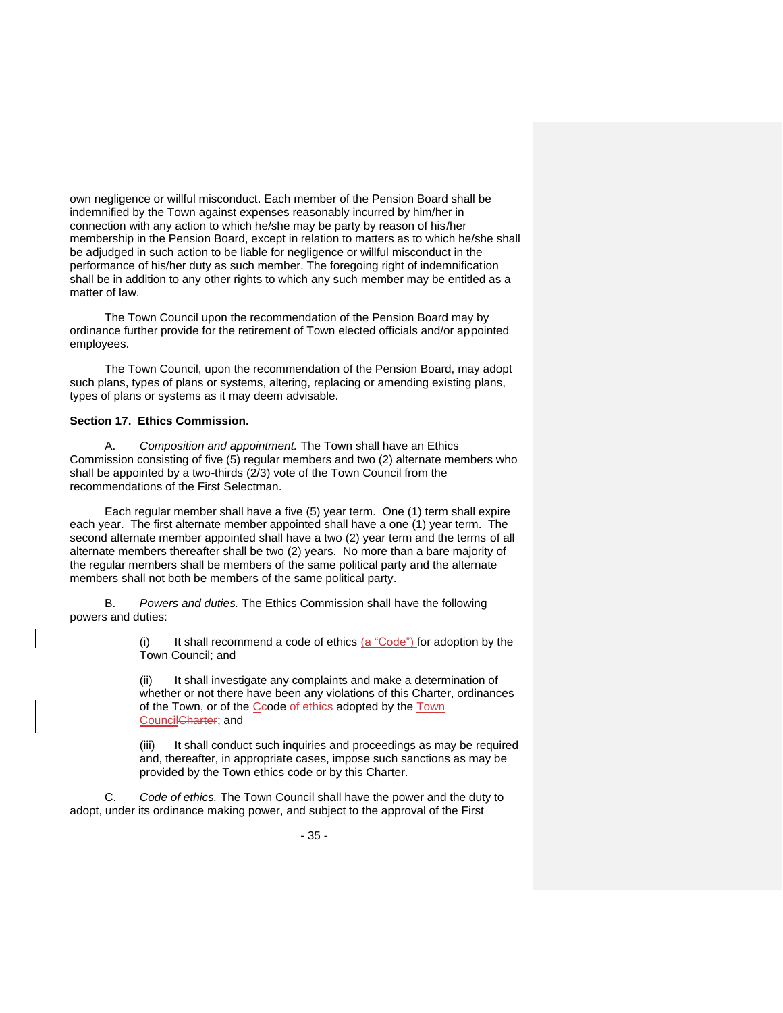own negligence or willful misconduct. Each member of the Pension Board shall be indemnified by the Town against expenses reasonably incurred by him/her in connection with any action to which he/she may be party by reason of his/her membership in the Pension Board, except in relation to matters as to which he/she shall be adjudged in such action to be liable for negligence or willful misconduct in the performance of his/her duty as such member. The foregoing right of indemnification shall be in addition to any other rights to which any such member may be entitled as a matter of law.

The Town Council upon the recommendation of the Pension Board may by ordinance further provide for the retirement of Town elected officials and/or appointed employees.

The Town Council, upon the recommendation of the Pension Board, may adopt such plans, types of plans or systems, altering, replacing or amending existing plans, types of plans or systems as it may deem advisable.

#### **Section 17. Ethics Commission.**

A. *Composition and appointment.* The Town shall have an Ethics Commission consisting of five (5) regular members and two (2) alternate members who shall be appointed by a two-thirds (2/3) vote of the Town Council from the recommendations of the First Selectman.

Each regular member shall have a five (5) year term. One (1) term shall expire each year. The first alternate member appointed shall have a one (1) year term. The second alternate member appointed shall have a two (2) year term and the terms of all alternate members thereafter shall be two (2) years. No more than a bare majority of the regular members shall be members of the same political party and the alternate members shall not both be members of the same political party.

B. *Powers and duties.* The Ethics Commission shall have the following powers and duties:

> It shall recommend a code of ethics (a "Code") for adoption by the Town Council; and

> (ii) It shall investigate any complaints and make a determination of whether or not there have been any violations of this Charter, ordinances of the Town, or of the Ceode of ethics adopted by the Town CouncilCharter; and

> (iii) It shall conduct such inquiries and proceedings as may be required and, thereafter, in appropriate cases, impose such sanctions as may be provided by the Town ethics code or by this Charter.

C. *Code of ethics.* The Town Council shall have the power and the duty to adopt, under its ordinance making power, and subject to the approval of the First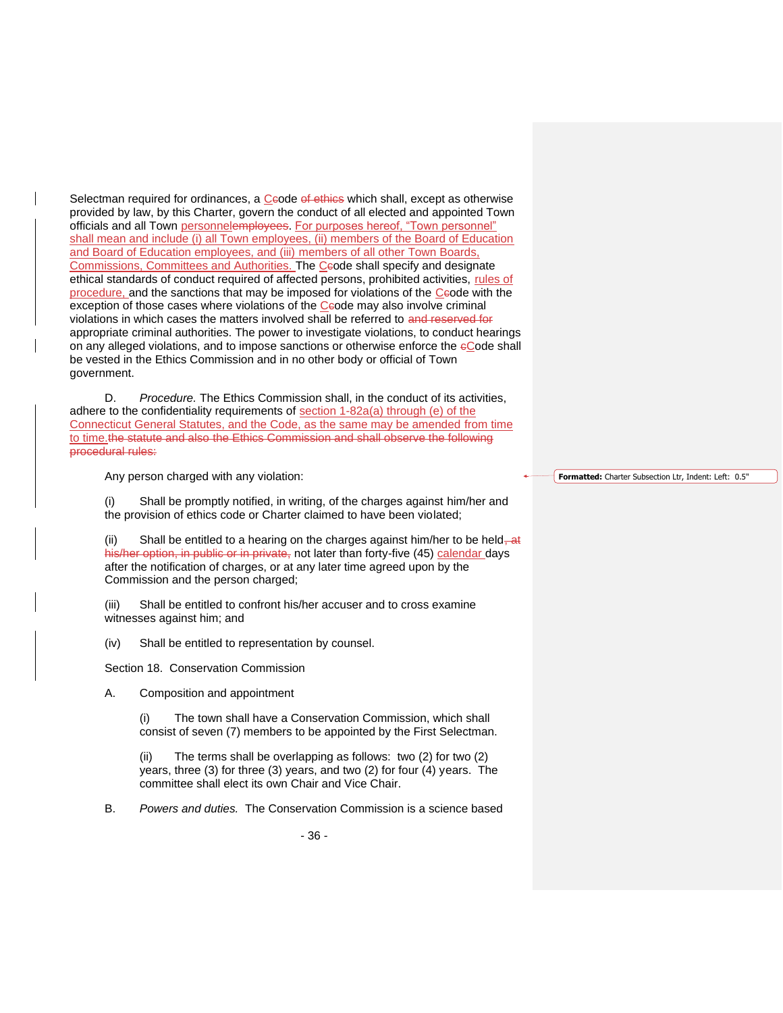Selectman required for ordinances, a Ceode of ethics which shall, except as otherwise provided by law, by this Charter, govern the conduct of all elected and appointed Town officials and all Town personnelemployees. For purposes hereof, "Town personnel" shall mean and include (i) all Town employees, (ii) members of the Board of Education and Board of Education employees, and (iii) members of all other Town Boards, Commissions, Committees and Authorities. The Ceode shall specify and designate ethical standards of conduct required of affected persons, prohibited activities, rules of procedure, and the sanctions that may be imposed for violations of the Ceode with the  $\overline{exception}$  of those cases where violations of the Ceode may also involve criminal violations in which cases the matters involved shall be referred to and reserved for appropriate criminal authorities. The power to investigate violations, to conduct hearings on any alleged violations, and to impose sanctions or otherwise enforce the eCode shall be vested in the Ethics Commission and in no other body or official of Town government.

D. *Procedure.* The Ethics Commission shall, in the conduct of its activities, adhere to the confidentiality requirements of section 1-82a(a) through (e) of the Connecticut General Statutes, and the Code, as the same may be amended from time to time.the statute and also the Ethics Commission and shall observe the following procedural rules:

Any person charged with any violation:

(i) Shall be promptly notified, in writing, of the charges against him/her and the provision of ethics code or Charter claimed to have been violated;

(ii) Shall be entitled to a hearing on the charges against him/her to be held– $at$ his/her option, in public or in private, not later than forty-five (45) calendar days after the notification of charges, or at any later time agreed upon by the Commission and the person charged;

(iii) Shall be entitled to confront his/her accuser and to cross examine witnesses against him; and

(iv) Shall be entitled to representation by counsel.

Section 18. Conservation Commission

A. Composition and appointment

The town shall have a Conservation Commission, which shall consist of seven (7) members to be appointed by the First Selectman.

(ii) The terms shall be overlapping as follows: two (2) for two (2) years, three (3) for three (3) years, and two (2) for four (4) years. The committee shall elect its own Chair and Vice Chair.

B. *Powers and duties.* The Conservation Commission is a science based

**Formatted:** Charter Subsection Ltr, Indent: Left: 0.5"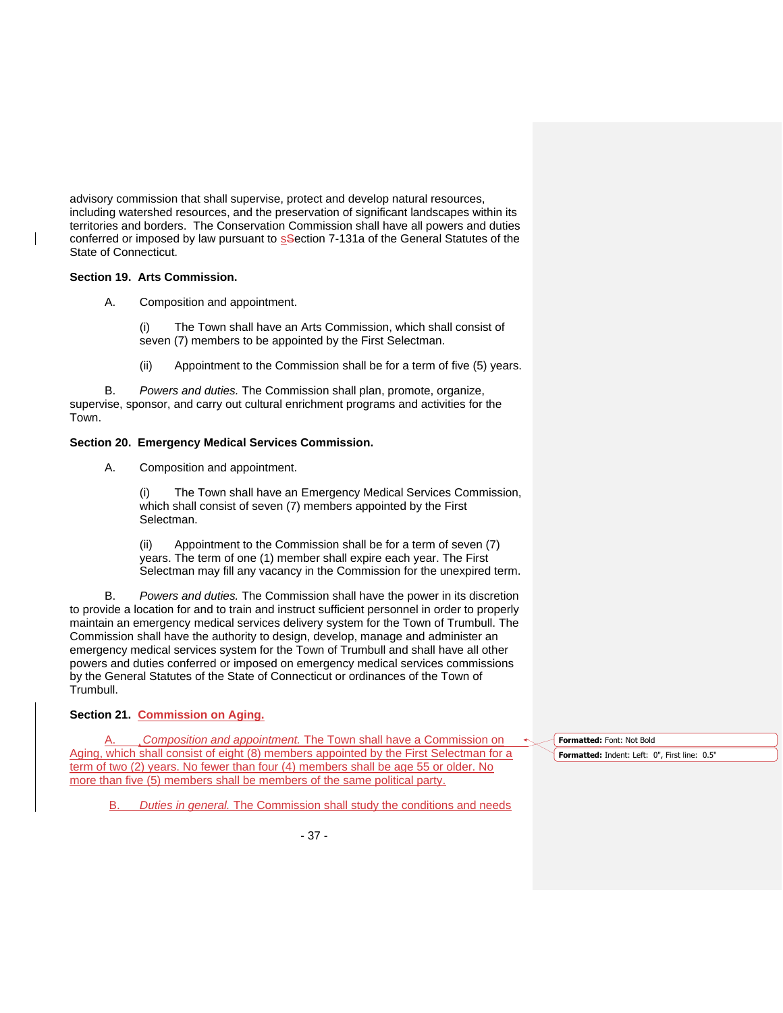advisory commission that shall supervise, protect and develop natural resources, including watershed resources, and the preservation of significant landscapes within its territories and borders. The Conservation Commission shall have all powers and duties conferred or imposed by law pursuant to section 7-131a of the General Statutes of the State of Connecticut.

### **Section 19. Arts Commission.**

A. Composition and appointment.

(i) The Town shall have an Arts Commission, which shall consist of seven (7) members to be appointed by the First Selectman.

(ii) Appointment to the Commission shall be for a term of five (5) years.

B. *Powers and duties.* The Commission shall plan, promote, organize, supervise, sponsor, and carry out cultural enrichment programs and activities for the Town.

# **Section 20. Emergency Medical Services Commission.**

A. Composition and appointment.

(i) The Town shall have an Emergency Medical Services Commission, which shall consist of seven (7) members appointed by the First Selectman.

(ii) Appointment to the Commission shall be for a term of seven (7) years. The term of one (1) member shall expire each year. The First Selectman may fill any vacancy in the Commission for the unexpired term.

B. *Powers and duties.* The Commission shall have the power in its discretion to provide a location for and to train and instruct sufficient personnel in order to properly maintain an emergency medical services delivery system for the Town of Trumbull. The Commission shall have the authority to design, develop, manage and administer an emergency medical services system for the Town of Trumbull and shall have all other powers and duties conferred or imposed on emergency medical services commissions by the General Statutes of the State of Connecticut or ordinances of the Town of Trumbull.

# **Section 21. Commission on Aging.**

A. *Composition and appointment.* The Town shall have a Commission on Aging, which shall consist of eight (8) members appointed by the First Selectman for a term of two (2) years. No fewer than four (4) members shall be age 55 or older. No more than five (5) members shall be members of the same political party.

B. *Duties in general.* The Commission shall study the conditions and needs

**Formatted:** Font: Not Bold **Formatted:** Indent: Left: 0", First line: 0.5"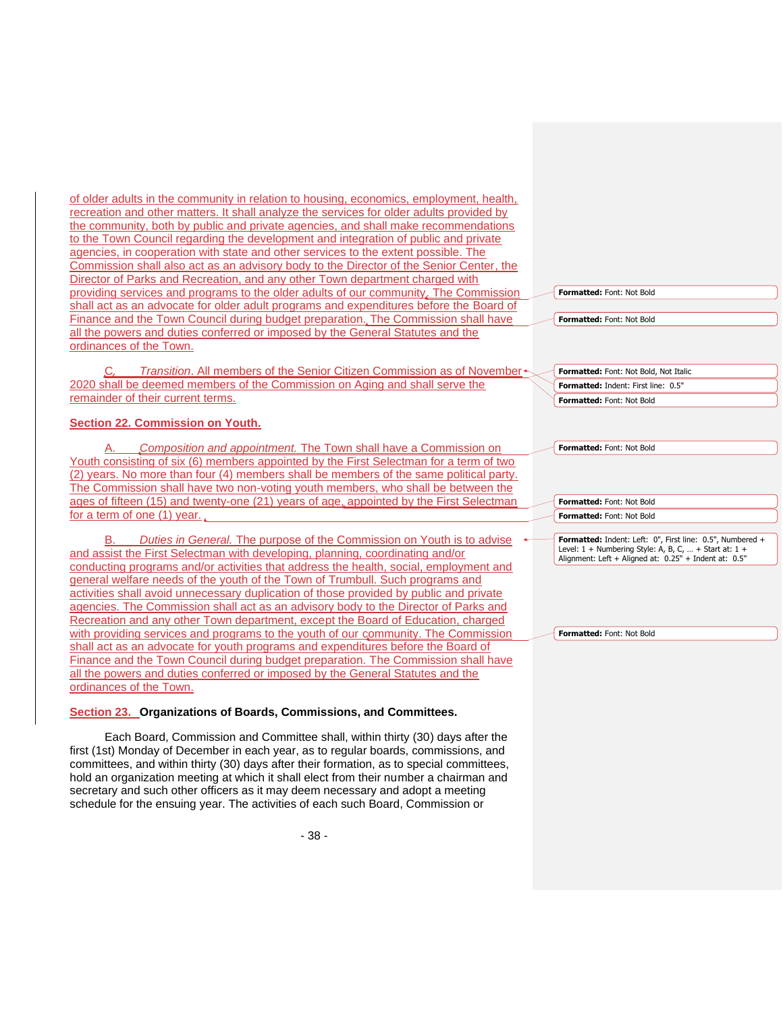of older adults in the community in relation to housing, economics, employment, health, recreation and other matters. It shall analyze the services for older adults provided by the community, both by public and private agencies, and shall make recommendations to the Town Council regarding the development and integration of public and private agencies, in cooperation with state and other services to the extent possible. The Commission shall also act as an advisory body to the Director of the Senior Center, the Director of Parks and Recreation, and any other Town department charged with providing services and programs to the older adults of our community. The Commission shall act as an advocate for older adult programs and expenditures before the Board of Finance and the Town Council during budget preparation. The Commission shall have all the powers and duties conferred or imposed by the General Statutes and the ordinances of the Town.

Transition. All members of the Senior Citizen Commission as of November<sup>+</sup> 2020 shall be deemed members of the Commission on Aging and shall serve the remainder of their current terms.

# **Section 22. Commission on Youth.**

A. *Composition and appointment.* The Town shall have a Commission on Youth consisting of six (6) members appointed by the First Selectman for a term of two (2) years. No more than four (4) members shall be members of the same political party. The Commission shall have two non-voting youth members, who shall be between the ages of fifteen (15) and twenty-one (21) years of age, appointed by the First Selectman for a term of one (1) year.

**Duties in General.** The purpose of the Commission on Youth is to advise and assist the First Selectman with developing, planning, coordinating and/or conducting programs and/or activities that address the health, social, employment and general welfare needs of the youth of the Town of Trumbull. Such programs and activities shall avoid unnecessary duplication of those provided by public and private agencies. The Commission shall act as an advisory body to the Director of Parks and Recreation and any other Town department, except the Board of Education, charged with providing services and programs to the youth of our community. The Commission shall act as an advocate for youth programs and expenditures before the Board of Finance and the Town Council during budget preparation. The Commission shall have all the powers and duties conferred or imposed by the General Statutes and the ordinances of the Town.

## **Section 23. Organizations of Boards, Commissions, and Committees.**

Each Board, Commission and Committee shall, within thirty (30) days after the first (1st) Monday of December in each year, as to regular boards, commissions, and committees, and within thirty (30) days after their formation, as to special committees, hold an organization meeting at which it shall elect from their number a chairman and secretary and such other officers as it may deem necessary and adopt a meeting schedule for the ensuing year. The activities of each such Board, Commission or

| Formatted: Font: Not Bold                                                                                                                                                       |
|---------------------------------------------------------------------------------------------------------------------------------------------------------------------------------|
| Formatted: Font: Not Bold                                                                                                                                                       |
| Formatted: Font: Not Bold, Not Italic                                                                                                                                           |
| <b>Formatted: Indent: First line: 0.5"</b>                                                                                                                                      |
| Formatted: Font: Not Bold                                                                                                                                                       |
| Formatted: Font: Not Bold                                                                                                                                                       |
| Formatted: Font: Not Bold                                                                                                                                                       |
| Formatted: Font: Not Bold                                                                                                                                                       |
|                                                                                                                                                                                 |
| Formatted: Indent: Left: 0", First line: 0.5", Numbered +<br>Level: $1 +$ Numbering Style: A, B, C,  + Start at: $1 +$<br>Alignment: Left + Aligned at: 0.25" + Indent at: 0.5" |

|  |  | Formatted: Font: Not Bold |  |  |  |
|--|--|---------------------------|--|--|--|
|--|--|---------------------------|--|--|--|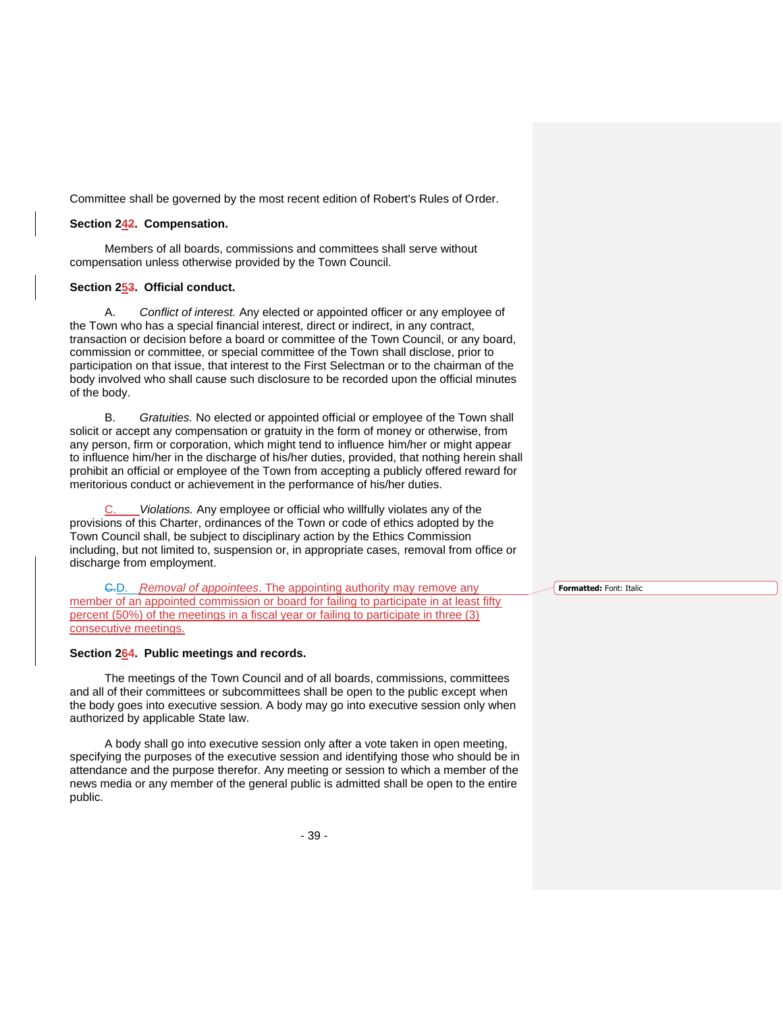Committee shall be governed by the most recent edition of Robert's Rules of Order.

#### **Section 242. Compensation.**

Members of all boards, commissions and committees shall serve without compensation unless otherwise provided by the Town Council.

## **Section 253. Official conduct.**

A. *Conflict of interest.* Any elected or appointed officer or any employee of the Town who has a special financial interest, direct or indirect, in any contract, transaction or decision before a board or committee of the Town Council, or any board, commission or committee, or special committee of the Town shall disclose, prior to participation on that issue, that interest to the First Selectman or to the chairman of the body involved who shall cause such disclosure to be recorded upon the official minutes of the body.

B. *Gratuities.* No elected or appointed official or employee of the Town shall solicit or accept any compensation or gratuity in the form of money or otherwise, from any person, firm or corporation, which might tend to influence him/her or might appear to influence him/her in the discharge of his/her duties, provided, that nothing herein shall prohibit an official or employee of the Town from accepting a publicly offered reward for meritorious conduct or achievement in the performance of his/her duties.

Violations. Any employee or official who willfully violates any of the provisions of this Charter, ordinances of the Town or code of ethics adopted by the Town Council shall, be subject to disciplinary action by the Ethics Commission including, but not limited to, suspension or, in appropriate cases, removal from office or discharge from employment.

C.D. *Removal of appointees*. The appointing authority may remove any member of an appointed commission or board for failing to participate in at least fifty percent (50%) of the meetings in a fiscal year or failing to participate in three (3) consecutive meetings.

# **Section 264. Public meetings and records.**

The meetings of the Town Council and of all boards, commissions, committees and all of their committees or subcommittees shall be open to the public except when the body goes into executive session. A body may go into executive session only when authorized by applicable State law.

A body shall go into executive session only after a vote taken in open meeting, specifying the purposes of the executive session and identifying those who should be in attendance and the purpose therefor. Any meeting or session to which a member of the news media or any member of the general public is admitted shall be open to the entire public.

- 39 -

**Formatted:** Font: Italic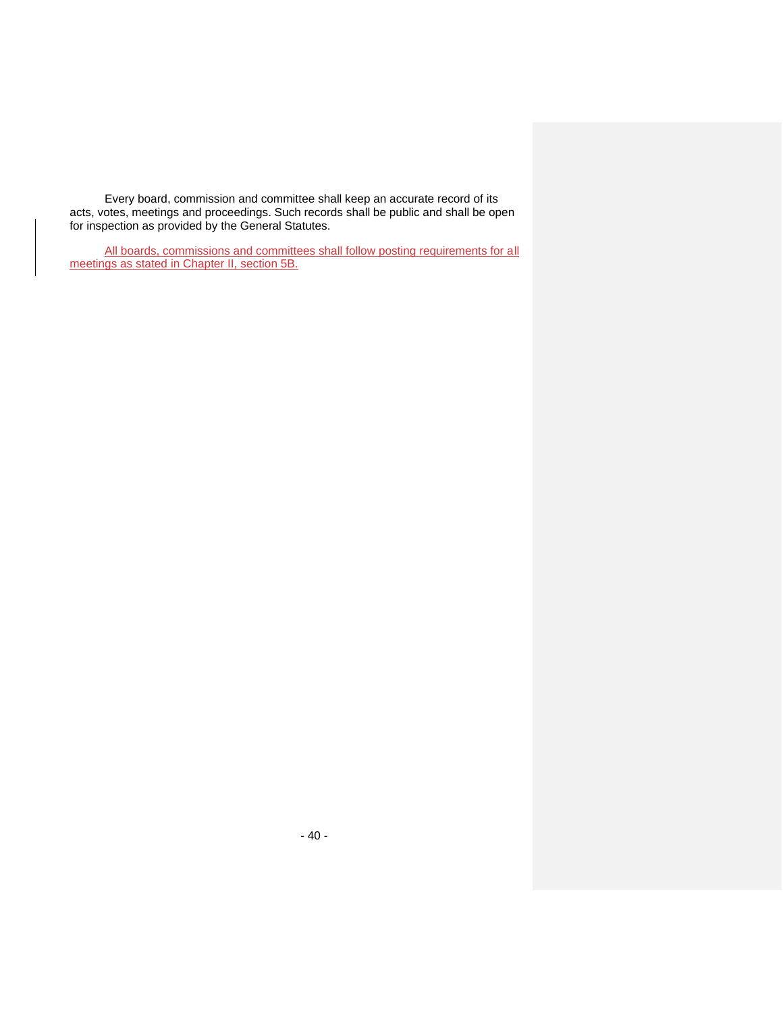Every board, commission and committee shall keep an accurate record of its acts, votes, meetings and proceedings. Such records shall be public and shall be open for inspection as provided by the General Statutes.

All boards, commissions and committees shall follow posting requirements for all meetings as stated in Chapter II, section 5B.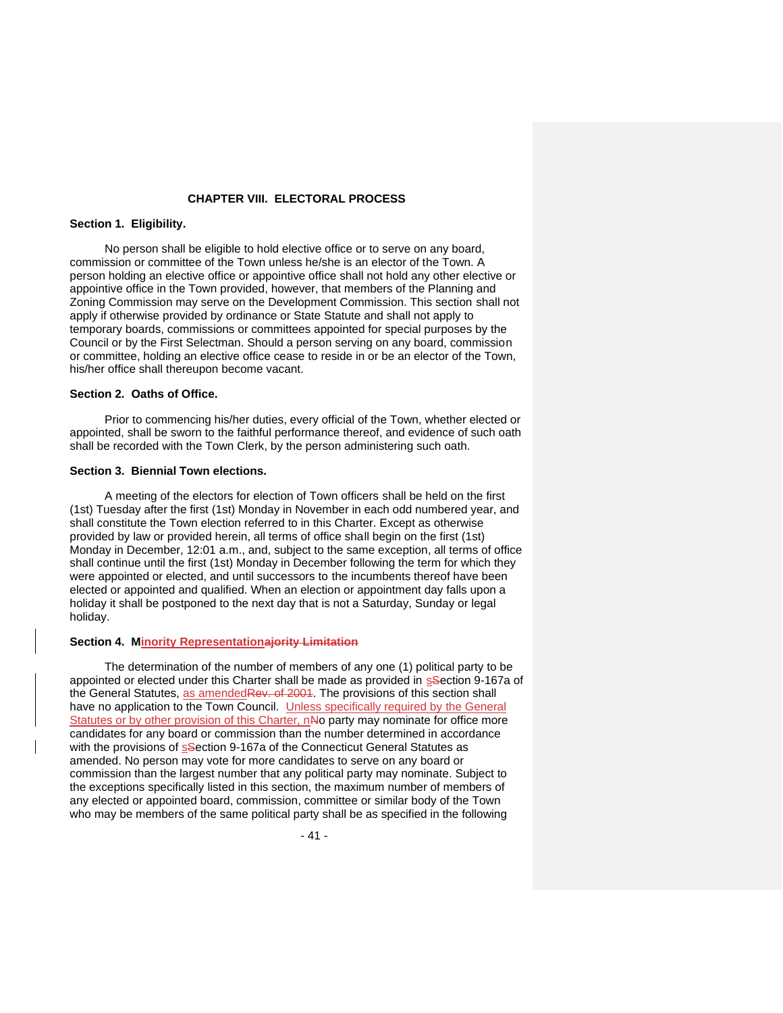## **CHAPTER VIII. ELECTORAL PROCESS**

## **Section 1. Eligibility.**

No person shall be eligible to hold elective office or to serve on any board, commission or committee of the Town unless he/she is an elector of the Town. A person holding an elective office or appointive office shall not hold any other elective or appointive office in the Town provided, however, that members of the Planning and Zoning Commission may serve on the Development Commission. This section shall not apply if otherwise provided by ordinance or State Statute and shall not apply to temporary boards, commissions or committees appointed for special purposes by the Council or by the First Selectman. Should a person serving on any board, commission or committee, holding an elective office cease to reside in or be an elector of the Town, his/her office shall thereupon become vacant.

### **Section 2. Oaths of Office.**

Prior to commencing his/her duties, every official of the Town, whether elected or appointed, shall be sworn to the faithful performance thereof, and evidence of such oath shall be recorded with the Town Clerk, by the person administering such oath.

## **Section 3. Biennial Town elections.**

A meeting of the electors for election of Town officers shall be held on the first (1st) Tuesday after the first (1st) Monday in November in each odd numbered year, and shall constitute the Town election referred to in this Charter. Except as otherwise provided by law or provided herein, all terms of office shall begin on the first (1st) Monday in December, 12:01 a.m., and, subject to the same exception, all terms of office shall continue until the first (1st) Monday in December following the term for which they were appointed or elected, and until successors to the incumbents thereof have been elected or appointed and qualified. When an election or appointment day falls upon a holiday it shall be postponed to the next day that is not a Saturday, Sunday or legal holiday.

#### **Section 4. Minority Representationajority Limitation**

The determination of the number of members of any one (1) political party to be appointed or elected under this Charter shall be made as provided in ssection 9-167a of the General Statutes, as amendedRev. of 2004. The provisions of this section shall have no application to the Town Council. Unless specifically required by the General Statutes or by other provision of this Charter, nNo party may nominate for office more candidates for any board or commission than the number determined in accordance with the provisions of s<sup>S</sup>ection 9-167a of the Connecticut General Statutes as amended. No person may vote for more candidates to serve on any board or commission than the largest number that any political party may nominate. Subject to the exceptions specifically listed in this section, the maximum number of members of any elected or appointed board, commission, committee or similar body of the Town who may be members of the same political party shall be as specified in the following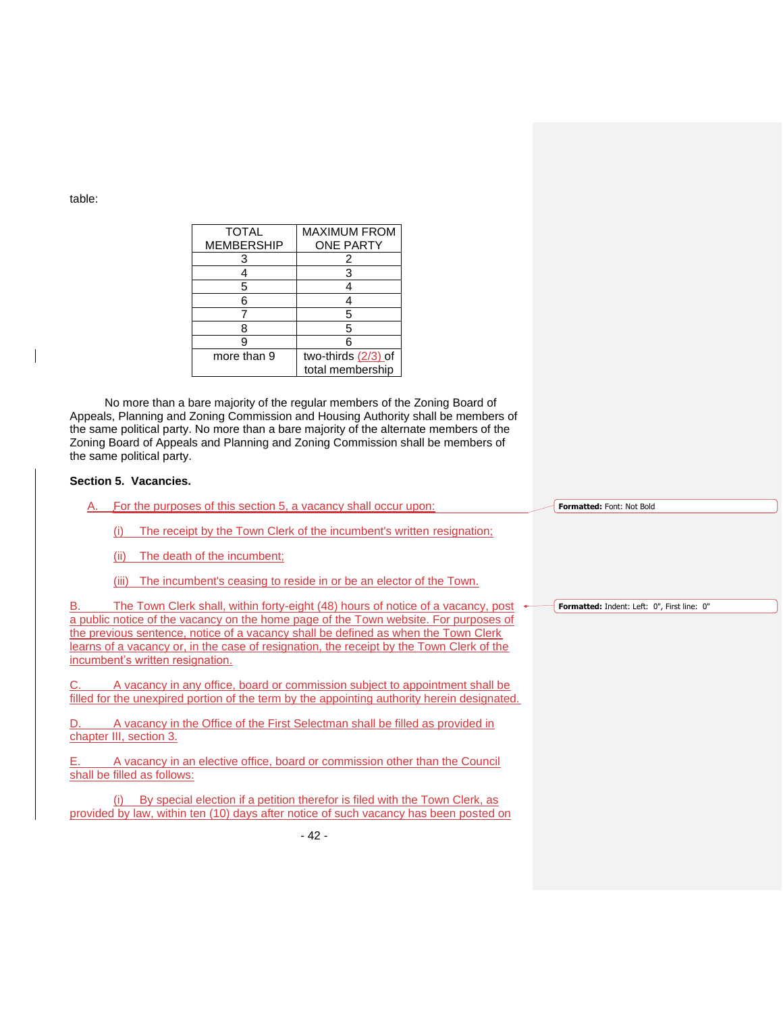table:

| <b>TOTAL</b>      | <b>MAXIMUM FROM</b> |
|-------------------|---------------------|
| <b>MEMBERSHIP</b> | <b>ONE PARTY</b>    |
| 3                 | 2                   |
|                   | 3                   |
| 5                 |                     |
| 6                 |                     |
|                   | 5                   |
| 8                 | 5                   |
| g                 | 6                   |
| more than 9       | two-thirds (2/3) of |
|                   | total membership    |

No more than a bare majority of the regular members of the Zoning Board of Appeals, Planning and Zoning Commission and Housing Authority shall be members of the same political party. No more than a bare majority of the alternate members of the Zoning Board of Appeals and Planning and Zoning Commission shall be members of the same political party.

## **Section 5. Vacancies.**

For the purposes of this section 5, a vacancy shall occur upon:

(i) The receipt by the Town Clerk of the incumbent's written resignation;

(ii) The death of the incumbent;

(iii) The incumbent's ceasing to reside in or be an elector of the Town.

B. The Town Clerk shall, within forty-eight (48) hours of notice of a vacancy, post  $\rightarrow$ a public notice of the vacancy on the home page of the Town website. For purposes of the previous sentence, notice of a vacancy shall be defined as when the Town Clerk learns of a vacancy or, in the case of resignation, the receipt by the Town Clerk of the incumbent's written resignation.

A vacancy in any office, board or commission subject to appointment shall be filled for the unexpired portion of the term by the appointing authority herein designated.

D. A vacancy in the Office of the First Selectman shall be filled as provided in chapter III, section 3.

E. A vacancy in an elective office, board or commission other than the Council shall be filled as follows:

(i) By special election if a petition therefor is filed with the Town Clerk, as provided by law, within ten (10) days after notice of such vacancy has been posted on **Formatted:** Font: Not Bold

**Formatted:** Indent: Left: 0", First line: 0"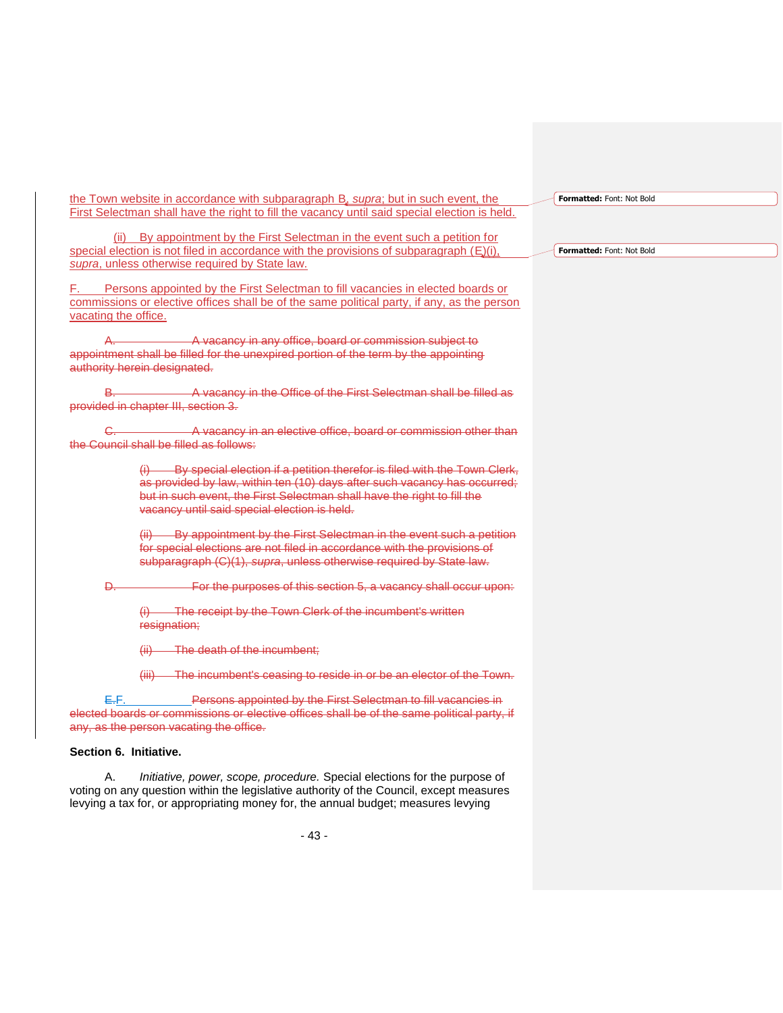the Town website in accordance with subparagraph B, *supra*; but in such event, the First Selectman shall have the right to fill the vacancy until said special election is held.

(ii) By appointment by the First Selectman in the event such a petition for special election is not filed in accordance with the provisions of subparagraph  $(E)(i)$ , *supra*, unless otherwise required by State law.

F. Persons appointed by the First Selectman to fill vacancies in elected boards or commissions or elective offices shall be of the same political party, if any, as the person vacating the office.

A. A. A vacancy in any office, board or commission subject to appointment shall be filled for the unexpired portion of the term by the appointing authority herein designated.

B. **B.** A vacancy in the Office of the First Selectman shall be filled as provided in chapter III, section 3.

C. **C.** A vacancy in an elective office, board or commission other than the Council shall be filled as follows:

> $(i)$  By special election if a petition therefor is filed with the Town Clerk, as provided by law, within ten (10) days after such vacancy has occurred; but in such event, the First Selectman shall have the right to fill the vacancy until said special election is held.

(ii) By appointment by the First Selectman in the event such a petition for special elections are not filed in accordance with the provisions of subparagraph (C)(1), *supra*, unless otherwise required by State law.

D. **Example 20 For the purposes of this section 5, a vacancy shall occur upon:** 

(i) The receipt by the Town Clerk of the incumbent's written resignation;

(ii) The death of the incumbent;

(iii) The incumbent's ceasing to reside in or be an elector of the Town.

E.F. Persons appointed by the First Selectman to fill vacancies in elected boards or commissions or elective offices shall be of the same political party, if any, as the person vacating the office.

# **Section 6. Initiative.**

A. *Initiative, power, scope, procedure.* Special elections for the purpose of voting on any question within the legislative authority of the Council, except measures levying a tax for, or appropriating money for, the annual budget; measures levying

**Formatted:** Font: Not Bold

**Formatted:** Font: Not Bold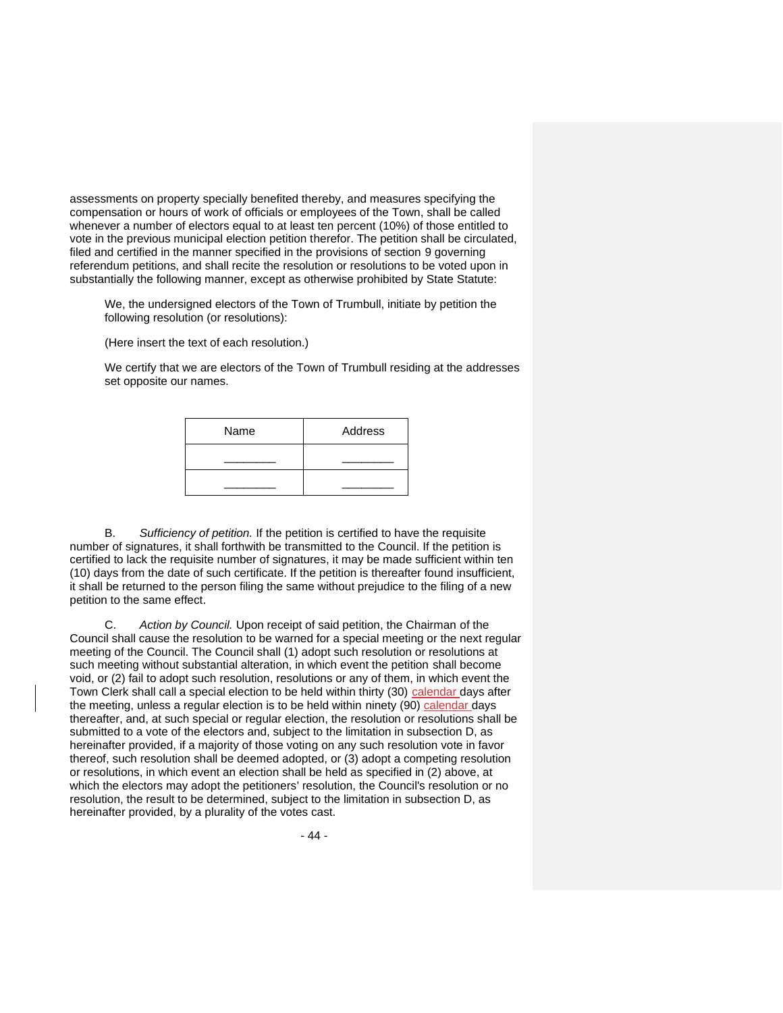assessments on property specially benefited thereby, and measures specifying the compensation or hours of work of officials or employees of the Town, shall be called whenever a number of electors equal to at least ten percent (10%) of those entitled to vote in the previous municipal election petition therefor. The petition shall be circulated, filed and certified in the manner specified in the provisions of section 9 governing referendum petitions, and shall recite the resolution or resolutions to be voted upon in substantially the following manner, except as otherwise prohibited by State Statute:

We, the undersigned electors of the Town of Trumbull, initiate by petition the following resolution (or resolutions):

(Here insert the text of each resolution.)

We certify that we are electors of the Town of Trumbull residing at the addresses set opposite our names.

| Name | Address |
|------|---------|
|      |         |
|      |         |

B. *Sufficiency of petition.* If the petition is certified to have the requisite number of signatures, it shall forthwith be transmitted to the Council. If the petition is certified to lack the requisite number of signatures, it may be made sufficient within ten (10) days from the date of such certificate. If the petition is thereafter found insufficient, it shall be returned to the person filing the same without prejudice to the filing of a new petition to the same effect.

C. *Action by Council.* Upon receipt of said petition, the Chairman of the Council shall cause the resolution to be warned for a special meeting or the next regular meeting of the Council. The Council shall (1) adopt such resolution or resolutions at such meeting without substantial alteration, in which event the petition shall become void, or (2) fail to adopt such resolution, resolutions or any of them, in which event the Town Clerk shall call a special election to be held within thirty (30) calendar days after the meeting, unless a regular election is to be held within ninety (90) calendar days thereafter, and, at such special or regular election, the resolution or resolutions shall be submitted to a vote of the electors and, subject to the limitation in subsection D, as hereinafter provided, if a majority of those voting on any such resolution vote in favor thereof, such resolution shall be deemed adopted, or (3) adopt a competing resolution or resolutions, in which event an election shall be held as specified in (2) above, at which the electors may adopt the petitioners' resolution, the Council's resolution or no resolution, the result to be determined, subject to the limitation in subsection D, as hereinafter provided, by a plurality of the votes cast.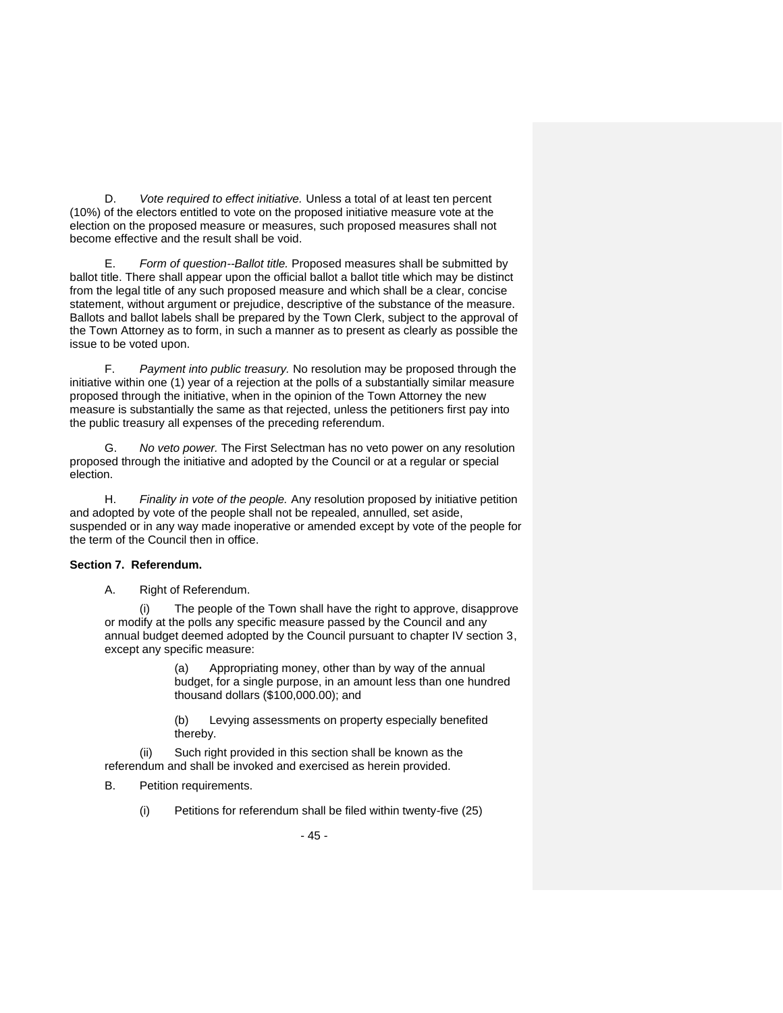D. *Vote required to effect initiative.* Unless a total of at least ten percent (10%) of the electors entitled to vote on the proposed initiative measure vote at the election on the proposed measure or measures, such proposed measures shall not become effective and the result shall be void.

E. *Form of question--Ballot title.* Proposed measures shall be submitted by ballot title. There shall appear upon the official ballot a ballot title which may be distinct from the legal title of any such proposed measure and which shall be a clear, concise statement, without argument or prejudice, descriptive of the substance of the measure. Ballots and ballot labels shall be prepared by the Town Clerk, subject to the approval of the Town Attorney as to form, in such a manner as to present as clearly as possible the issue to be voted upon.

F. *Payment into public treasury.* No resolution may be proposed through the initiative within one (1) year of a rejection at the polls of a substantially similar measure proposed through the initiative, when in the opinion of the Town Attorney the new measure is substantially the same as that rejected, unless the petitioners first pay into the public treasury all expenses of the preceding referendum.

G. *No veto power.* The First Selectman has no veto power on any resolution proposed through the initiative and adopted by the Council or at a regular or special election.

H. *Finality in vote of the people.* Any resolution proposed by initiative petition and adopted by vote of the people shall not be repealed, annulled, set aside, suspended or in any way made inoperative or amended except by vote of the people for the term of the Council then in office.

## **Section 7. Referendum.**

A. Right of Referendum.

(i) The people of the Town shall have the right to approve, disapprove or modify at the polls any specific measure passed by the Council and any annual budget deemed adopted by the Council pursuant to chapter IV section 3, except any specific measure:

> (a) Appropriating money, other than by way of the annual budget, for a single purpose, in an amount less than one hundred thousand dollars (\$100,000.00); and

(b) Levying assessments on property especially benefited thereby.

Such right provided in this section shall be known as the referendum and shall be invoked and exercised as herein provided.

B. Petition requirements.

(i) Petitions for referendum shall be filed within twenty-five (25)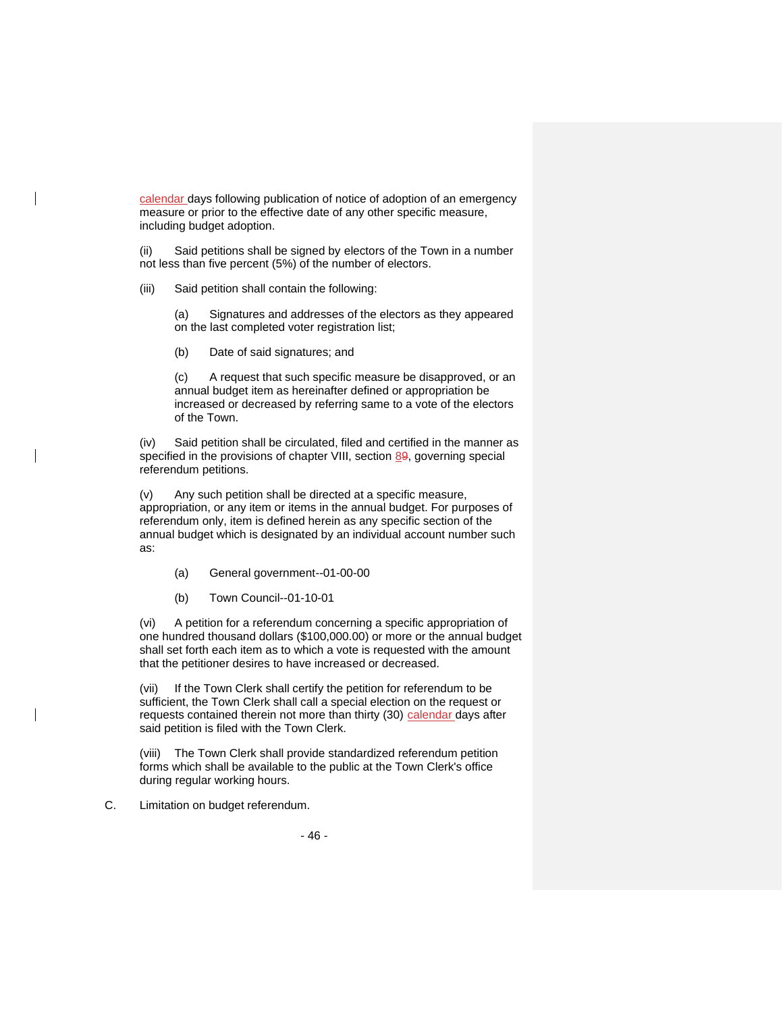calendar days following publication of notice of adoption of an emergency measure or prior to the effective date of any other specific measure, including budget adoption.

(ii) Said petitions shall be signed by electors of the Town in a number not less than five percent (5%) of the number of electors.

(iii) Said petition shall contain the following:

(a) Signatures and addresses of the electors as they appeared on the last completed voter registration list;

(b) Date of said signatures; and

(c) A request that such specific measure be disapproved, or an annual budget item as hereinafter defined or appropriation be increased or decreased by referring same to a vote of the electors of the Town.

(iv) Said petition shall be circulated, filed and certified in the manner as specified in the provisions of chapter VIII, section 89, governing special referendum petitions.

(v) Any such petition shall be directed at a specific measure, appropriation, or any item or items in the annual budget. For purposes of referendum only, item is defined herein as any specific section of the annual budget which is designated by an individual account number such as:

(a) General government--01-00-00

(b) Town Council--01-10-01

(vi) A petition for a referendum concerning a specific appropriation of one hundred thousand dollars (\$100,000.00) or more or the annual budget shall set forth each item as to which a vote is requested with the amount that the petitioner desires to have increased or decreased.

(vii) If the Town Clerk shall certify the petition for referendum to be sufficient, the Town Clerk shall call a special election on the request or requests contained therein not more than thirty (30) calendar days after said petition is filed with the Town Clerk.

(viii) The Town Clerk shall provide standardized referendum petition forms which shall be available to the public at the Town Clerk's office during regular working hours.

C. Limitation on budget referendum.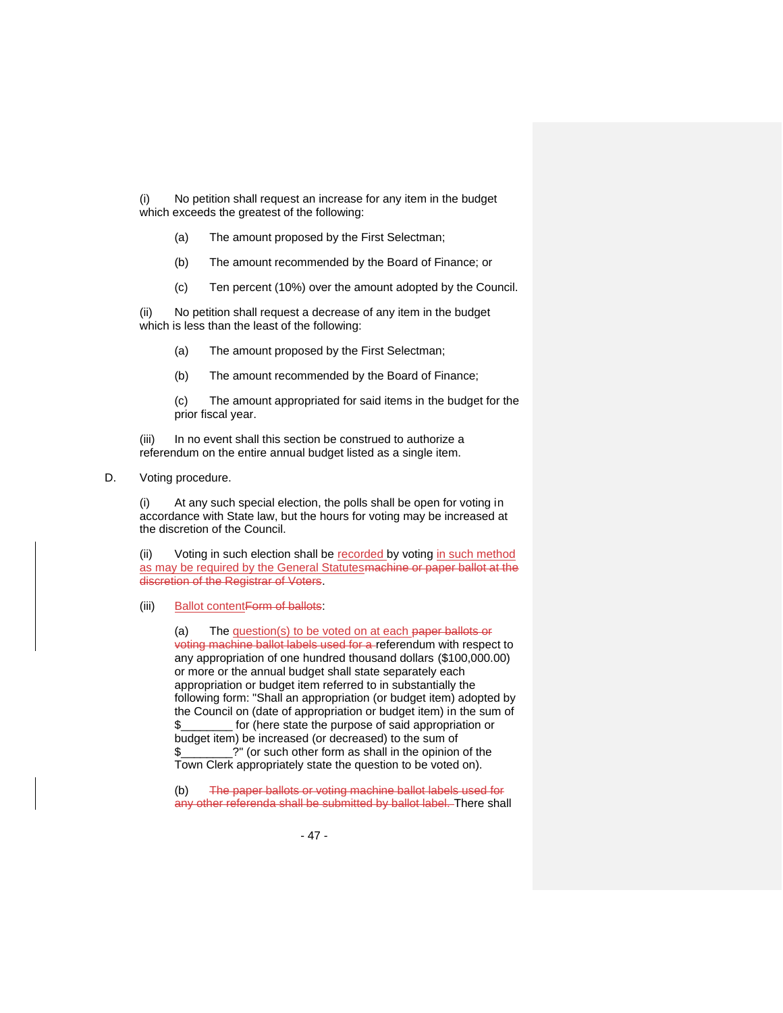(i) No petition shall request an increase for any item in the budget which exceeds the greatest of the following:

- (a) The amount proposed by the First Selectman;
- (b) The amount recommended by the Board of Finance; or
- (c) Ten percent (10%) over the amount adopted by the Council.

(ii) No petition shall request a decrease of any item in the budget which is less than the least of the following:

(a) The amount proposed by the First Selectman;

(b) The amount recommended by the Board of Finance;

(c) The amount appropriated for said items in the budget for the prior fiscal year.

(iii) In no event shall this section be construed to authorize a referendum on the entire annual budget listed as a single item.

D. Voting procedure.

(i) At any such special election, the polls shall be open for voting in accordance with State law, but the hours for voting may be increased at the discretion of the Council.

(ii) Voting in such election shall be recorded by voting in such method as may be required by the General Statutes machine or paper ballot at the discretion of the Registrar of Voters.

(iii) Ballot contentForm of ballots:

(a) The question(s) to be voted on at each paper ballots or voting machine ballot labels used for a referendum with respect to any appropriation of one hundred thousand dollars (\$100,000.00) or more or the annual budget shall state separately each appropriation or budget item referred to in substantially the following form: "Shall an appropriation (or budget item) adopted by the Council on (date of appropriation or budget item) in the sum of \$\_\_\_\_\_\_\_\_ for (here state the purpose of said appropriation or budget item) be increased (or decreased) to the sum of \$\_\_\_\_\_\_\_\_?" (or such other form as shall in the opinion of the Town Clerk appropriately state the question to be voted on).

(b) The paper ballots or voting machine ballot labels used for any other referenda shall be submitted by ballot label. There shall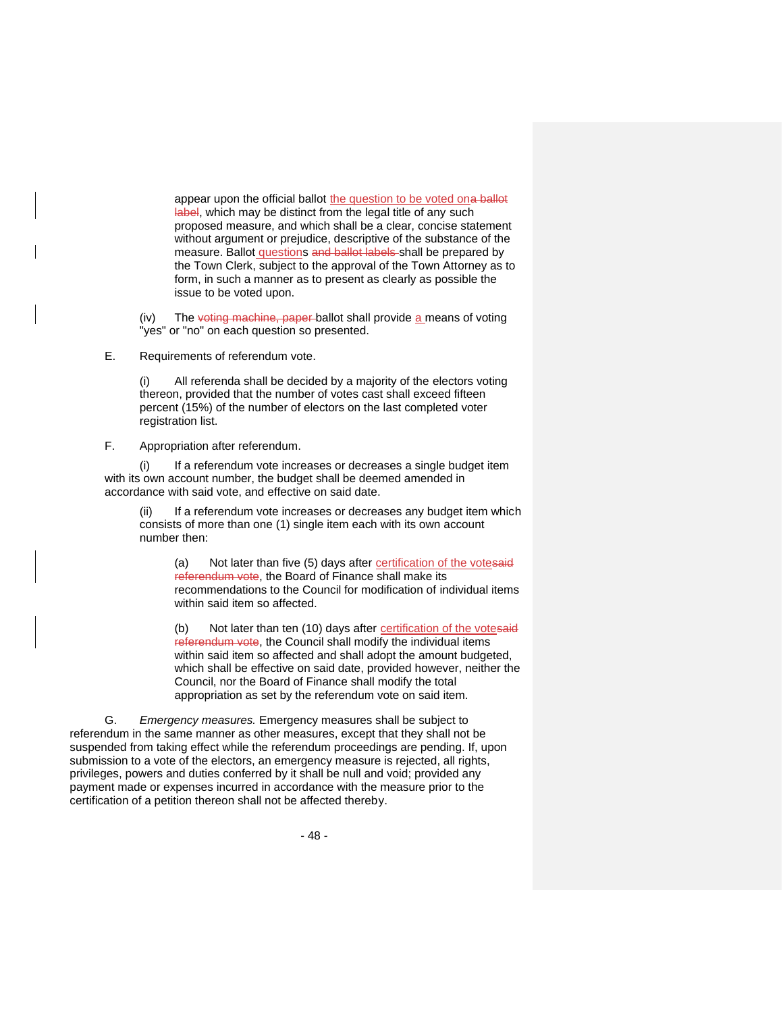appear upon the official ballot the question to be voted ona ballot label, which may be distinct from the legal title of any such proposed measure, and which shall be a clear, concise statement without argument or prejudice, descriptive of the substance of the measure. Ballot questions and ballot labels shall be prepared by the Town Clerk, subject to the approval of the Town Attorney as to form, in such a manner as to present as clearly as possible the issue to be voted upon.

(iv) The voting machine, paper ballot shall provide a means of voting "yes" or "no" on each question so presented.

E. Requirements of referendum vote.

All referenda shall be decided by a majority of the electors voting thereon, provided that the number of votes cast shall exceed fifteen percent (15%) of the number of electors on the last completed voter registration list.

F. Appropriation after referendum.

If a referendum vote increases or decreases a single budget item with its own account number, the budget shall be deemed amended in accordance with said vote, and effective on said date.

If a referendum vote increases or decreases any budget item which consists of more than one (1) single item each with its own account number then:

(a) Not later than five (5) days after certification of the votesaid referendum vote, the Board of Finance shall make its recommendations to the Council for modification of individual items within said item so affected.

(b) Not later than ten (10) days after certification of the votesaid referendum vote, the Council shall modify the individual items within said item so affected and shall adopt the amount budgeted, which shall be effective on said date, provided however, neither the Council, nor the Board of Finance shall modify the total appropriation as set by the referendum vote on said item.

G. *Emergency measures.* Emergency measures shall be subject to referendum in the same manner as other measures, except that they shall not be suspended from taking effect while the referendum proceedings are pending. If, upon submission to a vote of the electors, an emergency measure is rejected, all rights, privileges, powers and duties conferred by it shall be null and void; provided any payment made or expenses incurred in accordance with the measure prior to the certification of a petition thereon shall not be affected thereby.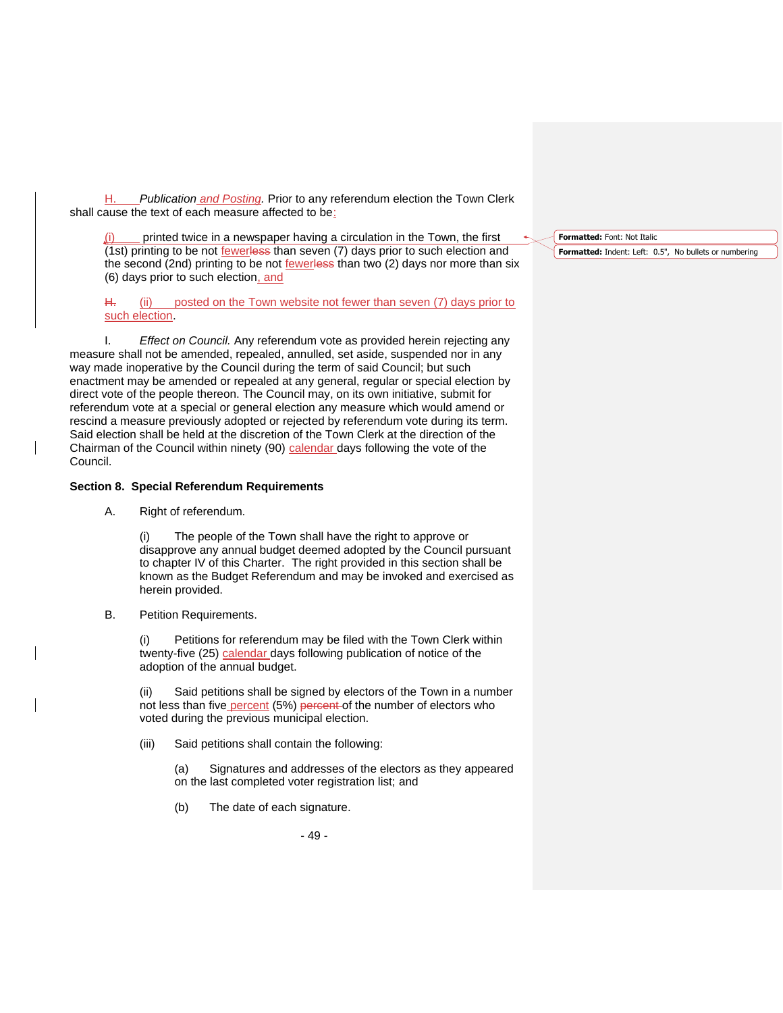H. *Publication and Posting.* Prior to any referendum election the Town Clerk shall cause the text of each measure affected to be:

printed twice in a newspaper having a circulation in the Town, the first (1st) printing to be not fewerless than seven (7) days prior to such election and the second (2nd) printing to be not fewerless than two (2) days nor more than six (6) days prior to such election, and

H. (ii) posted on the Town website not fewer than seven (7) days prior to such election.

I. *Effect on Council.* Any referendum vote as provided herein rejecting any measure shall not be amended, repealed, annulled, set aside, suspended nor in any way made inoperative by the Council during the term of said Council; but such enactment may be amended or repealed at any general, regular or special election by direct vote of the people thereon. The Council may, on its own initiative, submit for referendum vote at a special or general election any measure which would amend or rescind a measure previously adopted or rejected by referendum vote during its term. Said election shall be held at the discretion of the Town Clerk at the direction of the Chairman of the Council within ninety (90) calendar days following the vote of the Council.

### **Section 8. Special Referendum Requirements**

A. Right of referendum*.*

(i) The people of the Town shall have the right to approve or disapprove any annual budget deemed adopted by the Council pursuant to chapter IV of this Charter. The right provided in this section shall be known as the Budget Referendum and may be invoked and exercised as herein provided.

B. Petition Requirements.

(i) Petitions for referendum may be filed with the Town Clerk within twenty-five (25) calendar days following publication of notice of the adoption of the annual budget.

Said petitions shall be signed by electors of the Town in a number not less than five percent (5%) percent of the number of electors who voted during the previous municipal election.

(iii) Said petitions shall contain the following:

(a) Signatures and addresses of the electors as they appeared on the last completed voter registration list; and

(b) The date of each signature.

- 49 -

#### **Formatted:** Font: Not Italic

**Formatted:** Indent: Left: 0.5", No bullets or numbering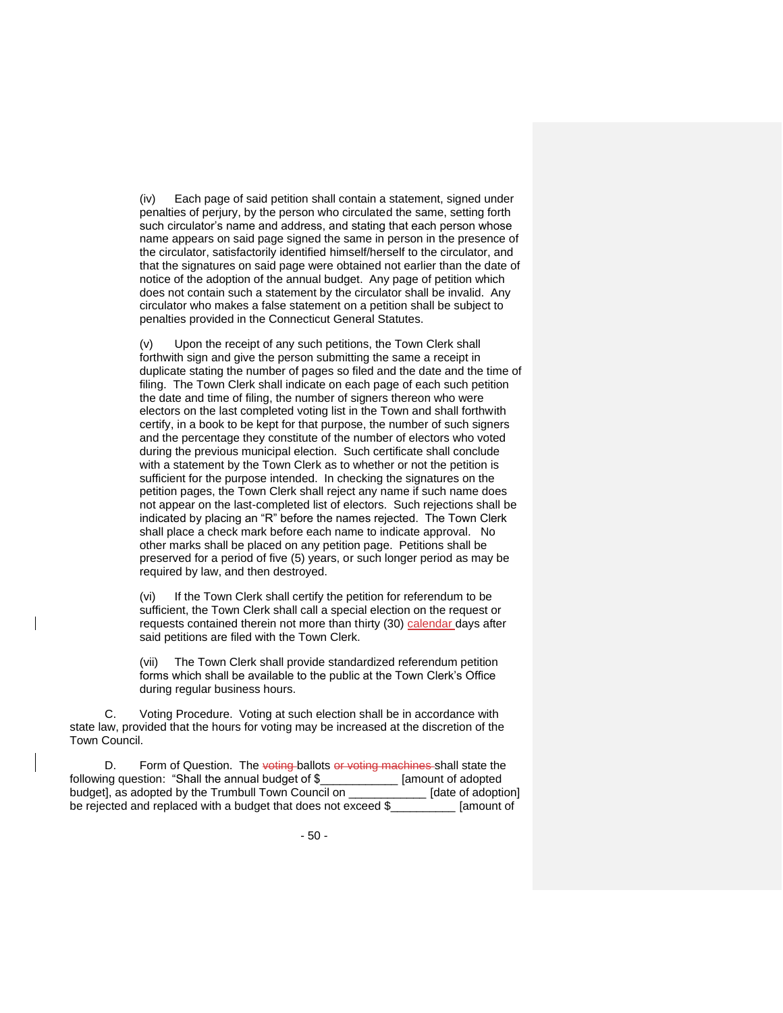(iv) Each page of said petition shall contain a statement, signed under penalties of perjury, by the person who circulated the same, setting forth such circulator's name and address, and stating that each person whose name appears on said page signed the same in person in the presence of the circulator, satisfactorily identified himself/herself to the circulator, and that the signatures on said page were obtained not earlier than the date of notice of the adoption of the annual budget. Any page of petition which does not contain such a statement by the circulator shall be invalid. Any circulator who makes a false statement on a petition shall be subject to penalties provided in the Connecticut General Statutes.

(v) Upon the receipt of any such petitions, the Town Clerk shall forthwith sign and give the person submitting the same a receipt in duplicate stating the number of pages so filed and the date and the time of filing. The Town Clerk shall indicate on each page of each such petition the date and time of filing, the number of signers thereon who were electors on the last completed voting list in the Town and shall forthwith certify, in a book to be kept for that purpose, the number of such signers and the percentage they constitute of the number of electors who voted during the previous municipal election. Such certificate shall conclude with a statement by the Town Clerk as to whether or not the petition is sufficient for the purpose intended. In checking the signatures on the petition pages, the Town Clerk shall reject any name if such name does not appear on the last-completed list of electors. Such rejections shall be indicated by placing an "R" before the names rejected. The Town Clerk shall place a check mark before each name to indicate approval. No other marks shall be placed on any petition page. Petitions shall be preserved for a period of five (5) years, or such longer period as may be required by law, and then destroyed.

(vi) If the Town Clerk shall certify the petition for referendum to be sufficient, the Town Clerk shall call a special election on the request or requests contained therein not more than thirty (30) calendar days after said petitions are filed with the Town Clerk.

(vii) The Town Clerk shall provide standardized referendum petition forms which shall be available to the public at the Town Clerk's Office during regular business hours.

C. Voting Procedure. Voting at such election shall be in accordance with state law, provided that the hours for voting may be increased at the discretion of the Town Council.

D. Form of Question. The voting-ballots or voting machines-shall state the ng question: "Shall the annual budget of \$ following question: "Shall the annual budget of \$\_\_\_\_\_\_\_\_\_\_\_\_\_\_ [amount of adopted budget], as adopted by the Trumbull Town Council on \_\_\_\_\_\_\_\_\_\_\_\_\_\_\_ [date of adoption] budget], as adopted by the Trumbull Town Council on \_\_\_\_\_\_\_\_\_\_\_\_\_\_\_\_ [date of adoption be rejected and replaced with a budget that does not exceed \$ [amount of be rejected and replaced with a budget that does not exceed \$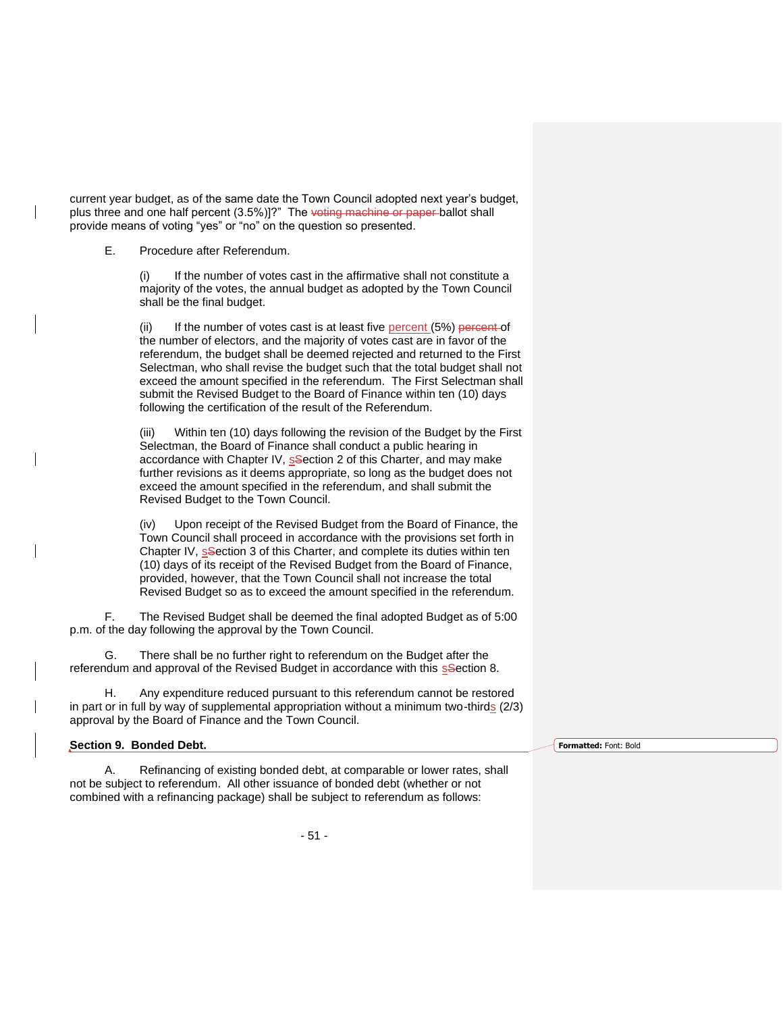current year budget, as of the same date the Town Council adopted next year's budget, plus three and one half percent (3.5%)]?" The voting machine or paper ballot shall provide means of voting "yes" or "no" on the question so presented.

E. Procedure after Referendum.

If the number of votes cast in the affirmative shall not constitute a majority of the votes, the annual budget as adopted by the Town Council shall be the final budget.

(ii) If the number of votes cast is at least five percent  $(5%)$  percent of the number of electors, and the majority of votes cast are in favor of the referendum, the budget shall be deemed rejected and returned to the First Selectman, who shall revise the budget such that the total budget shall not exceed the amount specified in the referendum. The First Selectman shall submit the Revised Budget to the Board of Finance within ten (10) days following the certification of the result of the Referendum.

(iii) Within ten (10) days following the revision of the Budget by the First Selectman, the Board of Finance shall conduct a public hearing in accordance with Chapter IV, s<sup>S</sup>ection 2 of this Charter, and may make further revisions as it deems appropriate, so long as the budget does not exceed the amount specified in the referendum, and shall submit the Revised Budget to the Town Council.

(iv) Upon receipt of the Revised Budget from the Board of Finance, the Town Council shall proceed in accordance with the provisions set forth in Chapter IV, s<sup>S</sup>ection 3 of this Charter, and complete its duties within ten (10) days of its receipt of the Revised Budget from the Board of Finance, provided, however, that the Town Council shall not increase the total Revised Budget so as to exceed the amount specified in the referendum.

F. The Revised Budget shall be deemed the final adopted Budget as of 5:00 p.m. of the day following the approval by the Town Council.

G. There shall be no further right to referendum on the Budget after the referendum and approval of the Revised Budget in accordance with this section 8.

H. Any expenditure reduced pursuant to this referendum cannot be restored in part or in full by way of supplemental appropriation without a minimum two-thirds (2/3) approval by the Board of Finance and the Town Council.

| Section 9. Bonded Debt. | Formatted: Font: Bold |
|-------------------------|-----------------------|
|                         |                       |

- 51 -

A. Refinancing of existing bonded debt, at comparable or lower rates, shall

not be subject to referendum. All other issuance of bonded debt (whether or not combined with a refinancing package) shall be subject to referendum as follows: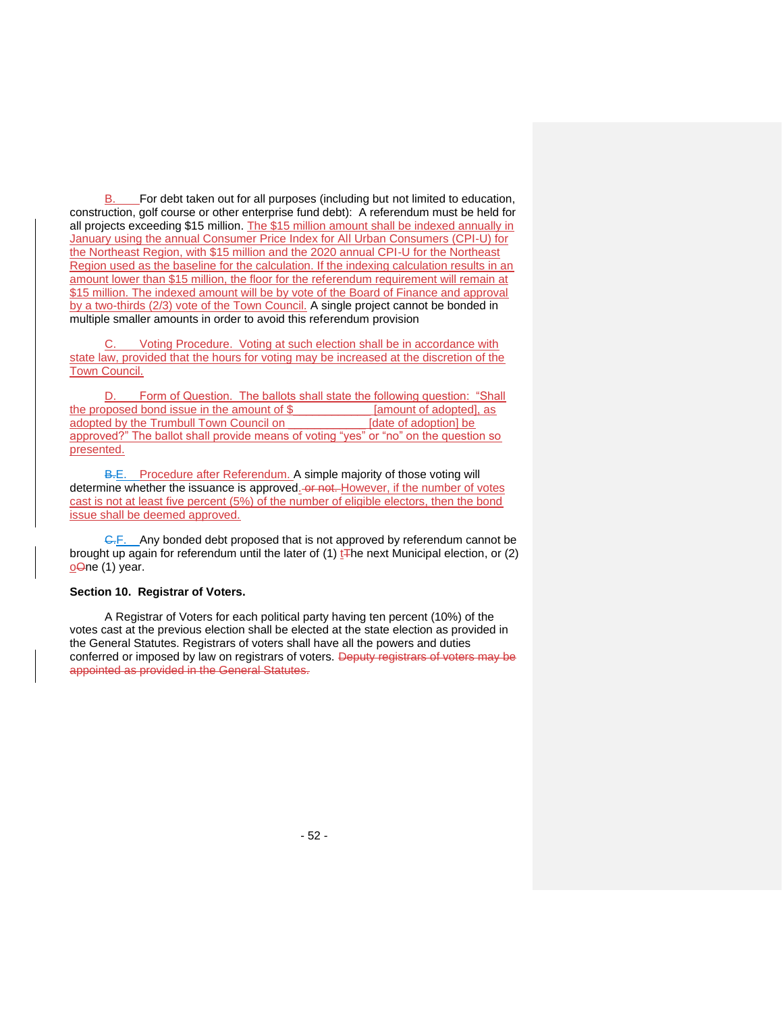B. For debt taken out for all purposes (including but not limited to education, construction, golf course or other enterprise fund debt): A referendum must be held for all projects exceeding \$15 million. The \$15 million amount shall be indexed annually in January using the annual Consumer Price Index for All Urban Consumers (CPI-U) for the Northeast Region, with \$15 million and the 2020 annual CPI-U for the Northeast Region used as the baseline for the calculation. If the indexing calculation results in an amount lower than \$15 million, the floor for the referendum requirement will remain at \$15 million. The indexed amount will be by vote of the Board of Finance and approval by a two-thirds (2/3) vote of the Town Council. A single project cannot be bonded in multiple smaller amounts in order to avoid this referendum provision

Voting Procedure. Voting at such election shall be in accordance with state law, provided that the hours for voting may be increased at the discretion of the Town Council.

D. Form of Question. The ballots shall state the following question: "Shall the proposed bond issue in the amount of \$ [amount of adopted], as adopted by the Trumbull Town Council on [date of adoption] be approved?" The ballot shall provide means of voting "yes" or "no" on the question so presented.

B.E. Procedure after Referendum. A simple majority of those voting will determine whether the issuance is approved. or not. However, if the number of votes cast is not at least five percent (5%) of the number of eligible electors, then the bond issue shall be deemed approved.

G.F. Any bonded debt proposed that is not approved by referendum cannot be brought up again for referendum until the later of  $(1)$  t<sub>The next</sub> Municipal election, or  $(2)$ oOne (1) year.

# **Section 10. Registrar of Voters.**

A Registrar of Voters for each political party having ten percent (10%) of the votes cast at the previous election shall be elected at the state election as provided in the General Statutes. Registrars of voters shall have all the powers and duties conferred or imposed by law on registrars of voters. Deputy registrars of voters may be appointed as provided in the General Statutes.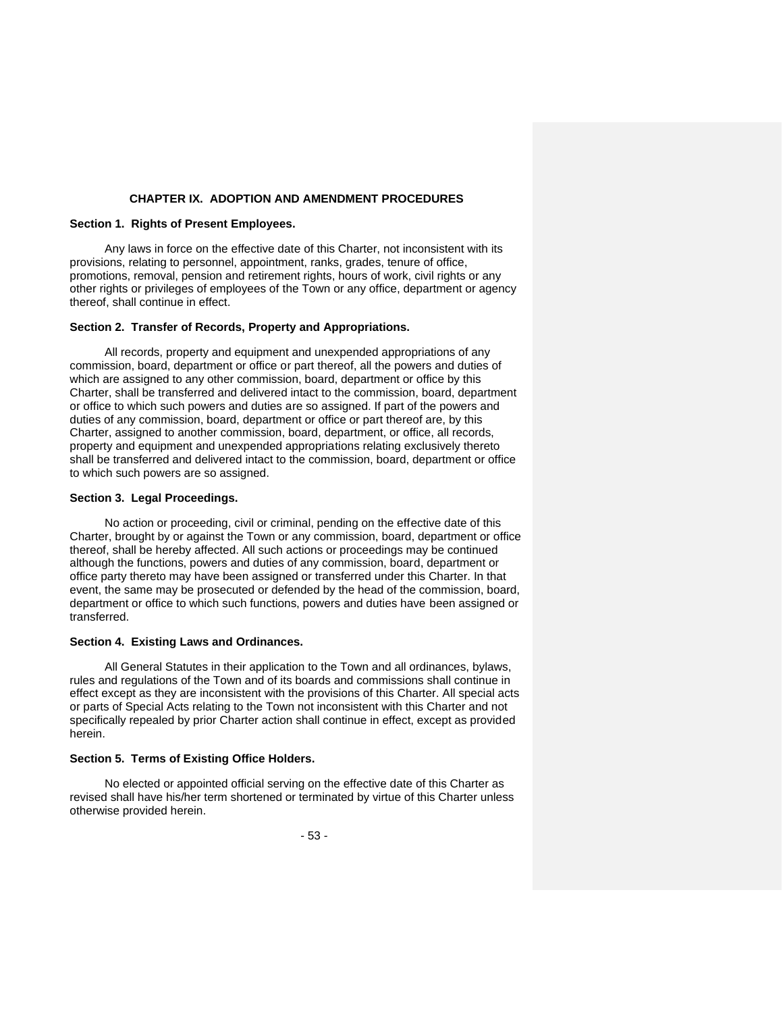## **CHAPTER IX. ADOPTION AND AMENDMENT PROCEDURES**

## **Section 1. Rights of Present Employees.**

Any laws in force on the effective date of this Charter, not inconsistent with its provisions, relating to personnel, appointment, ranks, grades, tenure of office, promotions, removal, pension and retirement rights, hours of work, civil rights or any other rights or privileges of employees of the Town or any office, department or agency thereof, shall continue in effect.

### **Section 2. Transfer of Records, Property and Appropriations.**

All records, property and equipment and unexpended appropriations of any commission, board, department or office or part thereof, all the powers and duties of which are assigned to any other commission, board, department or office by this Charter, shall be transferred and delivered intact to the commission, board, department or office to which such powers and duties are so assigned. If part of the powers and duties of any commission, board, department or office or part thereof are, by this Charter, assigned to another commission, board, department, or office, all records, property and equipment and unexpended appropriations relating exclusively thereto shall be transferred and delivered intact to the commission, board, department or office to which such powers are so assigned.

#### **Section 3. Legal Proceedings.**

No action or proceeding, civil or criminal, pending on the effective date of this Charter, brought by or against the Town or any commission, board, department or office thereof, shall be hereby affected. All such actions or proceedings may be continued although the functions, powers and duties of any commission, board, department or office party thereto may have been assigned or transferred under this Charter. In that event, the same may be prosecuted or defended by the head of the commission, board, department or office to which such functions, powers and duties have been assigned or transferred.

#### **Section 4. Existing Laws and Ordinances.**

All General Statutes in their application to the Town and all ordinances, bylaws, rules and regulations of the Town and of its boards and commissions shall continue in effect except as they are inconsistent with the provisions of this Charter. All special acts or parts of Special Acts relating to the Town not inconsistent with this Charter and not specifically repealed by prior Charter action shall continue in effect, except as provided herein.

### **Section 5. Terms of Existing Office Holders.**

No elected or appointed official serving on the effective date of this Charter as revised shall have his/her term shortened or terminated by virtue of this Charter unless otherwise provided herein.